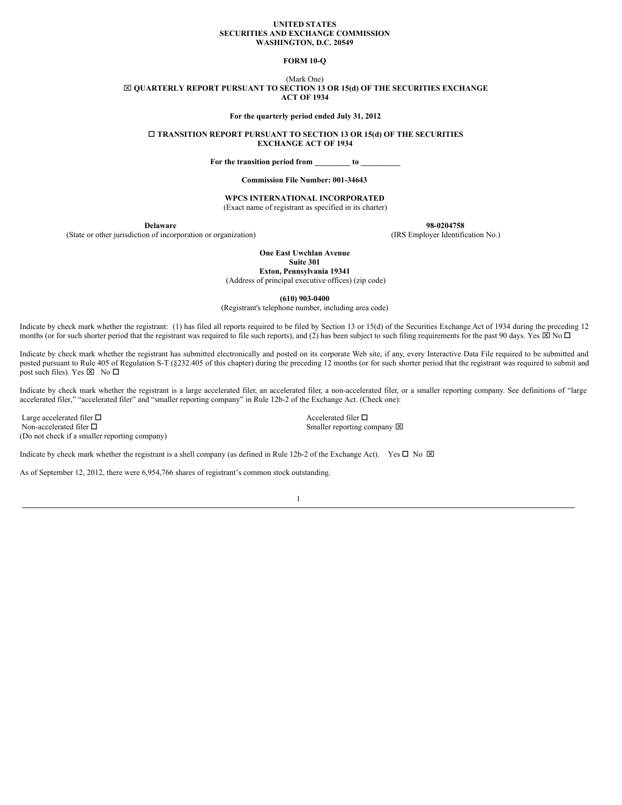### **UNITED STATES SECURITIES AND EXCHANGE COMMISSION WASHINGTON, D.C. 20549**

#### **FORM 10-Q**

#### (Mark One) x **QUARTERLY REPORT PURSUANT TO SECTION 13 OR 15(d) OF THE SECURITIES EXCHANGE ACT OF 1934**

**For the quarterly period ended July 31, 2012**

o **TRANSITION REPORT PURSUANT TO SECTION 13 OR 15(d) OF THE SECURITIES EXCHANGE ACT OF 1934**

**For the transition period from \_\_\_\_\_\_\_\_\_ to \_\_\_\_\_\_\_\_\_\_**

**Commission File Number: 001-34643**

**WPCS INTERNATIONAL INCORPORATED**

(Exact name of registrant as specified in its charter)

(State or other jurisdiction of incorporation or organization) (IRS Employer Identification No.)

**Delaware 98-0204758**

**One East Uwchlan Avenue Suite 301**

**Exton, Pennsylvania 19341** (Address of principal executive offices) (zip code)

**(610) 903-0400**

(Registrant's telephone number, including area code)

Indicate by check mark whether the registrant: (1) has filed all reports required to be filed by Section 13 or 15(d) of the Securities Exchange Act of 1934 during the preceding 12 months (or for such shorter period that the registrant was required to file such reports), and (2) has been subject to such filing requirements for the past 90 days. Yes  $\boxtimes$  No  $\Box$ 

Indicate by check mark whether the registrant has submitted electronically and posted on its corporate Web site, if any, every Interactive Data File required to be submitted and posted pursuant to Rule 405 of Regulation S-T (§232.405 of this chapter) during the preceding 12 months (or for such shorter period that the registrant was required to submit and post such files). Yes  $\boxtimes$  No  $\square$ 

Indicate by check mark whether the registrant is a large accelerated filer, an accelerated filer, a non-accelerated filer, or a smaller reporting company. See definitions of "large accelerated filer," "accelerated filer" and "smaller reporting company" in Rule 12b-2 of the Exchange Act. (Check one):

Large accelerated filer  $\Box$  <br>  $\label{eq:accelerated} \text{Accelerated filter } \Box$ Non-accelerated filer  $\square$  Smaller reporting company  $\square$ (Do not check if a smaller reporting company)

Indicate by check mark whether the registrant is a shell company (as defined in Rule 12b-2 of the Exchange Act). Yes  $\Box$  No  $\boxtimes$ 

As of September 12, 2012, there were 6,954,766 shares of registrant's common stock outstanding.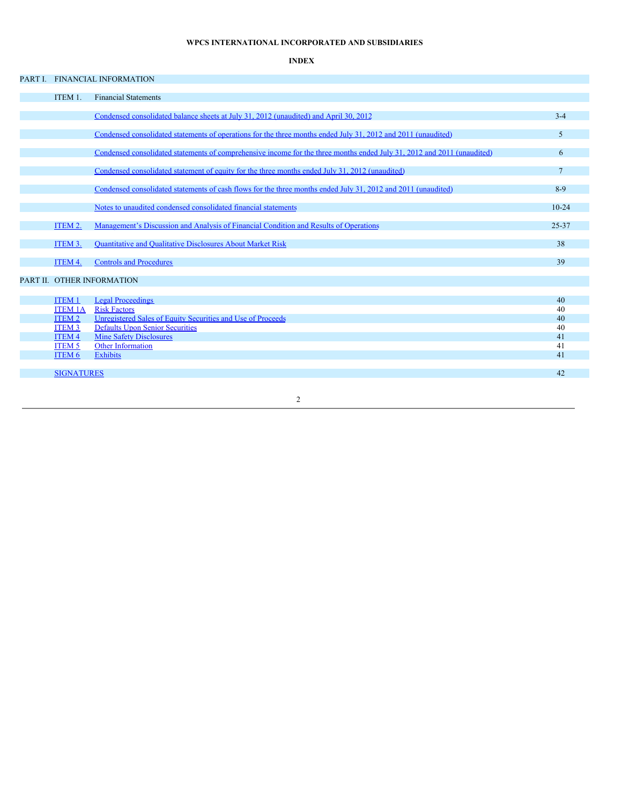## **INDEX**

# PART I. FINANCIAL INFORMATION

| ITEM 1.                 | <b>Financial Statements</b>                                                                                             |                |
|-------------------------|-------------------------------------------------------------------------------------------------------------------------|----------------|
|                         |                                                                                                                         |                |
|                         | Condensed consolidated balance sheets at July 31, 2012 (unaudited) and April 30, 2012                                   | $3 - 4$        |
|                         |                                                                                                                         |                |
|                         | Condensed consolidated statements of operations for the three months ended July 31, 2012 and 2011 (unaudited)           | 5              |
|                         |                                                                                                                         |                |
|                         | Condensed consolidated statements of comprehensive income for the three months ended July 31, 2012 and 2011 (unaudited) | 6              |
|                         | Condensed consolidated statement of equity for the three months ended July 31, 2012 (unaudited)                         | $\overline{7}$ |
|                         |                                                                                                                         |                |
|                         | Condensed consolidated statements of cash flows for the three months ended July 31, 2012 and 2011 (unaudited)           | $8-9$          |
|                         |                                                                                                                         |                |
|                         | Notes to unaudited condensed consolidated financial statements                                                          | $10 - 24$      |
|                         |                                                                                                                         |                |
| ITEM 2.                 | Management's Discussion and Analysis of Financial Condition and Results of Operations                                   | $25 - 37$      |
| ITEM 3.                 | <b>Quantitative and Qualitative Disclosures About Market Risk</b>                                                       | 38             |
|                         |                                                                                                                         |                |
| ITEM 4.                 | <b>Controls and Procedures</b>                                                                                          | 39             |
|                         |                                                                                                                         |                |
|                         | PART II. OTHER INFORMATION                                                                                              |                |
|                         |                                                                                                                         |                |
| <b>ITEM1</b>            | <b>Legal Proceedings</b>                                                                                                | 40             |
| <b>ITEM 1A</b>          | <b>Risk Factors</b>                                                                                                     | 40             |
| ITEM <sub>2</sub>       | Unregistered Sales of Equity Securities and Use of Proceeds                                                             | 40             |
| <b>ITEM3</b>            | <b>Defaults Upon Senior Securities</b>                                                                                  | 40             |
| ITEM <sub>4</sub>       | <b>Mine Safety Disclosures</b>                                                                                          | 41             |
| <b>ITEM 5</b><br>ITEM 6 | <b>Other Information</b><br><b>Exhibits</b>                                                                             | 41<br>41       |
|                         |                                                                                                                         |                |
| <b>SIGNATURES</b>       |                                                                                                                         | 42             |
|                         |                                                                                                                         |                |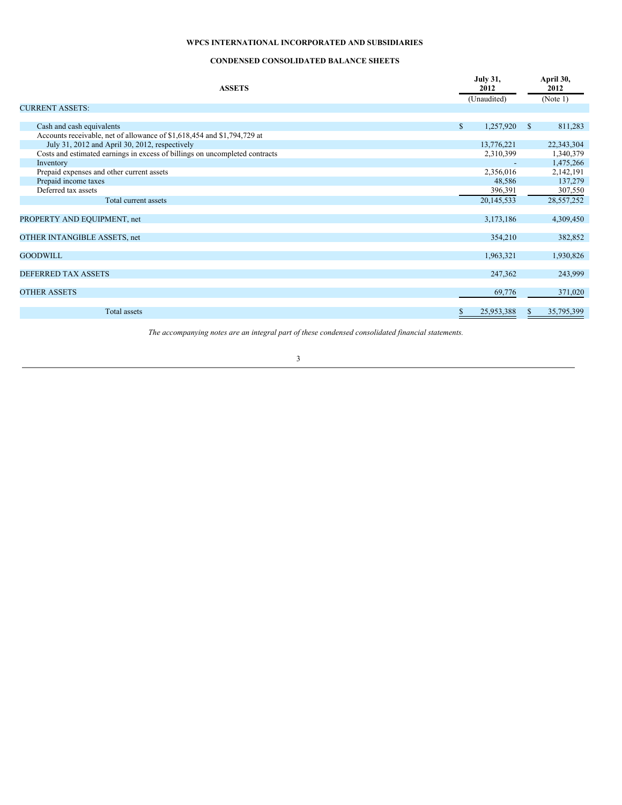# <span id="page-2-0"></span>**CONDENSED CONSOLIDATED BALANCE SHEETS**

| <b>ASSETS</b>                                                               |              | <b>July 31,</b><br>2012 | April 30,<br>2012 |            |
|-----------------------------------------------------------------------------|--------------|-------------------------|-------------------|------------|
| <b>CURRENT ASSETS:</b>                                                      |              | (Unaudited)             |                   | (Note 1)   |
|                                                                             |              |                         |                   |            |
| Cash and cash equivalents                                                   | $\mathbb{S}$ | 1,257,920               | <sup>\$</sup>     | 811,283    |
| Accounts receivable, net of allowance of \$1,618,454 and \$1,794,729 at     |              |                         |                   |            |
| July 31, 2012 and April 30, 2012, respectively                              |              | 13,776,221              |                   | 22,343,304 |
| Costs and estimated earnings in excess of billings on uncompleted contracts |              | 2,310,399               |                   | 1,340,379  |
| Inventory                                                                   |              |                         |                   | 1,475,266  |
| Prepaid expenses and other current assets                                   |              | 2,356,016               |                   | 2,142,191  |
| Prepaid income taxes                                                        |              | 48,586                  |                   | 137,279    |
| Deferred tax assets                                                         |              | 396,391                 |                   | 307,550    |
| Total current assets                                                        |              | 20,145,533              |                   | 28,557,252 |
|                                                                             |              |                         |                   |            |
| PROPERTY AND EQUIPMENT, net                                                 |              | 3,173,186               |                   | 4,309,450  |
|                                                                             |              |                         |                   |            |
| OTHER INTANGIBLE ASSETS, net                                                |              | 354,210                 |                   | 382,852    |
|                                                                             |              |                         |                   |            |
| <b>GOODWILL</b>                                                             |              | 1,963,321               |                   | 1,930,826  |
|                                                                             |              |                         |                   |            |
| <b>DEFERRED TAX ASSETS</b>                                                  |              | 247,362                 |                   | 243,999    |
| <b>OTHER ASSETS</b>                                                         |              | 69,776                  |                   | 371,020    |
|                                                                             |              |                         |                   |            |
| Total assets                                                                | \$           | 25,953,388              | S.                | 35,795,399 |

*The accompanying notes are an integral part of these condensed consolidated financial statements.*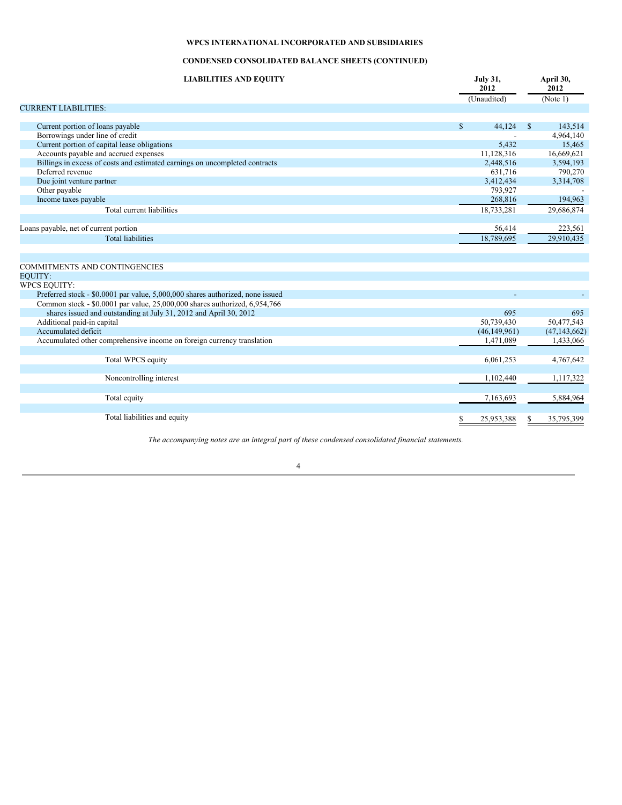# **CONDENSED CONSOLIDATED BALANCE SHEETS (CONTINUED)**

| <b>LIABILITIES AND EQUITY</b>                                                  |              | <b>July 31,</b><br>2012 |              | April 30,<br>2012 |  |
|--------------------------------------------------------------------------------|--------------|-------------------------|--------------|-------------------|--|
| <b>CURRENT LIABILITIES:</b>                                                    |              | (Unaudited)             |              | (Note 1)          |  |
|                                                                                |              |                         |              |                   |  |
| Current portion of loans payable                                               | $\mathbb{S}$ | 44,124                  | $\mathbb{S}$ | 143,514           |  |
| Borrowings under line of credit                                                |              | $\blacksquare$          |              | 4,964,140         |  |
| Current portion of capital lease obligations                                   |              | 5,432                   |              | 15,465            |  |
| Accounts payable and accrued expenses                                          |              | 11,128,316              |              | 16,669,621        |  |
| Billings in excess of costs and estimated earnings on uncompleted contracts    |              | 2,448,516               |              | 3,594,193         |  |
| Deferred revenue                                                               |              | 631,716                 |              | 790,270           |  |
| Due joint venture partner                                                      |              | 3,412,434               |              | 3,314,708         |  |
| Other payable                                                                  |              | 793,927                 |              |                   |  |
| Income taxes payable                                                           |              | 268,816                 |              | 194,963           |  |
| Total current liabilities                                                      |              | 18,733,281              |              | 29,686,874        |  |
| Loans payable, net of current portion                                          |              | 56,414                  |              | 223,561           |  |
| <b>Total liabilities</b>                                                       |              | 18,789,695              |              | 29,910,435        |  |
|                                                                                |              |                         |              |                   |  |
|                                                                                |              |                         |              |                   |  |
| COMMITMENTS AND CONTINGENCIES                                                  |              |                         |              |                   |  |
| EOUITY:                                                                        |              |                         |              |                   |  |
| <b>WPCS EQUITY:</b>                                                            |              |                         |              |                   |  |
| Preferred stock - \$0.0001 par value, 5,000,000 shares authorized, none issued |              |                         |              |                   |  |
| Common stock - \$0.0001 par value, 25,000,000 shares authorized, 6,954,766     |              |                         |              |                   |  |
| shares issued and outstanding at July 31, 2012 and April 30, 2012              |              | 695                     |              | 695               |  |
| Additional paid-in capital                                                     |              | 50,739,430              |              | 50,477,543        |  |
| Accumulated deficit                                                            |              | (46, 149, 961)          |              | (47, 143, 662)    |  |
| Accumulated other comprehensive income on foreign currency translation         |              | 1,471,089               |              | 1,433,066         |  |
| Total WPCS equity                                                              |              | 6,061,253               |              | 4,767,642         |  |
|                                                                                |              |                         |              |                   |  |
| Noncontrolling interest                                                        |              | 1,102,440               |              | 1,117,322         |  |
| Total equity                                                                   |              | 7,163,693               |              | 5,884,964         |  |
|                                                                                |              |                         |              |                   |  |
| Total liabilities and equity                                                   | \$           | 25,953,388              | S            | 35,795,399        |  |

*The accompanying notes are an integral part of these condensed consolidated financial statements.*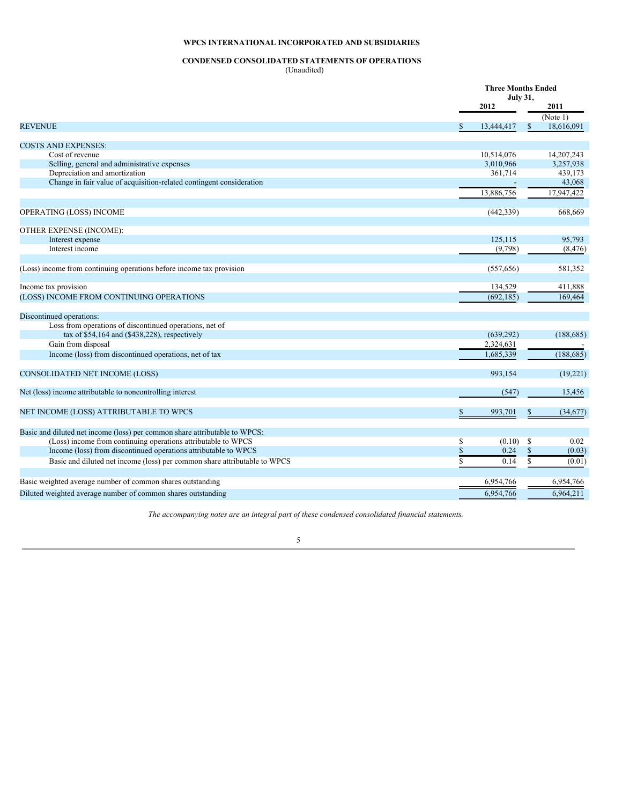# <span id="page-4-0"></span>**CONDENSED CONSOLIDATED STATEMENTS OF OPERATIONS**

(Unaudited)

|                                                                                                                                             | <b>Three Months Ended</b><br><b>July 31,</b> |                            |
|---------------------------------------------------------------------------------------------------------------------------------------------|----------------------------------------------|----------------------------|
|                                                                                                                                             | 2012                                         | 2011                       |
|                                                                                                                                             |                                              | (Note 1)                   |
| <b>REVENUE</b>                                                                                                                              | 13,444,417<br>\$                             | $\mathbf{s}$<br>18,616,091 |
| <b>COSTS AND EXPENSES:</b>                                                                                                                  |                                              |                            |
| Cost of revenue                                                                                                                             | 10,514,076                                   | 14,207,243                 |
| Selling, general and administrative expenses                                                                                                | 3,010,966                                    | 3,257,938                  |
| Depreciation and amortization                                                                                                               | 361,714                                      | 439,173                    |
| Change in fair value of acquisition-related contingent consideration                                                                        |                                              | 43,068                     |
|                                                                                                                                             | 13,886,756                                   | 17,947,422                 |
| OPERATING (LOSS) INCOME                                                                                                                     | (442, 339)                                   | 668,669                    |
|                                                                                                                                             |                                              |                            |
| OTHER EXPENSE (INCOME):<br>Interest expense                                                                                                 | 125,115                                      | 95,793                     |
| Interest income                                                                                                                             | (9,798)                                      | (8, 476)                   |
|                                                                                                                                             |                                              |                            |
| (Loss) income from continuing operations before income tax provision                                                                        | (557, 656)                                   | 581,352                    |
| Income tax provision                                                                                                                        | 134,529                                      | 411,888                    |
| (LOSS) INCOME FROM CONTINUING OPERATIONS                                                                                                    | (692, 185)                                   | 169,464                    |
| Discontinued operations:                                                                                                                    |                                              |                            |
| Loss from operations of discontinued operations, net of                                                                                     |                                              |                            |
| tax of $$54,164$ and $($438,228)$ , respectively                                                                                            | (639, 292)                                   | (188, 685)                 |
| Gain from disposal                                                                                                                          | 2,324,631                                    |                            |
| Income (loss) from discontinued operations, net of tax                                                                                      | 1,685,339                                    | (188, 685)                 |
| CONSOLIDATED NET INCOME (LOSS)                                                                                                              | 993,154                                      | (19, 221)                  |
| Net (loss) income attributable to noncontrolling interest                                                                                   | (547)                                        | 15,456                     |
| NET INCOME (LOSS) ATTRIBUTABLE TO WPCS                                                                                                      | \$<br>993,701                                | \$<br>(34, 677)            |
|                                                                                                                                             |                                              |                            |
| Basic and diluted net income (loss) per common share attributable to WPCS:<br>(Loss) income from continuing operations attributable to WPCS | \$<br>(0.10)                                 | $\mathbb{S}$<br>0.02       |
| Income (loss) from discontinued operations attributable to WPCS                                                                             | \$<br>0.24                                   | \$<br>(0.03)               |
| Basic and diluted net income (loss) per common share attributable to WPCS                                                                   | $\mathbf S$<br>0.14                          | \$<br>(0.01)               |
|                                                                                                                                             |                                              |                            |
| Basic weighted average number of common shares outstanding                                                                                  | 6,954,766                                    | 6,954,766                  |
| Diluted weighted average number of common shares outstanding                                                                                | 6,954,766                                    | 6,964,211                  |

*The accompanying notes are an integral part of these condensed consolidated financial statements.*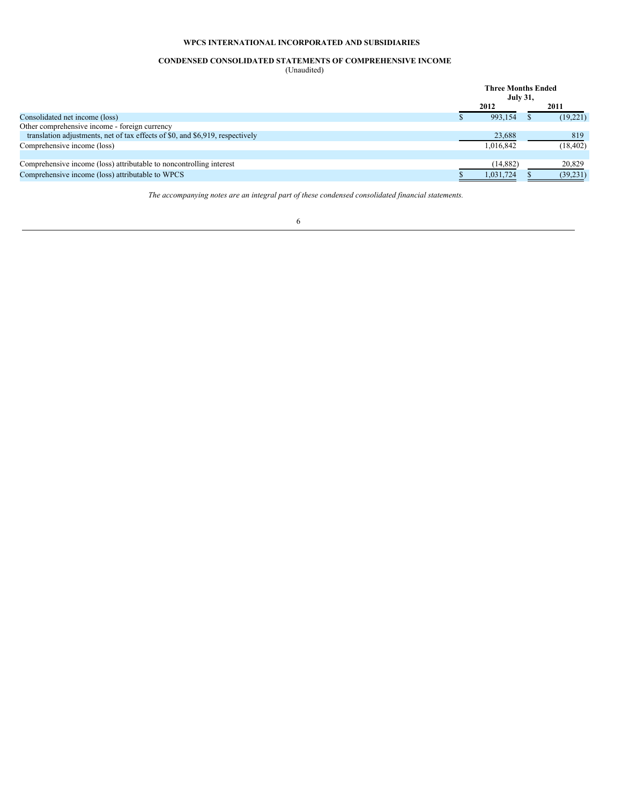# <span id="page-5-0"></span>**CONDENSED CONSOLIDATED STATEMENTS OF COMPREHENSIVE INCOME**

(Unaudited)

|                                                                               | <b>Three Months Ended</b><br><b>July 31,</b> |           |
|-------------------------------------------------------------------------------|----------------------------------------------|-----------|
|                                                                               | 2012                                         | 2011      |
| Consolidated net income (loss)                                                | 993.154                                      | (19,221)  |
| Other comprehensive income - foreign currency                                 |                                              |           |
| translation adjustments, net of tax effects of \$0, and \$6,919, respectively | 23,688                                       | 819       |
| Comprehensive income (loss)                                                   | 1,016,842                                    | (18, 402) |
|                                                                               |                                              |           |
| Comprehensive income (loss) attributable to noncontrolling interest           | (14, 882)                                    | 20,829    |
| Comprehensive income (loss) attributable to WPCS                              | 1,031,724                                    | (39, 231) |

*The accompanying notes are an integral part of these condensed consolidated financial statements.*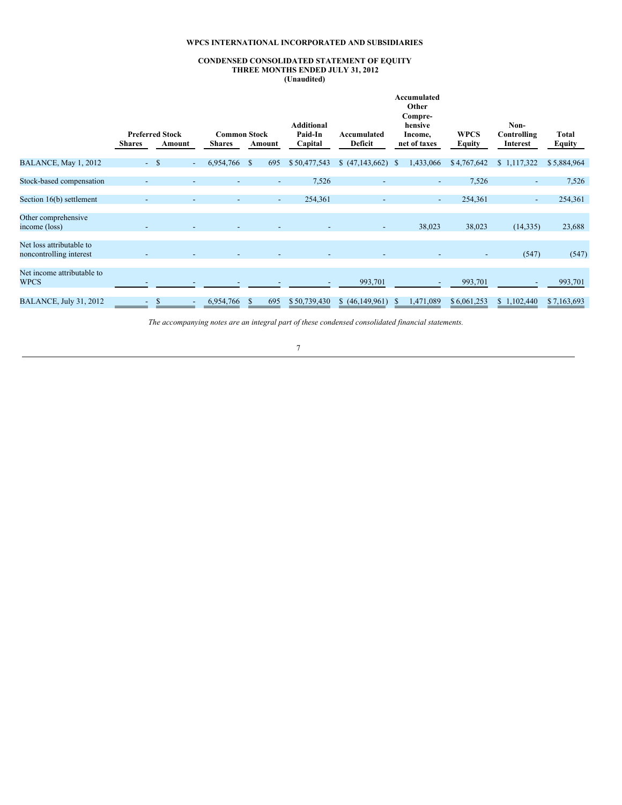#### <span id="page-6-0"></span>**CONDENSED CONSOLIDATED STATEMENT OF EQUITY THREE MONTHS ENDED JULY 31, 2012 (Unaudited)**

|                                                     | <b>Shares</b>            | <b>Preferred Stock</b><br>Amount |                          | <b>Common Stock</b><br><b>Shares</b> |    | Amount | Additional<br>Paid-In<br>Capital | Accumulated<br>Deficit   |    | Accumulated<br>Other<br>Compre-<br>hensive<br>Income,<br>net of taxes | <b>WPCS</b><br>Equity | Non-<br>Controlling<br>Interest | Total<br><b>Equity</b> |
|-----------------------------------------------------|--------------------------|----------------------------------|--------------------------|--------------------------------------|----|--------|----------------------------------|--------------------------|----|-----------------------------------------------------------------------|-----------------------|---------------------------------|------------------------|
| BALANCE, May 1, 2012                                |                          | $-$ \$                           |                          | 6,954,766                            | -S | 695    | \$50,477,543                     | (47, 143, 662)           | -S | 1,433,066                                                             | \$4,767,642           | \$1,117,322                     | \$5,884,964            |
| Stock-based compensation                            | $\overline{\phantom{a}}$ |                                  | $\overline{\phantom{a}}$ | $\overline{\phantom{a}}$             |    | $\sim$ | 7,526                            | ٠                        |    | $\sim$                                                                | 7,526                 | $\sim$                          | 7,526                  |
| Section 16(b) settlement                            |                          |                                  |                          |                                      |    | $\sim$ | 254,361                          | $\overline{\phantom{0}}$ |    | $\blacksquare$                                                        | 254,361               | $\sim$                          | 254,361                |
| Other comprehensive<br>income (loss)                |                          |                                  |                          |                                      |    |        |                                  | ÷                        |    | 38,023                                                                | 38,023                | (14, 335)                       | 23,688                 |
| Net loss attributable to<br>noncontrolling interest |                          |                                  |                          |                                      |    |        |                                  |                          |    |                                                                       | ٠                     | (547)                           | (547)                  |
| Net income attributable to<br><b>WPCS</b>           |                          |                                  |                          |                                      |    |        |                                  | 993,701                  |    |                                                                       | 993,701               |                                 | 993,701                |
| <b>BALANCE, July 31, 2012</b>                       |                          |                                  |                          | 6,954,766                            |    | 695    | \$50,739,430                     | \$ (46,149,961)          |    | 1,471,089                                                             | \$6,061,253           | \$1,102,440                     | \$7,163,693            |

*The accompanying notes are an integral part of these condensed consolidated financial statements.*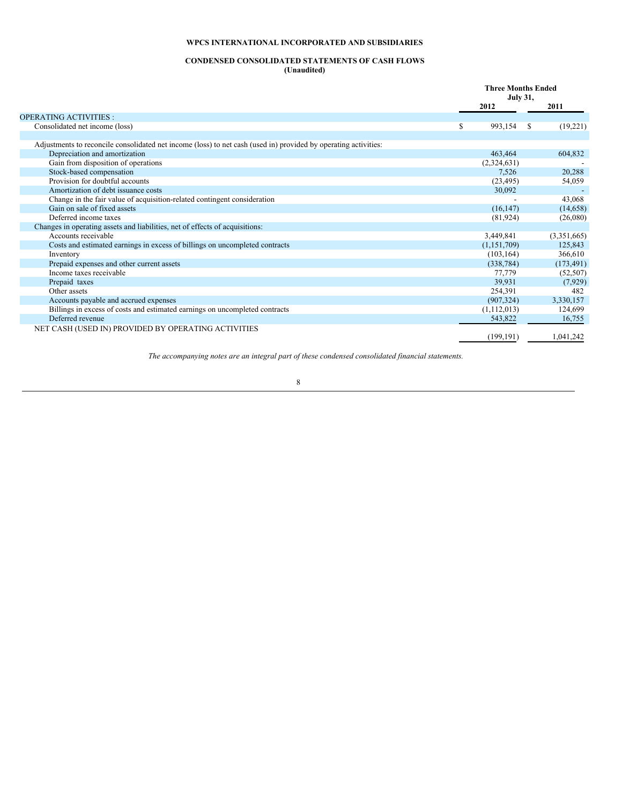## **CONDENSED CONSOLIDATED STATEMENTS OF CASH FLOWS (Unaudited)**

|                                                                                                                 | <b>Three Months Ended</b><br><b>July 31,</b> |             |  |  |
|-----------------------------------------------------------------------------------------------------------------|----------------------------------------------|-------------|--|--|
|                                                                                                                 | 2012                                         | 2011        |  |  |
| <b>OPERATING ACTIVITIES:</b>                                                                                    |                                              |             |  |  |
| Consolidated net income (loss)                                                                                  | \$<br>993,154<br><sup>\$</sup>               | (19,221)    |  |  |
|                                                                                                                 |                                              |             |  |  |
| Adjustments to reconcile consolidated net income (loss) to net cash (used in) provided by operating activities: |                                              |             |  |  |
| Depreciation and amortization                                                                                   | 463,464                                      | 604,832     |  |  |
| Gain from disposition of operations                                                                             | (2,324,631)                                  |             |  |  |
| Stock-based compensation                                                                                        | 7,526                                        | 20,288      |  |  |
| Provision for doubtful accounts                                                                                 | (23, 495)                                    | 54,059      |  |  |
| Amortization of debt issuance costs                                                                             | 30,092                                       |             |  |  |
| Change in the fair value of acquisition-related contingent consideration                                        |                                              | 43,068      |  |  |
| Gain on sale of fixed assets                                                                                    | (16, 147)                                    | (14, 658)   |  |  |
| Deferred income taxes                                                                                           | (81, 924)                                    | (26,080)    |  |  |
| Changes in operating assets and liabilities, net of effects of acquisitions:                                    |                                              |             |  |  |
| Accounts receivable                                                                                             | 3,449,841                                    | (3,351,665) |  |  |
| Costs and estimated earnings in excess of billings on uncompleted contracts                                     | (1,151,709)                                  | 125,843     |  |  |
| Inventory                                                                                                       | (103, 164)                                   | 366,610     |  |  |
| Prepaid expenses and other current assets                                                                       | (338, 784)                                   | (173, 491)  |  |  |
| Income taxes receivable                                                                                         | 77.779                                       | (52, 507)   |  |  |
| Prepaid taxes                                                                                                   | 39,931                                       | (7,929)     |  |  |
| Other assets                                                                                                    | 254,391                                      | 482         |  |  |
| Accounts payable and accrued expenses                                                                           | (907, 324)                                   | 3,330,157   |  |  |
| Billings in excess of costs and estimated earnings on uncompleted contracts                                     | (1, 112, 013)                                | 124,699     |  |  |
| Deferred revenue                                                                                                | 543,822                                      | 16,755      |  |  |
| NET CASH (USED IN) PROVIDED BY OPERATING ACTIVITIES                                                             |                                              |             |  |  |
|                                                                                                                 | (199.191)                                    | 1,041,242   |  |  |

*The accompanying notes are an integral part of these condensed consolidated financial statements.*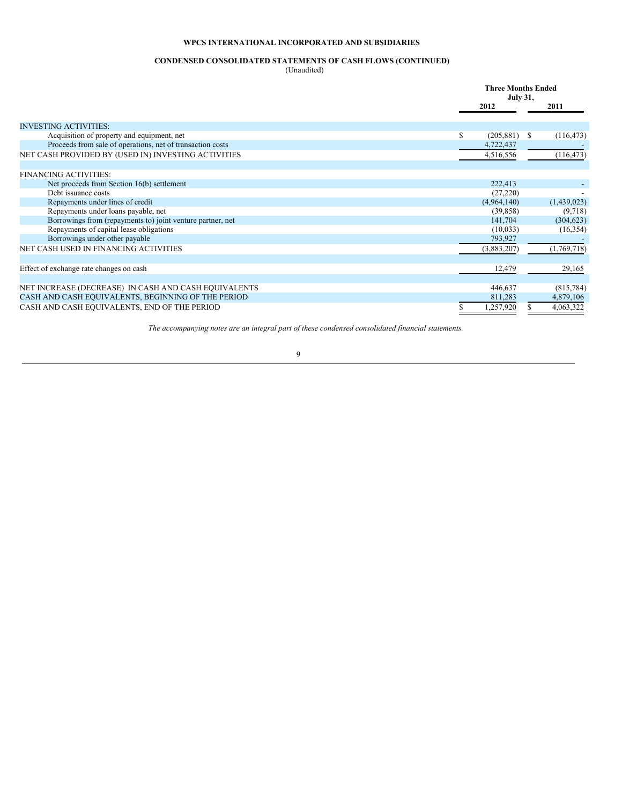# **CONDENSED CONSOLIDATED STATEMENTS OF CASH FLOWS (CONTINUED)**

(Unaudited)

|                                                            | <b>Three Months Ended</b><br><b>July 31,</b> |                  |
|------------------------------------------------------------|----------------------------------------------|------------------|
|                                                            | 2012                                         | 2011             |
| <b>INVESTING ACTIVITIES:</b>                               |                                              |                  |
| Acquisition of property and equipment, net                 | S.<br>(205, 881)                             | (116, 473)<br>-S |
| Proceeds from sale of operations, net of transaction costs | 4,722,437                                    |                  |
| NET CASH PROVIDED BY (USED IN) INVESTING ACTIVITIES        | 4,516,556                                    | (116, 473)       |
|                                                            |                                              |                  |
| <b>FINANCING ACTIVITIES:</b>                               |                                              |                  |
| Net proceeds from Section 16(b) settlement                 | 222,413                                      |                  |
| Debt issuance costs                                        | (27,220)                                     |                  |
| Repayments under lines of credit                           | (4,964,140)                                  | (1,439,023)      |
| Repayments under loans payable, net                        | (39, 858)                                    | (9,718)          |
| Borrowings from (repayments to) joint venture partner, net | 141,704                                      | (304, 623)       |
| Repayments of capital lease obligations                    | (10,033)                                     | (16, 354)        |
| Borrowings under other payable                             | 793,927                                      |                  |
| NET CASH USED IN FINANCING ACTIVITIES                      | (3,883,207)                                  | (1,769,718)      |
|                                                            |                                              |                  |
| Effect of exchange rate changes on cash                    | 12,479                                       | 29,165           |
|                                                            |                                              |                  |
| NET INCREASE (DECREASE) IN CASH AND CASH EQUIVALENTS       | 446,637                                      | (815,784)        |
| CASH AND CASH EQUIVALENTS, BEGINNING OF THE PERIOD         | 811,283                                      | 4,879,106        |
| CASH AND CASH EQUIVALENTS, END OF THE PERIOD               | 1,257,920                                    | 4,063,322        |

*The accompanying notes are an integral part of these condensed consolidated financial statements.*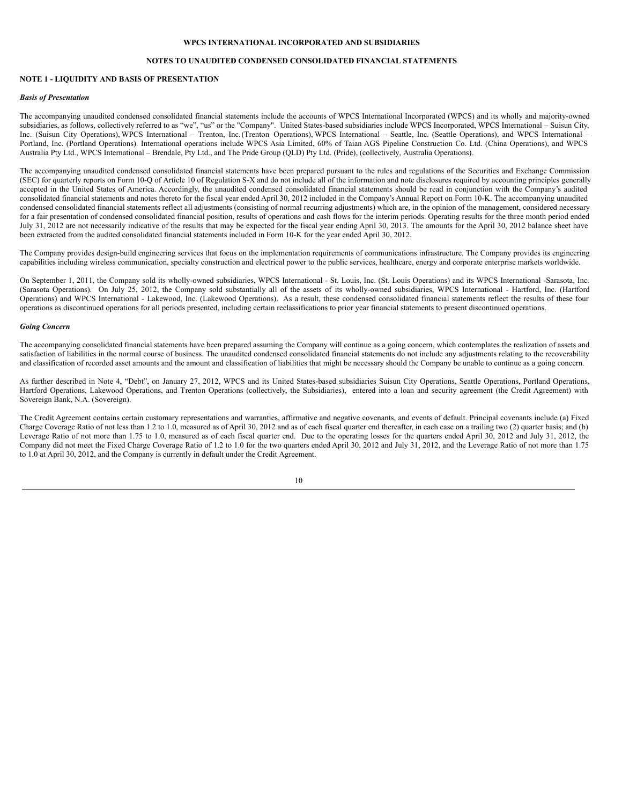## **NOTES TO UNAUDITED CONDENSED CONSOLIDATED FINANCIAL STATEMENTS**

## **NOTE 1 - LIQUIDITY AND BASIS OF PRESENTATION**

#### *Basis of Presentation*

The accompanying unaudited condensed consolidated financial statements include the accounts of WPCS International Incorporated (WPCS) and its wholly and majority-owned subsidiaries, as follows, collectively referred to as "we", "us" or the "Company". United States-based subsidiaries include WPCS Incorporated, WPCS International – Suisun City, Inc. (Suisun City Operations), WPCS International – Trenton, Inc. (Trenton Operations), WPCS International – Seattle, Inc. (Seattle Operations), and WPCS International – Portland, Inc. (Portland Operations). International operations include WPCS Asia Limited, 60% of Taian AGS Pipeline Construction Co. Ltd. (China Operations), and WPCS Australia Pty Ltd., WPCS International – Brendale, Pty Ltd., and The Pride Group (QLD) Pty Ltd. (Pride), (collectively, Australia Operations).

The accompanying unaudited condensed consolidated financial statements have been prepared pursuant to the rules and regulations of the Securities and Exchange Commission (SEC) for quarterly reports on Form 10-Q of Article 10 of Regulation S-X and do not include all of the information and note disclosures required by accounting principles generally accepted in the United States of America. Accordingly, the unaudited condensed consolidated financial statements should be read in conjunction with the Company's audited consolidated financial statements and notes thereto for the fiscal year ended April 30, 2012 included in the Company's Annual Report on Form 10-K. The accompanying unaudited condensed consolidated financial statements reflect all adjustments (consisting of normal recurring adjustments) which are, in the opinion of the management, considered necessary for a fair presentation of condensed consolidated financial position, results of operations and cash flows for the interim periods. Operating results for the three month period ended July 31, 2012 are not necessarily indicative of the results that may be expected for the fiscal year ending April 30, 2013. The amounts for the April 30, 2012 balance sheet have been extracted from the audited consolidated financial statements included in Form 10-K for the year ended April 30, 2012.

The Company provides design-build engineering services that focus on the implementation requirements of communications infrastructure. The Company provides its engineering capabilities including wireless communication, specialty construction and electrical power to the public services, healthcare, energy and corporate enterprise markets worldwide.

On September 1, 2011, the Company sold its wholly-owned subsidiaries, WPCS International - St. Louis, Inc. (St. Louis Operations) and its WPCS International -Sarasota, Inc. (Sarasota Operations). On July 25, 2012, the Company sold substantially all of the assets of its wholly-owned subsidiaries, WPCS International - Hartford, Inc. (Hartford Operations) and WPCS International - Lakewood, Inc. (Lakewood Operations). As a result, these condensed consolidated financial statements reflect the results of these four operations as discontinued operations for all periods presented, including certain reclassifications to prior year financial statements to present discontinued operations.

#### *Going Concern*

The accompanying consolidated financial statements have been prepared assuming the Company will continue as a going concern, which contemplates the realization of assets and satisfaction of liabilities in the normal course of business. The unaudited condensed consolidated financial statements do not include any adjustments relating to the recoverability and classification of recorded asset amounts and the amount and classification of liabilities that might be necessary should the Company be unable to continue as a going concern.

As further described in Note 4, "Debt", on January 27, 2012, WPCS and its United States-based subsidiaries Suisun City Operations, Seattle Operations, Portland Operations, Hartford Operations, Lakewood Operations, and Trenton Operations (collectively, the Subsidiaries), entered into a loan and security agreement (the Credit Agreement) with Sovereign Bank, N.A. (Sovereign).

The Credit Agreement contains certain customary representations and warranties, affirmative and negative covenants, and events of default. Principal covenants include (a) Fixed Charge Coverage Ratio of not less than 1.2 to 1.0, measured as of April 30, 2012 and as of each fiscal quarter end thereafter, in each case on a trailing two (2) quarter basis; and (b) Leverage Ratio of not more than 1.75 to 1.0, measured as of each fiscal quarter end. Due to the operating losses for the quarters ended April 30, 2012 and July 31, 2012, the Company did not meet the Fixed Charge Coverage Ratio of 1.2 to 1.0 for the two quarters ended April 30, 2012 and July 31, 2012, and the Leverage Ratio of not more than 1.75 to 1.0 at April 30, 2012, and the Company is currently in default under the Credit Agreement.

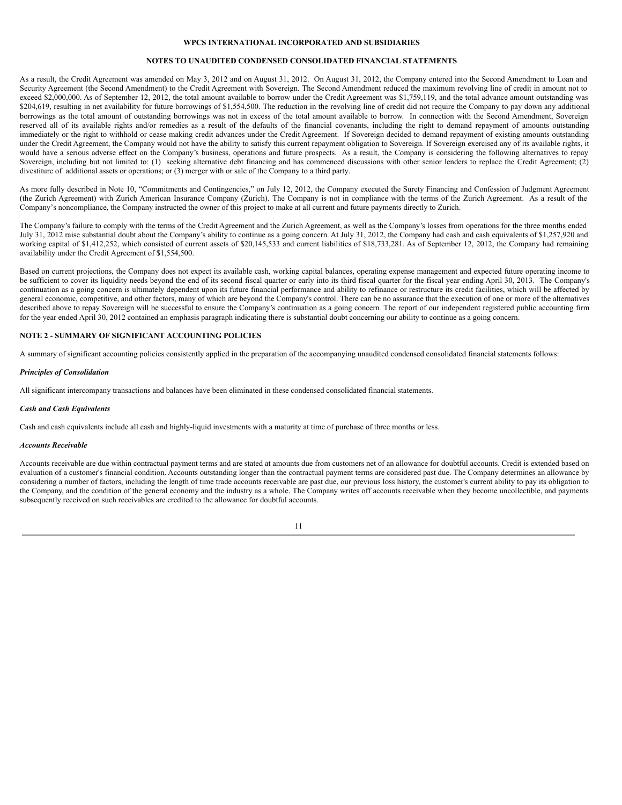## **NOTES TO UNAUDITED CONDENSED CONSOLIDATED FINANCIAL STATEMENTS**

As a result, the Credit Agreement was amended on May 3, 2012 and on August 31, 2012. On August 31, 2012, the Company entered into the Second Amendment to Loan and Security Agreement (the Second Amendment) to the Credit Agreement with Sovereign. The Second Amendment reduced the maximum revolving line of credit in amount not to exceed \$2,000,000. As of September 12, 2012, the total amount available to borrow under the Credit Agreement was \$1,759,119, and the total advance amount outstanding was \$204,619, resulting in net availability for future borrowings of \$1,554,500. The reduction in the revolving line of credit did not require the Company to pay down any additional borrowings as the total amount of outstanding borrowings was not in excess of the total amount available to borrow. In connection with the Second Amendment, Sovereign reserved all of its available rights and/or remedies as a result of the defaults of the financial covenants, including the right to demand repayment of amounts outstanding immediately or the right to withhold or cease making credit advances under the Credit Agreement. If Sovereign decided to demand repayment of existing amounts outstanding under the Credit Agreement, the Company would not have the ability to satisfy this current repayment obligation to Sovereign. If Sovereign exercised any of its available rights, it would have a serious adverse effect on the Company's business, operations and future prospects. As a result, the Company is considering the following alternatives to repay Sovereign, including but not limited to: (1) seeking alternative debt financing and has commenced discussions with other senior lenders to replace the Credit Agreement; (2) divestiture of additional assets or operations; or (3) merger with or sale of the Company to a third party.

As more fully described in Note 10, "Commitments and Contingencies," on July 12, 2012, the Company executed the Surety Financing and Confession of Judgment Agreement (the Zurich Agreement) with Zurich American Insurance Company (Zurich). The Company is not in compliance with the terms of the Zurich Agreement. As a result of the Company's noncompliance, the Company instructed the owner of this project to make at all current and future payments directly to Zurich.

The Company's failure to comply with the terms of the Credit Agreement and the Zurich Agreement, as well as the Company's losses from operations for the three months ended July 31, 2012 raise substantial doubt about the Company's ability to continue as a going concern. At July 31, 2012, the Company had cash and cash equivalents of \$1,257,920 and working capital of \$1,412,252, which consisted of current assets of \$20,145,533 and current liabilities of \$18,733,281. As of September 12, 2012, the Company had remaining availability under the Credit Agreement of \$1,554,500.

Based on current projections, the Company does not expect its available cash, working capital balances, operating expense management and expected future operating income to be sufficient to cover its liquidity needs beyond the end of its second fiscal quarter or early into its third fiscal quarter for the fiscal year ending April 30, 2013. The Company's continuation as a going concern is ultimately dependent upon its future financial performance and ability to refinance or restructure its credit facilities, which will be affected by general economic, competitive, and other factors, many of which are beyond the Company's control. There can be no assurance that the execution of one or more of the alternatives described above to repay Sovereign will be successful to ensure the Company's continuation as a going concern. The report of our independent registered public accounting firm for the year ended April 30, 2012 contained an emphasis paragraph indicating there is substantial doubt concerning our ability to continue as a going concern.

## **NOTE 2 - SUMMARY OF SIGNIFICANT ACCOUNTING POLICIES**

A summary of significant accounting policies consistently applied in the preparation of the accompanying unaudited condensed consolidated financial statements follows:

#### *Principles of Consolidation*

All significant intercompany transactions and balances have been eliminated in these condensed consolidated financial statements.

#### *Cash and Cash Equivalents*

Cash and cash equivalents include all cash and highly-liquid investments with a maturity at time of purchase of three months or less.

### *Accounts Receivable*

Accounts receivable are due within contractual payment terms and are stated at amounts due from customers net of an allowance for doubtful accounts. Credit is extended based on evaluation of a customer's financial condition. Accounts outstanding longer than the contractual payment terms are considered past due. The Company determines an allowance by considering a number of factors, including the length of time trade accounts receivable are past due, our previous loss history, the customer's current ability to pay its obligation to the Company, and the condition of the general economy and the industry as a whole. The Company writes off accounts receivable when they become uncollectible, and payments subsequently received on such receivables are credited to the allowance for doubtful accounts.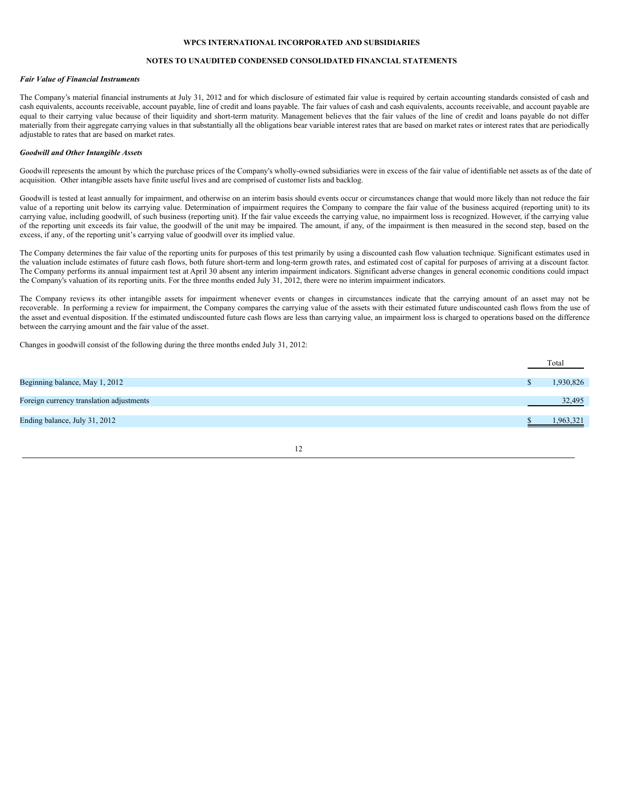## **NOTES TO UNAUDITED CONDENSED CONSOLIDATED FINANCIAL STATEMENTS**

#### *Fair Value of Financial Instruments*

The Company's material financial instruments at July 31, 2012 and for which disclosure of estimated fair value is required by certain accounting standards consisted of cash and cash equivalents, accounts receivable, account payable, line of credit and loans payable. The fair values of cash and cash equivalents, accounts receivable, and account payable are equal to their carrying value because of their liquidity and short-term maturity. Management believes that the fair values of the line of credit and loans payable do not differ materially from their aggregate carrying values in that substantially all the obligations bear variable interest rates that are based on market rates or interest rates that are periodically adjustable to rates that are based on market rates.

## *Goodwill and Other Intangible Assets*

Goodwill represents the amount by which the purchase prices of the Company's wholly-owned subsidiaries were in excess of the fair value of identifiable net assets as of the date of acquisition. Other intangible assets have finite useful lives and are comprised of customer lists and backlog.

Goodwill is tested at least annually for impairment, and otherwise on an interim basis should events occur or circumstances change that would more likely than not reduce the fair value of a reporting unit below its carrying value. Determination of impairment requires the Company to compare the fair value of the business acquired (reporting unit) to its carrying value, including goodwill, of such business (reporting unit). If the fair value exceeds the carrying value, no impairment loss is recognized. However, if the carrying value of the reporting unit exceeds its fair value, the goodwill of the unit may be impaired. The amount, if any, of the impairment is then measured in the second step, based on the excess, if any, of the reporting unit's carrying value of goodwill over its implied value.

The Company determines the fair value of the reporting units for purposes of this test primarily by using a discounted cash flow valuation technique. Significant estimates used in the valuation include estimates of future cash flows, both future short-term and long-term growth rates, and estimated cost of capital for purposes of arriving at a discount factor. The Company performs its annual impairment test at April 30 absent any interim impairment indicators. Significant adverse changes in general economic conditions could impact the Company's valuation of its reporting units. For the three months ended July 31, 2012, there were no interim impairment indicators.

The Company reviews its other intangible assets for impairment whenever events or changes in circumstances indicate that the carrying amount of an asset may not be recoverable. In performing a review for impairment, the Company compares the carrying value of the assets with their estimated future undiscounted cash flows from the use of the asset and eventual disposition. If the estimated undiscounted future cash flows are less than carrying value, an impairment loss is charged to operations based on the difference between the carrying amount and the fair value of the asset.

Changes in goodwill consist of the following during the three months ended July 31, 2012:

|                                          | Total     |
|------------------------------------------|-----------|
| Beginning balance, May 1, 2012           | 1,930,826 |
| Foreign currency translation adjustments | 32,495    |
| Ending balance, July 31, 2012            | 1,963,321 |
|                                          |           |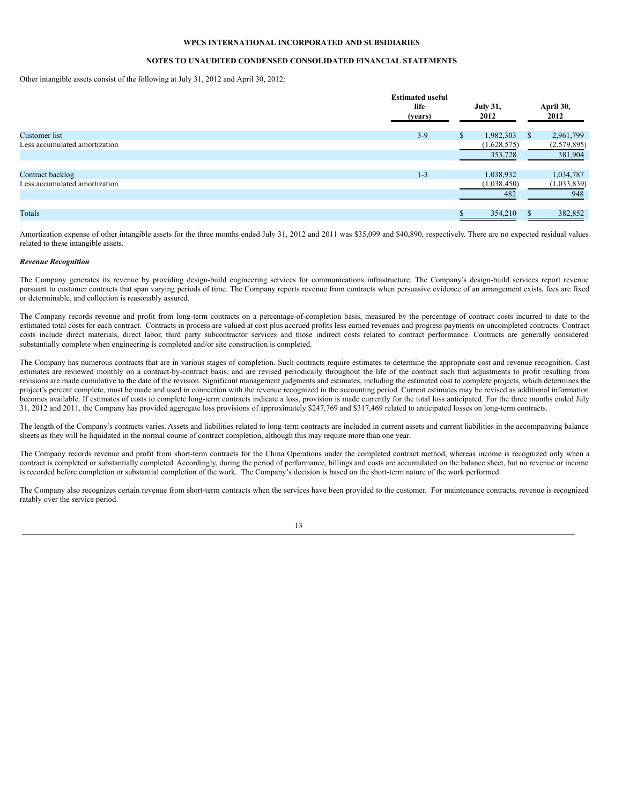## **NOTES TO UNAUDITED CONDENSED CONSOLIDATED FINANCIAL STATEMENTS**

Other intangible assets consist of the following at July 31, 2012 and April 30, 2012:

|                               | <b>Estimated useful</b><br>life<br>(years) | <b>July 31,</b><br>2012   | April 30,<br>2012 |
|-------------------------------|--------------------------------------------|---------------------------|-------------------|
| Customer list                 | $3-9$                                      | 1,982,303<br>$\mathbb{S}$ | 2,961,799<br>S.   |
| Less accumulated amortization |                                            | (1,628,575)               | (2,579,895)       |
|                               |                                            | 353,728                   | 381,904           |
| Contract backlog              | $1 - 3$                                    | 1,038,932                 | 1,034,787         |
| Less accumulated amortization |                                            | (1,038,450)               | (1,033,839)       |
|                               |                                            | 482                       | 948               |
| Totals                        |                                            | 354,210                   | 382,852           |

Amortization expense of other intangible assets for the three months ended July 31, 2012 and 2011 was \$35,099 and \$40,890, respectively. There are no expected residual values related to these intangible assets.

#### *Revenue Recognition*

The Company generates its revenue by providing design-build engineering services for communications infrastructure. The Company's design-build services report revenue pursuant to customer contracts that span varying periods of time. The Company reports revenue from contracts when persuasive evidence of an arrangement exists, fees are fixed or determinable, and collection is reasonably assured.

The Company records revenue and profit from long-term contracts on a percentage-of-completion basis, measured by the percentage of contract costs incurred to date to the estimated total costs for each contract. Contracts in process are valued at cost plus accrued profits less earned revenues and progress payments on uncompleted contracts. Contract costs include direct materials, direct labor, third party subcontractor services and those indirect costs related to contract performance. Contracts are generally considered substantially complete when engineering is completed and/or site construction is completed.

The Company has numerous contracts that are in various stages of completion. Such contracts require estimates to determine the appropriate cost and revenue recognition. Cost estimates are reviewed monthly on a contract-by-contract basis, and are revised periodically throughout the life of the contract such that adjustments to profit resulting from revisions are made cumulative to the date of the revision. Significant management judgments and estimates, including the estimated cost to complete projects, which determines the project's percent complete, must be made and used in connection with the revenue recognized in the accounting period. Current estimates may be revised as additional information becomes available. If estimates of costs to complete long-term contracts indicate a loss, provision is made currently for the total loss anticipated. For the three months ended July 31, 2012 and 2011, the Company has provided aggregate loss provisions of approximately \$247,769 and \$317,469 related to anticipated losses on long-term contracts.

The length of the Company's contracts varies. Assets and liabilities related to long-term contracts are included in current assets and current liabilities in the accompanying balance sheets as they will be liquidated in the normal course of contract completion, although this may require more than one year.

The Company records revenue and profit from short-term contracts for the China Operations under the completed contract method, whereas income is recognized only when a contract is completed or substantially completed. Accordingly, during the period of performance, billings and costs are accumulated on the balance sheet, but no revenue or income is recorded before completion or substantial completion of the work. The Company's decision is based on the short-term nature of the work performed.

The Company also recognizes certain revenue from short-term contracts when the services have been provided to the customer. For maintenance contracts, revenue is recognized ratably over the service period.

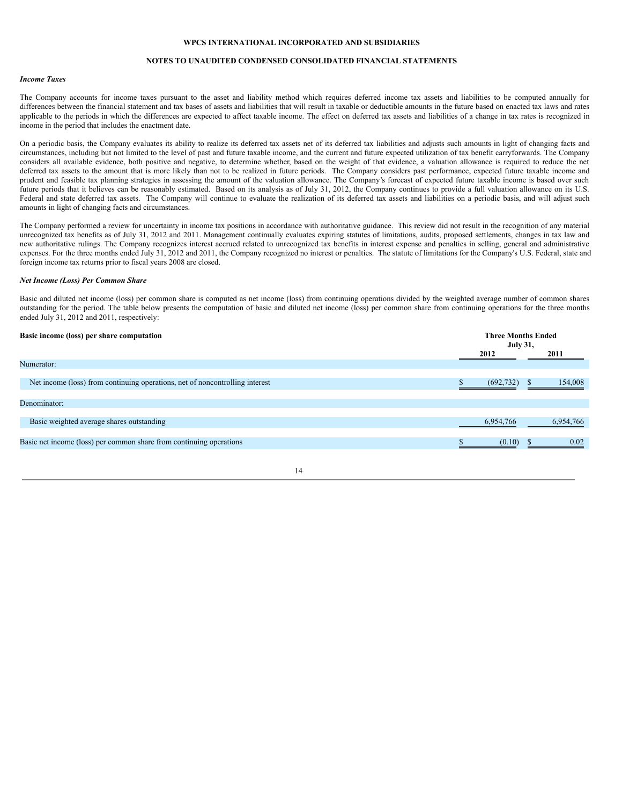## **NOTES TO UNAUDITED CONDENSED CONSOLIDATED FINANCIAL STATEMENTS**

#### *Income Taxes*

The Company accounts for income taxes pursuant to the asset and liability method which requires deferred income tax assets and liabilities to be computed annually for differences between the financial statement and tax bases of assets and liabilities that will result in taxable or deductible amounts in the future based on enacted tax laws and rates applicable to the periods in which the differences are expected to affect taxable income. The effect on deferred tax assets and liabilities of a change in tax rates is recognized in income in the period that includes the enactment date.

On a periodic basis, the Company evaluates its ability to realize its deferred tax assets net of its deferred tax liabilities and adjusts such amounts in light of changing facts and circumstances, including but not limited to the level of past and future taxable income, and the current and future expected utilization of tax benefit carryforwards. The Company considers all available evidence, both positive and negative, to determine whether, based on the weight of that evidence, a valuation allowance is required to reduce the net deferred tax assets to the amount that is more likely than not to be realized in future periods. The Company considers past performance, expected future taxable income and prudent and feasible tax planning strategies in assessing the amount of the valuation allowance. The Company's forecast of expected future taxable income is based over such future periods that it believes can be reasonably estimated. Based on its analysis as of July 31, 2012, the Company continues to provide a full valuation allowance on its U.S. Federal and state deferred tax assets. The Company will continue to evaluate the realization of its deferred tax assets and liabilities on a periodic basis, and will adjust such amounts in light of changing facts and circumstances.

The Company performed a review for uncertainty in income tax positions in accordance with authoritative guidance. This review did not result in the recognition of any material unrecognized tax benefits as of July 31, 2012 and 2011. Management continually evaluates expiring statutes of limitations, audits, proposed settlements, changes in tax law and new authoritative rulings. The Company recognizes interest accrued related to unrecognized tax benefits in interest expense and penalties in selling, general and administrative expenses. For the three months ended July 31, 2012 and 2011, the Company recognized no interest or penalties. The statute of limitations for the Company's U.S. Federal, state and foreign income tax returns prior to fiscal years 2008 are closed.

#### *Net Income (Loss) Per Common Share*

Basic and diluted net income (loss) per common share is computed as net income (loss) from continuing operations divided by the weighted average number of common shares outstanding for the period. The table below presents the computation of basic and diluted net income (loss) per common share from continuing operations for the three months ended July 31, 2012 and 2011, respectively:

| Basic income (loss) per share computation                                    |  |            |  | <b>Three Months Ended</b><br><b>July 31,</b> |  |  |  |
|------------------------------------------------------------------------------|--|------------|--|----------------------------------------------|--|--|--|
|                                                                              |  | 2012       |  | 2011                                         |  |  |  |
| Numerator:                                                                   |  |            |  |                                              |  |  |  |
|                                                                              |  |            |  |                                              |  |  |  |
| Net income (loss) from continuing operations, net of noncontrolling interest |  | (692, 732) |  | 154,008                                      |  |  |  |
|                                                                              |  |            |  |                                              |  |  |  |
| Denominator:                                                                 |  |            |  |                                              |  |  |  |
|                                                                              |  |            |  |                                              |  |  |  |
| Basic weighted average shares outstanding                                    |  | 6,954,766  |  | 6.954.766                                    |  |  |  |
|                                                                              |  |            |  |                                              |  |  |  |
| Basic net income (loss) per common share from continuing operations          |  | (0.10)     |  | 0.02                                         |  |  |  |
|                                                                              |  |            |  |                                              |  |  |  |

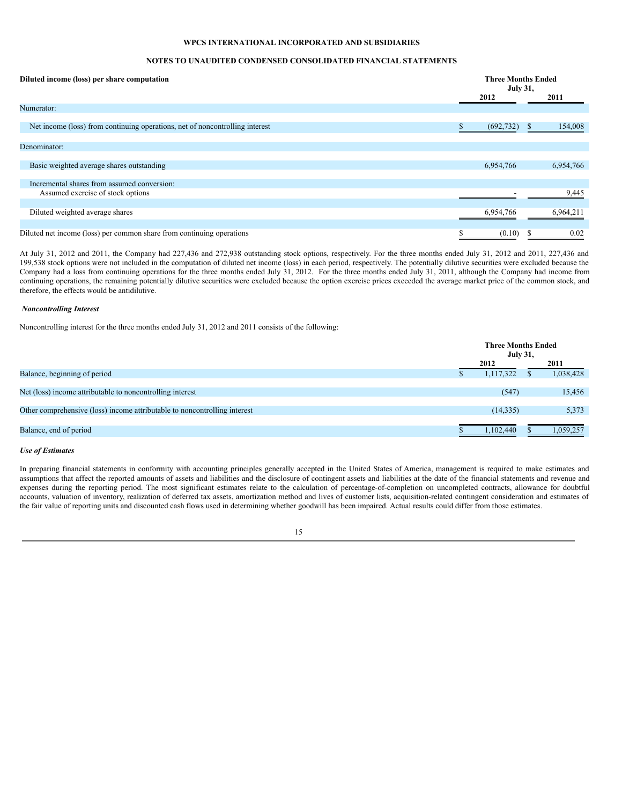## **NOTES TO UNAUDITED CONDENSED CONSOLIDATED FINANCIAL STATEMENTS**

| Diluted income (loss) per share computation                                  |    | <b>Three Months Ended</b><br><b>July 31,</b> |    |           |  |
|------------------------------------------------------------------------------|----|----------------------------------------------|----|-----------|--|
|                                                                              |    | 2012                                         |    | 2011      |  |
| Numerator:                                                                   |    |                                              |    |           |  |
|                                                                              |    |                                              |    |           |  |
| Net income (loss) from continuing operations, net of noncontrolling interest |    | (692, 732)                                   | D. | 154,008   |  |
|                                                                              |    |                                              |    |           |  |
| Denominator:                                                                 |    |                                              |    |           |  |
|                                                                              |    |                                              |    |           |  |
| Basic weighted average shares outstanding                                    |    | 6,954,766                                    |    | 6,954,766 |  |
|                                                                              |    |                                              |    |           |  |
| Incremental shares from assumed conversion:                                  |    |                                              |    |           |  |
| Assumed exercise of stock options                                            |    |                                              |    | 9,445     |  |
|                                                                              |    |                                              |    |           |  |
| Diluted weighted average shares                                              |    | 6.954.766                                    |    | 6.964.211 |  |
|                                                                              |    |                                              |    |           |  |
| Diluted net income (loss) per common share from continuing operations        | J. | (0.10)                                       | ъ  | 0.02      |  |

At July 31, 2012 and 2011, the Company had 227,436 and 272,938 outstanding stock options, respectively. For the three months ended July 31, 2012 and 2011, 227,436 and 199,538 stock options were not included in the computation of diluted net income (loss) in each period, respectively. The potentially dilutive securities were excluded because the Company had a loss from continuing operations for the three months ended July 31, 2012. For the three months ended July 31, 2011, although the Company had income from continuing operations, the remaining potentially dilutive securities were excluded because the option exercise prices exceeded the average market price of the common stock, and therefore, the effects would be antidilutive.

## *Noncontrolling Interest*

Noncontrolling interest for the three months ended July 31, 2012 and 2011 consists of the following:

|                                                                           | <b>Three Months Ended</b><br><b>July 31,</b> |  |           |  |
|---------------------------------------------------------------------------|----------------------------------------------|--|-----------|--|
|                                                                           | 2012                                         |  | 2011      |  |
| Balance, beginning of period                                              | 1,117,322                                    |  | 1,038,428 |  |
|                                                                           |                                              |  |           |  |
| Net (loss) income attributable to noncontrolling interest                 | (547)                                        |  | 15,456    |  |
|                                                                           |                                              |  |           |  |
| Other comprehensive (loss) income attributable to noncontrolling interest | (14, 335)                                    |  | 5,373     |  |
|                                                                           |                                              |  |           |  |
| Balance, end of period                                                    | 1,102,440                                    |  | 1,059,257 |  |

## *Use of Estimates*

In preparing financial statements in conformity with accounting principles generally accepted in the United States of America, management is required to make estimates and assumptions that affect the reported amounts of assets and liabilities and the disclosure of contingent assets and liabilities at the date of the financial statements and revenue and expenses during the reporting period. The most significant estimates relate to the calculation of percentage-of-completion on uncompleted contracts, allowance for doubtful accounts, valuation of inventory, realization of deferred tax assets, amortization method and lives of customer lists, acquisition-related contingent consideration and estimates of the fair value of reporting units and discounted cash flows used in determining whether goodwill has been impaired. Actual results could differ from those estimates.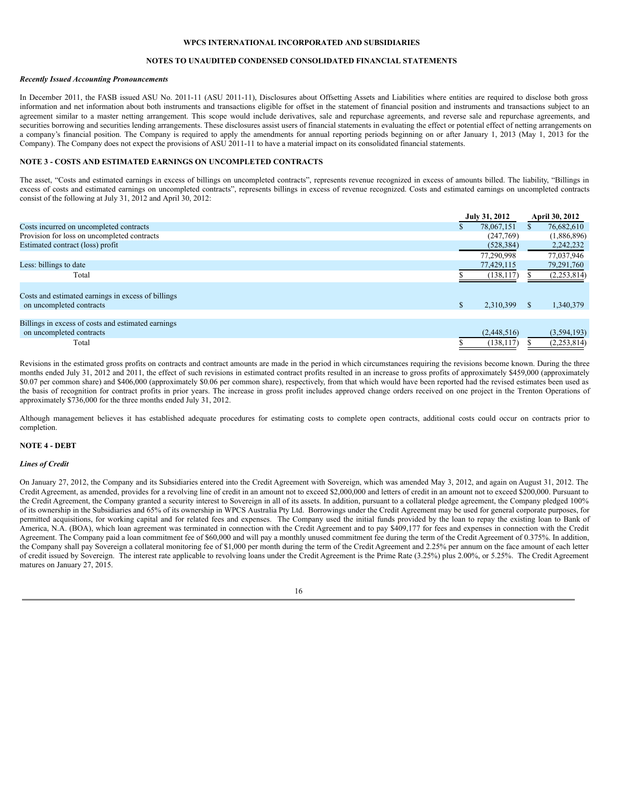## **NOTES TO UNAUDITED CONDENSED CONSOLIDATED FINANCIAL STATEMENTS**

#### *Recently Issued Accounting Pronouncements*

In December 2011, the FASB issued ASU No. 2011-11 (ASU 2011-11), Disclosures about Offsetting Assets and Liabilities where entities are required to disclose both gross information and net information about both instruments and transactions eligible for offset in the statement of financial position and instruments and transactions subject to an agreement similar to a master netting arrangement. This scope would include derivatives, sale and repurchase agreements, and reverse sale and repurchase agreements, and securities borrowing and securities lending arrangements. These disclosures assist users of financial statements in evaluating the effect or potential effect of netting arrangements on a company's financial position. The Company is required to apply the amendments for annual reporting periods beginning on or after January 1, 2013 (May 1, 2013 for the Company). The Company does not expect the provisions of ASU 2011-11 to have a material impact on its consolidated financial statements.

## **NOTE 3 - COSTS AND ESTIMATED EARNINGS ON UNCOMPLETED CONTRACTS**

The asset, "Costs and estimated earnings in excess of billings on uncompleted contracts", represents revenue recognized in excess of amounts billed. The liability, "Billings in excess of costs and estimated earnings on uncompleted contracts", represents billings in excess of revenue recognized. Costs and estimated earnings on uncompleted contracts consist of the following at July 31, 2012 and April 30, 2012:

|                                                                                | <b>July 31, 2012</b> |     | <b>April 30, 2012</b> |  |  |
|--------------------------------------------------------------------------------|----------------------|-----|-----------------------|--|--|
| Costs incurred on uncompleted contracts                                        | 78,067,151           |     | 76,682,610            |  |  |
| Provision for loss on uncompleted contracts                                    | (247,769)            |     | (1,886,896)           |  |  |
| Estimated contract (loss) profit                                               | (528, 384)           |     | 2,242,232             |  |  |
|                                                                                | 77,290,998           |     | 77,037,946            |  |  |
| Less: billings to date                                                         | 77,429,115           |     | 79,291,760            |  |  |
| Total                                                                          | (138, 117)           |     | (2,253,814)           |  |  |
| Costs and estimated earnings in excess of billings<br>on uncompleted contracts | \$<br>2.310.399      | \$. | 1,340,379             |  |  |
|                                                                                |                      |     |                       |  |  |
| Billings in excess of costs and estimated earnings<br>on uncompleted contracts | (2,448,516)          |     | (3,594,193)           |  |  |
| Total                                                                          | (138, 117)           |     | (2,253,814)           |  |  |

Revisions in the estimated gross profits on contracts and contract amounts are made in the period in which circumstances requiring the revisions become known. During the three months ended July 31, 2012 and 2011, the effect of such revisions in estimated contract profits resulted in an increase to gross profits of approximately \$459,000 (approximately \$0.07 per common share) and \$406,000 (approximately \$0.06 per common share), respectively, from that which would have been reported had the revised estimates been used as the basis of recognition for contract profits in prior years. The increase in gross profit includes approved change orders received on one project in the Trenton Operations of approximately \$736,000 for the three months ended July 31, 2012.

Although management believes it has established adequate procedures for estimating costs to complete open contracts, additional costs could occur on contracts prior to completion.

## **NOTE 4 - DEBT**

## *Lines of Credit*

On January 27, 2012, the Company and its Subsidiaries entered into the Credit Agreement with Sovereign, which was amended May 3, 2012, and again on August 31, 2012. The Credit Agreement, as amended, provides for a revolving line of credit in an amount not to exceed \$2,000,000 and letters of credit in an amount not to exceed \$200,000. Pursuant to the Credit Agreement, the Company granted a security interest to Sovereign in all of its assets. In addition, pursuant to a collateral pledge agreement, the Company pledged 100% of its ownership in the Subsidiaries and 65% of its ownership in WPCS Australia Pty Ltd. Borrowings under the Credit Agreement may be used for general corporate purposes, for permitted acquisitions, for working capital and for related fees and expenses. The Company used the initial funds provided by the loan to repay the existing loan to Bank of America, N.A. (BOA), which loan agreement was terminated in connection with the Credit Agreement and to pay \$409,177 for fees and expenses in connection with the Credit Agreement. The Company paid a loan commitment fee of \$60,000 and will pay a monthly unused commitment fee during the term of the Credit Agreement of 0.375%. In addition, the Company shall pay Sovereign a collateral monitoring fee of \$1,000 per month during the term of the Credit Agreement and 2.25% per annum on the face amount of each letter of credit issued by Sovereign. The interest rate applicable to revolving loans under the Credit Agreement is the Prime Rate (3.25%) plus 2.00%, or 5.25%. The Credit Agreement matures on January 27, 2015.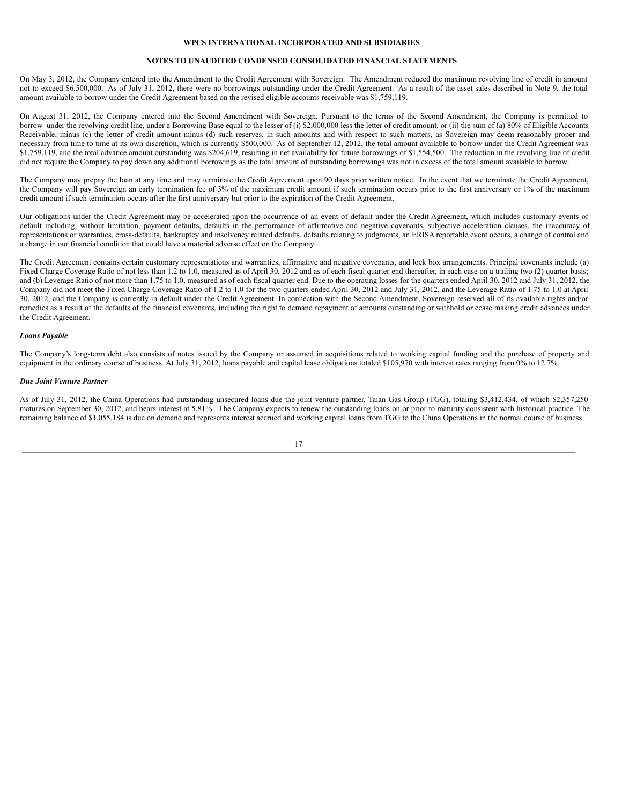## **NOTES TO UNAUDITED CONDENSED CONSOLIDATED FINANCIAL STATEMENTS**

On May 3, 2012, the Company entered into the Amendment to the Credit Agreement with Sovereign. The Amendment reduced the maximum revolving line of credit in amount not to exceed \$6,500,000. As of July 31, 2012, there were no borrowings outstanding under the Credit Agreement. As a result of the asset sales described in Note 9, the total amount available to borrow under the Credit Agreement based on the revised eligible accounts receivable was \$1,759,119.

On August 31, 2012, the Company entered into the Second Amendment with Sovereign. Pursuant to the terms of the Second Amendment, the Company is permitted to borrow under the revolving credit line, under a Borrowing Base equal to the lesser of (i) \$2,000,000 less the letter of credit amount, or (ii) the sum of (a) 80% of Eligible Accounts Receivable, minus (c) the letter of credit amount minus (d) such reserves, in such amounts and with respect to such matters, as Sovereign may deem reasonably proper and necessary from time to time at its own discretion, which is currently \$500,000. As of September 12, 2012, the total amount available to borrow under the Credit Agreement was \$1,759,119, and the total advance amount outstanding was \$204,619, resulting in net availability for future borrowings of \$1,554,500. The reduction in the revolving line of credit did not require the Company to pay down any additional borrowings as the total amount of outstanding borrowings was not in excess of the total amount available to borrow.

The Company may prepay the loan at any time and may terminate the Credit Agreement upon 90 days prior written notice. In the event that we terminate the Credit Agreement, the Company will pay Sovereign an early termination fee of 3% of the maximum credit amount if such termination occurs prior to the first anniversary or 1% of the maximum credit amount if such termination occurs after the first anniversary but prior to the expiration of the Credit Agreement.

Our obligations under the Credit Agreement may be accelerated upon the occurrence of an event of default under the Credit Agreement, which includes customary events of default including, without limitation, payment defaults, defaults in the performance of affirmative and negative covenants, subjective acceleration clauses, the inaccuracy of representations or warranties, cross-defaults, bankruptcy and insolvency related defaults, defaults relating to judgments, an ERISA reportable event occurs, a change of control and a change in our financial condition that could have a material adverse effect on the Company.

The Credit Agreement contains certain customary representations and warranties, affirmative and negative covenants, and lock box arrangements. Principal covenants include (a) Fixed Charge Coverage Ratio of not less than 1.2 to 1.0, measured as of April 30, 2012 and as of each fiscal quarter end thereafter, in each case on a trailing two (2) quarter basis; and (b) Leverage Ratio of not more than 1.75 to 1.0, measured as of each fiscal quarter end. Due to the operating losses for the quarters ended April 30, 2012 and July 31, 2012, the Company did not meet the Fixed Charge Coverage Ratio of 1.2 to 1.0 for the two quarters ended April 30, 2012 and July 31, 2012, and the Leverage Ratio of 1.75 to 1.0 at April 30, 2012, and the Company is currently in default under the Credit Agreement. In connection with the Second Amendment, Sovereign reserved all of its available rights and/or remedies as a result of the defaults of the financial covenants, including the right to demand repayment of amounts outstanding or withhold or cease making credit advances under the Credit Agreement.

## *Loans Payable*

The Company's long-term debt also consists of notes issued by the Company or assumed in acquisitions related to working capital funding and the purchase of property and equipment in the ordinary course of business. At July 31, 2012, loans payable and capital lease obligations totaled \$105,970 with interest rates ranging from 0% to 12.7%.

### *Due Joint Venture Partner*

As of July 31, 2012, the China Operations had outstanding unsecured loans due the joint venture partner, Taian Gas Group (TGG), totaling \$3,412,434, of which \$2,357,250 matures on September 30, 2012, and bears interest at 5.81%. The Company expects to renew the outstanding loans on or prior to maturity consistent with historical practice. The remaining balance of \$1,055,184 is due on demand and represents interest accrued and working capital loans from TGG to the China Operations in the normal course of business.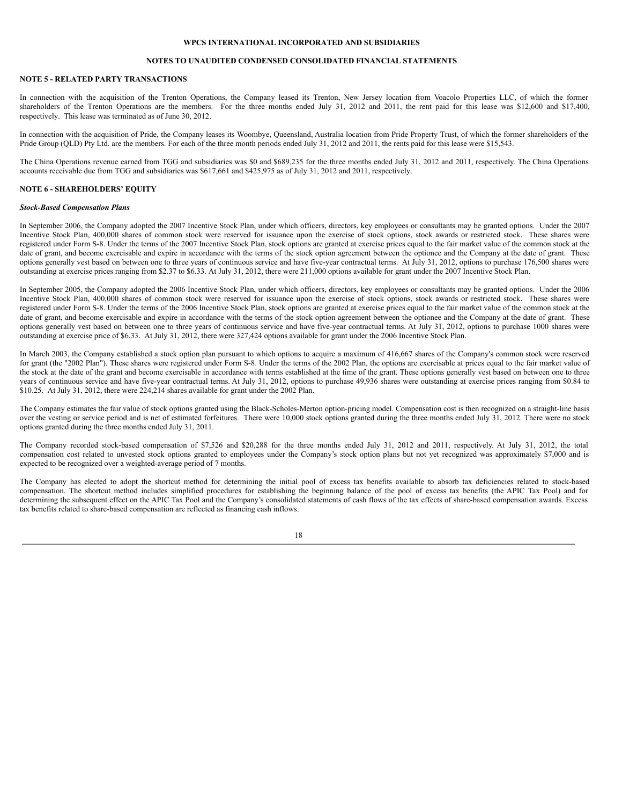## **NOTES TO UNAUDITED CONDENSED CONSOLIDATED FINANCIAL STATEMENTS**

## **NOTE 5 - RELATED PARTY TRANSACTIONS**

In connection with the acquisition of the Trenton Operations, the Company leased its Trenton, New Jersey location from Voacolo Properties LLC, of which the former shareholders of the Trenton Operations are the members. For the three months ended July 31, 2012 and 2011, the rent paid for this lease was \$12,600 and \$17,400, respectively. This lease was terminated as of June 30, 2012.

In connection with the acquisition of Pride, the Company leases its Woombye, Queensland, Australia location from Pride Property Trust, of which the former shareholders of the Pride Group (QLD) Pty Ltd. are the members. For each of the three month periods ended July 31, 2012 and 2011, the rents paid for this lease were \$15,543.

The China Operations revenue earned from TGG and subsidiaries was \$0 and \$689,235 for the three months ended July 31, 2012 and 2011, respectively. The China Operations accounts receivable due from TGG and subsidiaries was \$617,661 and \$425,975 as of July 31, 2012 and 2011, respectively.

## **NOTE 6 - SHAREHOLDERS' EQUITY**

#### *Stock-Based Compensation Plans*

In September 2006, the Company adopted the 2007 Incentive Stock Plan, under which officers, directors, key employees or consultants may be granted options. Under the 2007 Incentive Stock Plan, 400,000 shares of common stock were reserved for issuance upon the exercise of stock options, stock awards or restricted stock. These shares were registered under Form S-8. Under the terms of the 2007 Incentive Stock Plan, stock options are granted at exercise prices equal to the fair market value of the common stock at the date of grant, and become exercisable and expire in accordance with the terms of the stock option agreement between the optionee and the Company at the date of grant. These options generally vest based on between one to three years of continuous service and have five-year contractual terms. At July 31, 2012, options to purchase 176,500 shares were outstanding at exercise prices ranging from \$2.37 to \$6.33. At July 31, 2012, there were 211,000 options available for grant under the 2007 Incentive Stock Plan.

In September 2005, the Company adopted the 2006 Incentive Stock Plan, under which officers, directors, key employees or consultants may be granted options. Under the 2006 Incentive Stock Plan, 400,000 shares of common stock were reserved for issuance upon the exercise of stock options, stock awards or restricted stock. These shares were registered under Form S-8. Under the terms of the 2006 Incentive Stock Plan, stock options are granted at exercise prices equal to the fair market value of the common stock at the date of grant, and become exercisable and expire in accordance with the terms of the stock option agreement between the optionee and the Company at the date of grant. These options generally vest based on between one to three years of continuous service and have five-year contractual terms. At July 31, 2012, options to purchase 1000 shares were outstanding at exercise price of \$6.33. At July 31, 2012, there were 327,424 options available for grant under the 2006 Incentive Stock Plan.

In March 2003, the Company established a stock option plan pursuant to which options to acquire a maximum of 416,667 shares of the Company's common stock were reserved for grant (the "2002 Plan"). These shares were registered under Form S-8. Under the terms of the 2002 Plan, the options are exercisable at prices equal to the fair market value of the stock at the date of the grant and become exercisable in accordance with terms established at the time of the grant. These options generally vest based on between one to three years of continuous service and have five-year contractual terms. At July 31, 2012, options to purchase 49,936 shares were outstanding at exercise prices ranging from \$0.84 to \$10.25. At July 31, 2012, there were 224,214 shares available for grant under the 2002 Plan.

The Company estimates the fair value of stock options granted using the Black-Scholes-Merton option-pricing model. Compensation cost is then recognized on a straight-line basis over the vesting or service period and is net of estimated forfeitures. There were 10,000 stock options granted during the three months ended July 31, 2012. There were no stock options granted during the three months ended July 31, 2011.

The Company recorded stock-based compensation of \$7,526 and \$20,288 for the three months ended July 31, 2012 and 2011, respectively. At July 31, 2012, the total compensation cost related to unvested stock options granted to employees under the Company's stock option plans but not yet recognized was approximately \$7,000 and is expected to be recognized over a weighted-average period of 7 months.

The Company has elected to adopt the shortcut method for determining the initial pool of excess tax benefits available to absorb tax deficiencies related to stock-based compensation. The shortcut method includes simplified procedures for establishing the beginning balance of the pool of excess tax benefits (the APIC Tax Pool) and for determining the subsequent effect on the APIC Tax Pool and the Company's consolidated statements of cash flows of the tax effects of share-based compensation awards. Excess tax benefits related to share-based compensation are reflected as financing cash inflows.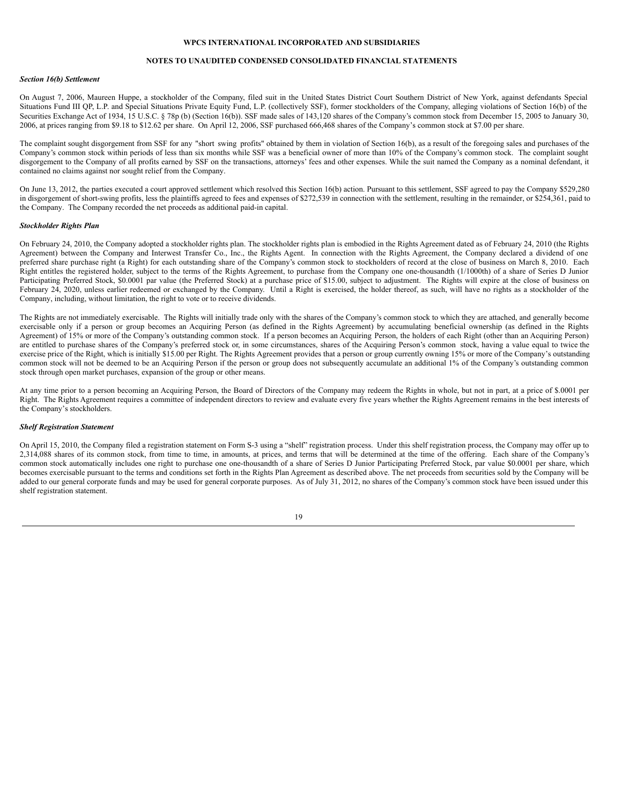## **NOTES TO UNAUDITED CONDENSED CONSOLIDATED FINANCIAL STATEMENTS**

#### *Section 16(b) Settlement*

On August 7, 2006, Maureen Huppe, a stockholder of the Company, filed suit in the United States District Court Southern District of New York, against defendants Special Situations Fund III QP, L.P. and Special Situations Private Equity Fund, L.P. (collectively SSF), former stockholders of the Company, alleging violations of Section 16(b) of the Securities Exchange Act of 1934, 15 U.S.C. § 78p (b) (Section 16(b)). SSF made sales of 143,120 shares of the Company's common stock from December 15, 2005 to January 30, 2006, at prices ranging from \$9.18 to \$12.62 per share. On April 12, 2006, SSF purchased 666,468 shares of the Company's common stock at \$7.00 per share.

The complaint sought disgorgement from SSF for any "short swing profits" obtained by them in violation of Section 16(b), as a result of the foregoing sales and purchases of the Company's common stock within periods of less than six months while SSF was a beneficial owner of more than 10% of the Company's common stock. The complaint sought disgorgement to the Company of all profits earned by SSF on the transactions, attorneys' fees and other expenses. While the suit named the Company as a nominal defendant, it contained no claims against nor sought relief from the Company.

On June 13, 2012, the parties executed a court approved settlement which resolved this Section 16(b) action. Pursuant to this settlement, SSF agreed to pay the Company \$529,280 in disgorgement of short-swing profits, less the plaintiffs agreed to fees and expenses of \$272,539 in connection with the settlement, resulting in the remainder, or \$254,361, paid to the Company. The Company recorded the net proceeds as additional paid-in capital.

### *Stockholder Rights Plan*

On February 24, 2010, the Company adopted a stockholder rights plan. The stockholder rights plan is embodied in the Rights Agreement dated as of February 24, 2010 (the Rights Agreement) between the Company and Interwest Transfer Co., Inc., the Rights Agent. In connection with the Rights Agreement, the Company declared a dividend of one preferred share purchase right (a Right) for each outstanding share of the Company's common stock to stockholders of record at the close of business on March 8, 2010. Each Right entitles the registered holder, subject to the terms of the Rights Agreement, to purchase from the Company one one-thousandth (1/1000th) of a share of Series D Junior Participating Preferred Stock, \$0.0001 par value (the Preferred Stock) at a purchase price of \$15.00, subject to adjustment. The Rights will expire at the close of business on February 24, 2020, unless earlier redeemed or exchanged by the Company. Until a Right is exercised, the holder thereof, as such, will have no rights as a stockholder of the Company, including, without limitation, the right to vote or to receive dividends.

The Rights are not immediately exercisable. The Rights will initially trade only with the shares of the Company's common stock to which they are attached, and generally become exercisable only if a person or group becomes an Acquiring Person (as defined in the Rights Agreement) by accumulating beneficial ownership (as defined in the Rights Agreement) of 15% or more of the Company's outstanding common stock. If a person becomes an Acquiring Person, the holders of each Right (other than an Acquiring Person) are entitled to purchase shares of the Company's preferred stock or, in some circumstances, shares of the Acquiring Person's common stock, having a value equal to twice the exercise price of the Right, which is initially \$15.00 per Right. The Rights Agreement provides that a person or group currently owning 15% or more of the Company's outstanding common stock will not be deemed to be an Acquiring Person if the person or group does not subsequently accumulate an additional 1% of the Company's outstanding common stock through open market purchases, expansion of the group or other means.

At any time prior to a person becoming an Acquiring Person, the Board of Directors of the Company may redeem the Rights in whole, but not in part, at a price of \$.0001 per Right. The Rights Agreement requires a committee of independent directors to review and evaluate every five years whether the Rights Agreement remains in the best interests of the Company's stockholders.

## *Shelf Registration Statement*

On April 15, 2010, the Company filed a registration statement on Form S-3 using a "shelf" registration process. Under this shelf registration process, the Company may offer up to 2,314,088 shares of its common stock, from time to time, in amounts, at prices, and terms that will be determined at the time of the offering. Each share of the Company's common stock automatically includes one right to purchase one one-thousandth of a share of Series D Junior Participating Preferred Stock, par value \$0.0001 per share, which becomes exercisable pursuant to the terms and conditions set forth in the Rights Plan Agreement as described above. The net proceeds from securities sold by the Company will be added to our general corporate funds and may be used for general corporate purposes. As of July 31, 2012, no shares of the Company's common stock have been issued under this shelf registration statement.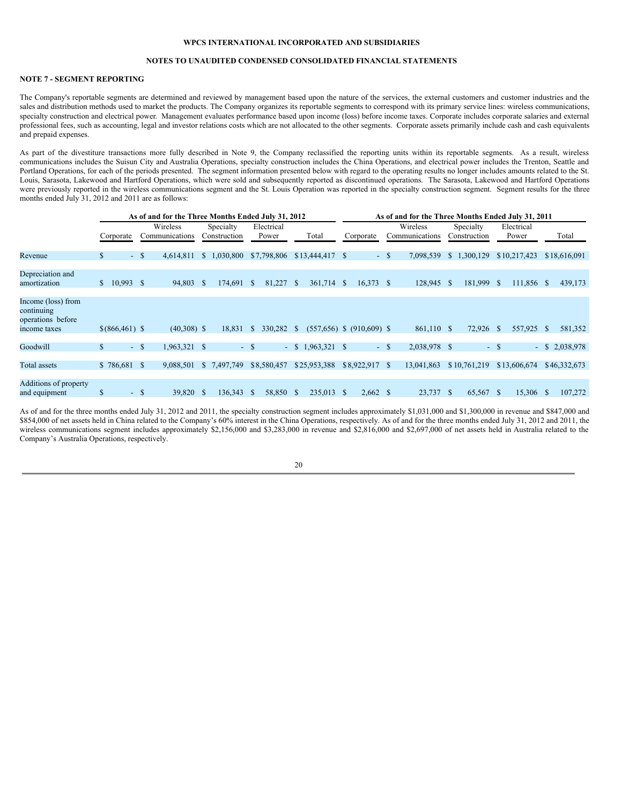## **NOTES TO UNAUDITED CONDENSED CONSOLIDATED FINANCIAL STATEMENTS**

## **NOTE 7 - SEGMENT REPORTING**

The Company's reportable segments are determined and reviewed by management based upon the nature of the services, the external customers and customer industries and the sales and distribution methods used to market the products. The Company organizes its reportable segments to correspond with its primary service lines: wireless communications, specialty construction and electrical power. Management evaluates performance based upon income (loss) before income taxes. Corporate includes corporate salaries and external professional fees, such as accounting, legal and investor relations costs which are not allocated to the other segments. Corporate assets primarily include cash and cash equivalents and prepaid expenses.

As part of the divestiture transactions more fully described in Note 9, the Company reclassified the reporting units within its reportable segments. As a result, wireless communications includes the Suisun City and Australia Operations, specialty construction includes the China Operations, and electrical power includes the Trenton, Seattle and Portland Operations, for each of the periods presented. The segment information presented below with regard to the operating results no longer includes amounts related to the St. Louis, Sarasota, Lakewood and Hartford Operations, which were sold and subsequently reported as discontinued operations. The Sarasota, Lakewood and Hartford Operations were previously reported in the wireless communications segment and the St. Louis Operation was reported in the specialty construction segment. Segment results for the three months ended July 31, 2012 and 2011 are as follows:

|                                                                       | As of and for the Three Months Ended July 31, 2012 |                            |               |                            |                        |                     |                               |        |                            | As of and for the Three Months Ended July 31, 2011 |                            |                   |
|-----------------------------------------------------------------------|----------------------------------------------------|----------------------------|---------------|----------------------------|------------------------|---------------------|-------------------------------|--------|----------------------------|----------------------------------------------------|----------------------------|-------------------|
|                                                                       | Corporate                                          | Wireless<br>Communications |               | Specialty<br>Construction  | Electrical<br>Power    | Total               | Corporate                     |        | Wireless<br>Communications | Specialty<br>Construction                          | Electrical<br>Power        | Total             |
| Revenue                                                               | \$                                                 | $-$ \$                     | 4.614.811     | 1,030,800<br><sup>\$</sup> | \$7,798,806            | $$13,444,417$ \ \$  |                               | $-$ \$ | 7,098,539                  | 1,300,129<br><sup>S</sup>                          | \$10,217,423               | \$18,616,091      |
| Depreciation and<br>amortization                                      | $10,993$ \$<br>S.                                  |                            | 94.803 \$     | 174.691                    | 81,227<br>- \$         | 361.714 \$<br>-S    | $16,373$ \$                   |        | 128,945 \$                 | 181,999                                            | 111.856 \$<br>-S           | 439,173           |
| Income (loss) from<br>continuing<br>operations before<br>income taxes | $$ (866, 461)$ \$                                  |                            | $(40,308)$ \$ | 18.831                     | 330,282<br>-S          | -S                  | $(557,656)$ \$ $(910,609)$ \$ |        | 861,110 \$                 | 72,926                                             | 557,925 \$<br><sup>S</sup> | 581,352           |
| Goodwill                                                              | \$                                                 | $-$ \$                     | 1,963,321 \$  |                            | $-$ \$                 | $-$ \$ 1,963,321 \$ |                               | $-$ \$ | 2,038,978 \$               |                                                    | $-$ \$                     | 2,038,978<br>- \$ |
| Total assets                                                          | $$786,681$ \$                                      |                            | 9.088.501     | \$7,497,749                | \$8,580,457            | \$25,953,388        | \$8,922,917 \$                |        | 13.041.863                 | \$10,761,219                                       | \$13,606,674               | \$46,332,673      |
| Additions of property<br>and equipment                                | \$                                                 | $-$ \$                     | 39,820        | 136,343<br>-S              | 58,850<br>$\mathbf{S}$ | 235,013 \$<br>-S    | $2,662$ \$                    |        | 23,737 \$                  | 65,567                                             | 15,306<br>- \$             | 107,272<br>-S     |

As of and for the three months ended July 31, 2012 and 2011, the specialty construction segment includes approximately \$1,031,000 and \$1,300,000 in revenue and \$847,000 and \$854,000 of net assets held in China related to the Company's 60% interest in the China Operations, respectively. As of and for the three months ended July 31, 2012 and 2011, the wireless communications segment includes approximately \$2,156,000 and \$3,283,000 in revenue and \$2,816,000 and \$2,697,000 of net assets held in Australia related to the Company's Australia Operations, respectively.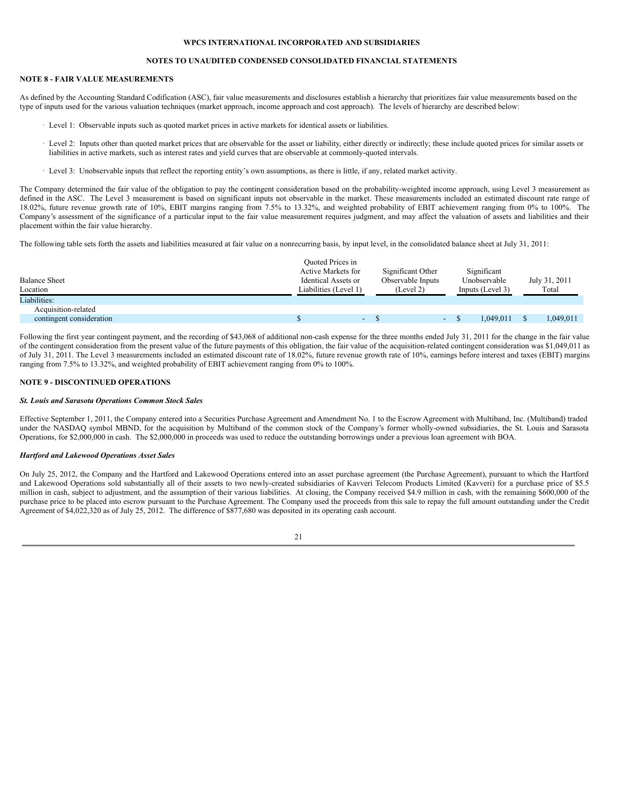## **NOTES TO UNAUDITED CONDENSED CONSOLIDATED FINANCIAL STATEMENTS**

## **NOTE 8 - FAIR VALUE MEASUREMENTS**

As defined by the Accounting Standard Codification (ASC), fair value measurements and disclosures establish a hierarchy that prioritizes fair value measurements based on the type of inputs used for the various valuation techniques (market approach, income approach and cost approach). The levels of hierarchy are described below:

- · Level 1: Observable inputs such as quoted market prices in active markets for identical assets or liabilities.
- · Level 2: Inputs other than quoted market prices that are observable for the asset or liability, either directly or indirectly; these include quoted prices for similar assets or liabilities in active markets, such as interest rates and yield curves that are observable at commonly-quoted intervals.
- · Level 3: Unobservable inputs that reflect the reporting entity's own assumptions, as there is little, if any, related market activity.

The Company determined the fair value of the obligation to pay the contingent consideration based on the probability-weighted income approach, using Level 3 measurement as defined in the ASC. The Level 3 measurement is based on significant inputs not observable in the market. These measurements included an estimated discount rate range of 18.02%, future revenue growth rate of 10%, EBIT margins ranging from 7.5% to 13.32%, and weighted probability of EBIT achievement ranging from 0% to 100%. The Company's assessment of the significance of a particular input to the fair value measurement requires judgment, and may affect the valuation of assets and liabilities and their placement within the fair value hierarchy.

The following table sets forth the assets and liabilities measured at fair value on a nonrecurring basis, by input level, in the consolidated balance sheet at July 31, 2011:

|                          | <b>Ouoted Prices in</b>  |                   |                  |           |               |
|--------------------------|--------------------------|-------------------|------------------|-----------|---------------|
|                          | Active Markets for       | Significant Other | Significant      |           |               |
| <b>Balance Sheet</b>     | Identical Assets or      | Observable Inputs | Unobservable     |           | July 31, 2011 |
| Location                 | Liabilities (Level 1)    | (Level 2)         | Inputs (Level 3) |           | Total         |
| Liabilities:             |                          |                   |                  |           |               |
| Acquisition-related      |                          |                   |                  |           |               |
| contingent consideration | $\overline{\phantom{0}}$ | $\blacksquare$    |                  | 1.049.011 | 1.049.011     |

Following the first year contingent payment, and the recording of \$43,068 of additional non-cash expense for the three months ended July 31, 2011 for the change in the fair value of the contingent consideration from the present value of the future payments of this obligation, the fair value of the acquisition-related contingent consideration was \$1,049,011 as of July 31, 2011. The Level 3 measurements included an estimated discount rate of 18.02%, future revenue growth rate of 10%, earnings before interest and taxes (EBIT) margins ranging from 7.5% to 13.32%, and weighted probability of EBIT achievement ranging from 0% to 100%.

## **NOTE 9 - DISCONTINUED OPERATIONS**

## *St. Louis and Sarasota Operations Common Stock Sales*

Effective September 1, 2011, the Company entered into a Securities Purchase Agreement and Amendment No. 1 to the Escrow Agreement with Multiband, Inc. (Multiband) traded under the NASDAQ symbol MBND, for the acquisition by Multiband of the common stock of the Company's former wholly-owned subsidiaries, the St. Louis and Sarasota Operations, for \$2,000,000 in cash. The \$2,000,000 in proceeds was used to reduce the outstanding borrowings under a previous loan agreement with BOA.

#### *Hartford and Lakewood Operations Asset Sales*

On July 25, 2012, the Company and the Hartford and Lakewood Operations entered into an asset purchase agreement (the Purchase Agreement), pursuant to which the Hartford and Lakewood Operations sold substantially all of their assets to two newly-created subsidiaries of Kavveri Telecom Products Limited (Kavveri) for a purchase price of \$5.5 million in cash, subject to adjustment, and the assumption of their various liabilities. At closing, the Company received \$4.9 million in cash, with the remaining \$600,000 of the purchase price to be placed into escrow pursuant to the Purchase Agreement. The Company used the proceeds from this sale to repay the full amount outstanding under the Credit Agreement of \$4,022,320 as of July 25, 2012. The difference of \$877,680 was deposited in its operating cash account.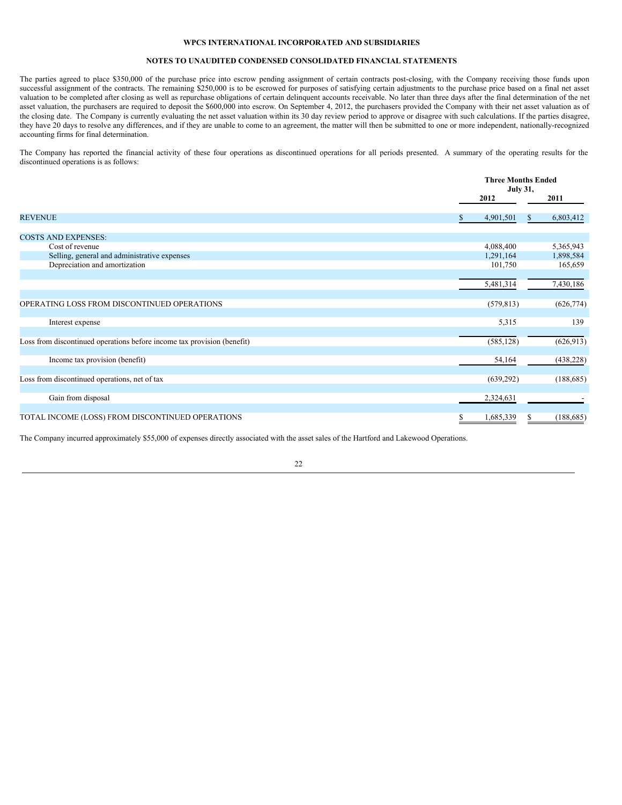## **NOTES TO UNAUDITED CONDENSED CONSOLIDATED FINANCIAL STATEMENTS**

The parties agreed to place \$350,000 of the purchase price into escrow pending assignment of certain contracts post-closing, with the Company receiving those funds upon successful assignment of the contracts. The remaining \$250,000 is to be escrowed for purposes of satisfying certain adjustments to the purchase price based on a final net asset valuation to be completed after closing as well as repurchase obligations of certain delinquent accounts receivable. No later than three days after the final determination of the net asset valuation, the purchasers are required to deposit the \$600,000 into escrow. On September 4, 2012, the purchasers provided the Company with their net asset valuation as of the closing date. The Company is currently evaluating the net asset valuation within its 30 day review period to approve or disagree with such calculations. If the parties disagree, they have 20 days to resolve any differences, and if they are unable to come to an agreement, the matter will then be submitted to one or more independent, nationally-recognized accounting firms for final determination.

The Company has reported the financial activity of these four operations as discontinued operations for all periods presented. A summary of the operating results for the discontinued operations is as follows:

|                                                                         | <b>Three Months Ended</b><br><b>July 31,</b> |                |
|-------------------------------------------------------------------------|----------------------------------------------|----------------|
|                                                                         | 2012                                         | 2011           |
| <b>REVENUE</b>                                                          | 4,901,501<br>Ъ.                              | 6,803,412<br>S |
| <b>COSTS AND EXPENSES:</b>                                              |                                              |                |
| Cost of revenue                                                         | 4,088,400                                    | 5,365,943      |
| Selling, general and administrative expenses                            | 1,291,164                                    | 1,898,584      |
| Depreciation and amortization                                           | 101,750                                      | 165,659        |
|                                                                         | 5,481,314                                    | 7,430,186      |
| OPERATING LOSS FROM DISCONTINUED OPERATIONS                             | (579, 813)                                   | (626, 774)     |
| Interest expense                                                        | 5,315                                        | 139            |
| Loss from discontinued operations before income tax provision (benefit) | (585, 128)                                   | (626, 913)     |
| Income tax provision (benefit)                                          | 54,164                                       | (438, 228)     |
| Loss from discontinued operations, net of tax                           | (639, 292)                                   | (188, 685)     |
| Gain from disposal                                                      | 2,324,631                                    |                |
| TOTAL INCOME (LOSS) FROM DISCONTINUED OPERATIONS                        | 1,685,339<br>ж                               | (188, 685)     |

The Company incurred approximately \$55,000 of expenses directly associated with the asset sales of the Hartford and Lakewood Operations.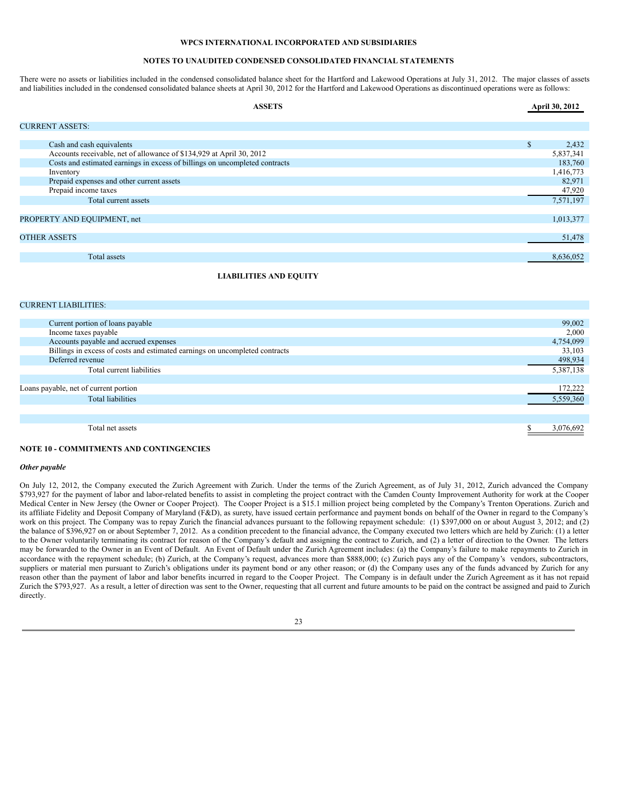## **NOTES TO UNAUDITED CONDENSED CONSOLIDATED FINANCIAL STATEMENTS**

There were no assets or liabilities included in the condensed consolidated balance sheet for the Hartford and Lakewood Operations at July 31, 2012. The major classes of assets and liabilities included in the condensed consolidated balance sheets at April 30, 2012 for the Hartford and Lakewood Operations as discontinued operations were as follows:

| <b>ASSETS</b>                                                               |              | April 30, 2012 |  |  |  |
|-----------------------------------------------------------------------------|--------------|----------------|--|--|--|
| <b>CURRENT ASSETS:</b>                                                      |              |                |  |  |  |
|                                                                             |              |                |  |  |  |
| Cash and cash equivalents                                                   | $\mathbb{S}$ | 2,432          |  |  |  |
| Accounts receivable, net of allowance of \$134,929 at April 30, 2012        |              | 5,837,341      |  |  |  |
| Costs and estimated earnings in excess of billings on uncompleted contracts |              |                |  |  |  |
| Inventory                                                                   |              | 1,416,773      |  |  |  |
| Prepaid expenses and other current assets                                   |              | 82,971         |  |  |  |
| Prepaid income taxes                                                        |              | 47,920         |  |  |  |
| Total current assets                                                        |              | 7,571,197      |  |  |  |
|                                                                             |              |                |  |  |  |
| PROPERTY AND EQUIPMENT, net                                                 |              | 1,013,377      |  |  |  |
|                                                                             |              |                |  |  |  |
| <b>OTHER ASSETS</b>                                                         |              | 51,478         |  |  |  |
|                                                                             |              |                |  |  |  |
| Total assets                                                                |              | 8,636,052      |  |  |  |
|                                                                             |              |                |  |  |  |

## **LIABILITIES AND EQUITY**

### CURRENT LIABILITIES:

| Current portion of loans payable                                            | 99,002    |
|-----------------------------------------------------------------------------|-----------|
| Income taxes payable                                                        | 2,000     |
| Accounts payable and accrued expenses                                       | 4,754,099 |
| Billings in excess of costs and estimated earnings on uncompleted contracts | 33,103    |
| Deferred revenue                                                            | 498,934   |
| Total current liabilities                                                   | 5,387,138 |
|                                                                             |           |
| Loans payable, net of current portion                                       | 172,222   |
| <b>Total liabilities</b>                                                    | 5,559,360 |
|                                                                             |           |
|                                                                             |           |
| Total net assets                                                            | 3.076.692 |

#### **NOTE 10 - COMMITMENTS AND CONTINGENCIES**

#### *Other payable*

On July 12, 2012, the Company executed the Zurich Agreement with Zurich. Under the terms of the Zurich Agreement, as of July 31, 2012, Zurich advanced the Company \$793,927 for the payment of labor and labor-related benefits to assist in completing the project contract with the Camden County Improvement Authority for work at the Cooper Medical Center in New Jersey (the Owner or Cooper Project). The Cooper Project is a \$15.1 million project being completed by the Company's Trenton Operations. Zurich and its affiliate Fidelity and Deposit Company of Maryland (F&D), as surety, have issued certain performance and payment bonds on behalf of the Owner in regard to the Company's work on this project. The Company was to repay Zurich the financial advances pursuant to the following repayment schedule: (1) \$397,000 on or about August 3, 2012; and (2) the balance of \$396,927 on or about September 7, 2012. As a condition precedent to the financial advance, the Company executed two letters which are held by Zurich: (1) a letter to the Owner voluntarily terminating its contract for reason of the Company's default and assigning the contract to Zurich, and (2) a letter of direction to the Owner. The letters may be forwarded to the Owner in an Event of Default. An Event of Default under the Zurich Agreement includes: (a) the Company's failure to make repayments to Zurich in accordance with the repayment schedule; (b) Zurich, at the Company's request, advances more than \$888,000; (c) Zurich pays any of the Company's vendors, subcontractors, suppliers or material men pursuant to Zurich's obligations under its payment bond or any other reason; or (d) the Company uses any of the funds advanced by Zurich for any reason other than the payment of labor and labor benefits incurred in regard to the Cooper Project. The Company is in default under the Zurich Agreement as it has not repaid Zurich the \$793,927. As a result, a letter of direction was sent to the Owner, requesting that all current and future amounts to be paid on the contract be assigned and paid to Zurich directly.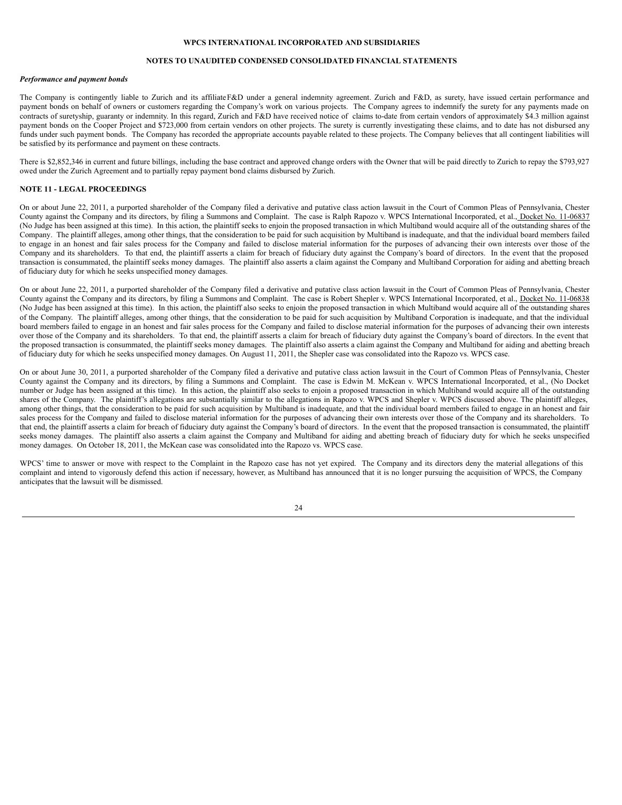## **NOTES TO UNAUDITED CONDENSED CONSOLIDATED FINANCIAL STATEMENTS**

#### *Performance and payment bonds*

The Company is contingently liable to Zurich and its affiliateF&D under a general indemnity agreement. Zurich and F&D, as surety, have issued certain performance and payment bonds on behalf of owners or customers regarding the Company's work on various projects. The Company agrees to indemnify the surety for any payments made on contracts of suretyship, guaranty or indemnity. In this regard, Zurich and F&D have received notice of claims to-date from certain vendors of approximately \$4.3 million against payment bonds on the Cooper Project and \$723,000 from certain vendors on other projects. The surety is currently investigating these claims, and to date has not disbursed any funds under such payment bonds. The Company has recorded the appropriate accounts payable related to these projects. The Company believes that all contingent liabilities will be satisfied by its performance and payment on these contracts.

There is \$2,852,346 in current and future billings, including the base contract and approved change orders with the Owner that will be paid directly to Zurich to repay the \$793,927 owed under the Zurich Agreement and to partially repay payment bond claims disbursed by Zurich.

## **NOTE 11 - LEGAL PROCEEDINGS**

On or about June 22, 2011, a purported shareholder of the Company filed a derivative and putative class action lawsuit in the Court of Common Pleas of Pennsylvania, Chester County against the Company and its directors, by filing a Summons and Complaint. The case is Ralph Rapozo v. WPCS International Incorporated, et al., Docket No. 11-06837 (No Judge has been assigned at this time). In this action, the plaintiff seeks to enjoin the proposed transaction in which Multiband would acquire all of the outstanding shares of the Company. The plaintiff alleges, among other things, that the consideration to be paid for such acquisition by Multiband is inadequate, and that the individual board members failed to engage in an honest and fair sales process for the Company and failed to disclose material information for the purposes of advancing their own interests over those of the Company and its shareholders. To that end, the plaintiff asserts a claim for breach of fiduciary duty against the Company's board of directors. In the event that the proposed transaction is consummated, the plaintiff seeks money damages. The plaintiff also asserts a claim against the Company and Multiband Corporation for aiding and abetting breach of fiduciary duty for which he seeks unspecified money damages.

On or about June 22, 2011, a purported shareholder of the Company filed a derivative and putative class action lawsuit in the Court of Common Pleas of Pennsylvania, Chester County against the Company and its directors, by filing a Summons and Complaint. The case is Robert Shepler v. WPCS International Incorporated, et al., Docket No. 11-06838 (No Judge has been assigned at this time). In this action, the plaintiff also seeks to enjoin the proposed transaction in which Multiband would acquire all of the outstanding shares of the Company. The plaintiff alleges, among other things, that the consideration to be paid for such acquisition by Multiband Corporation is inadequate, and that the individual board members failed to engage in an honest and fair sales process for the Company and failed to disclose material information for the purposes of advancing their own interests over those of the Company and its shareholders. To that end, the plaintiff asserts a claim for breach of fiduciary duty against the Company's board of directors. In the event that the proposed transaction is consummated, the plaintiff seeks money damages. The plaintiff also asserts a claim against the Company and Multiband for aiding and abetting breach of fiduciary duty for which he seeks unspecified money damages. On August 11, 2011, the Shepler case was consolidated into the Rapozo vs. WPCS case.

On or about June 30, 2011, a purported shareholder of the Company filed a derivative and putative class action lawsuit in the Court of Common Pleas of Pennsylvania, Chester County against the Company and its directors, by filing a Summons and Complaint. The case is Edwin M. McKean v. WPCS International Incorporated, et al., (No Docket number or Judge has been assigned at this time). In this action, the plaintiff also seeks to enjoin a proposed transaction in which Multiband would acquire all of the outstanding shares of the Company. The plaintiff's allegations are substantially similar to the allegations in Rapozo v. WPCS and Shepler v. WPCS discussed above. The plaintiff alleges, among other things, that the consideration to be paid for such acquisition by Multiband is inadequate, and that the individual board members failed to engage in an honest and fair sales process for the Company and failed to disclose material information for the purposes of advancing their own interests over those of the Company and its shareholders. To that end, the plaintiff asserts a claim for breach of fiduciary duty against the Company's board of directors. In the event that the proposed transaction is consummated, the plaintiff seeks money damages. The plaintiff also asserts a claim against the Company and Multiband for aiding and abetting breach of fiduciary duty for which he seeks unspecified money damages. On October 18, 2011, the McKean case was consolidated into the Rapozo vs. WPCS case.

WPCS' time to answer or move with respect to the Complaint in the Rapozo case has not yet expired. The Company and its directors deny the material allegations of this complaint and intend to vigorously defend this action if necessary, however, as Multiband has announced that it is no longer pursuing the acquisition of WPCS, the Company anticipates that the lawsuit will be dismissed.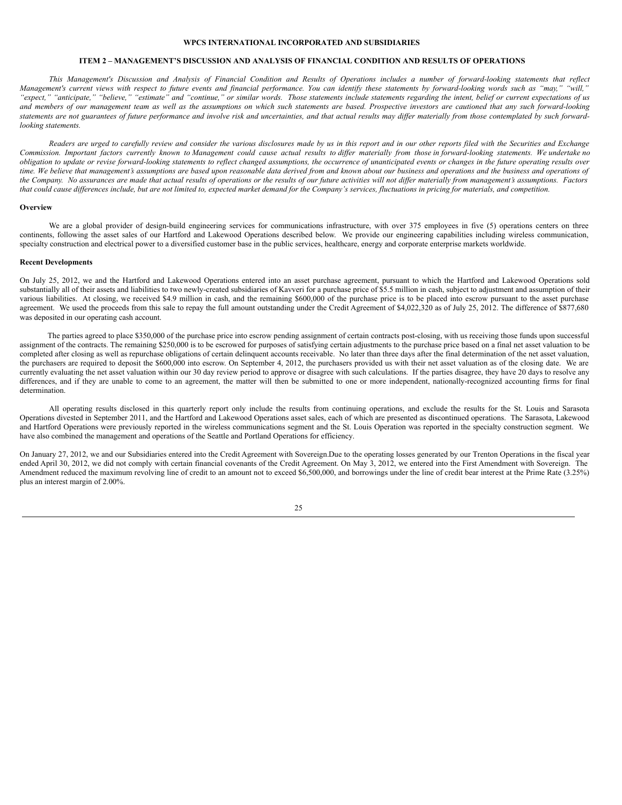### **ITEM 2 – MANAGEMENT'S DISCUSSION AND ANALYSIS OF FINANCIAL CONDITION AND RESULTS OF OPERATIONS**

This Management's Discussion and Analysis of Financial Condition and Results of Operations includes a number of forward-looking statements that reflect Management's current views with respect to future events and financial performance. You can identify these statements by forward-looking words such as "may," "will," "expect," "anticipate," "believe," "estimate" and "continue," or similar words. Those statements include statements regarding the intent, belief or current expectations of us and members of our management team as well as the assumptions on which such statements are based. Prospective investors are cautioned that any such forward-looking statements are not guarantees of future performance and involve risk and uncertainties, and that actual results may differ materially from those contemplated by such forward*looking statements.*

Readers are urged to carefully review and consider the various disclosures made by us in this report and in our other reports filed with the Securities and Exchange Commission. Important factors currently known to Management could cause actual results to differ materially from those in forward-looking statements. We undertake no obligation to update or revise forward-looking statements to reflect changed assumptions, the occurrence of unanticipated events or changes in the future operating results over time. We believe that management's assumptions are based upon reasonable data derived from and known about our business and operations and the business and operations of the Company. No assurances are made that actual results of operations or the results of our future activities will not differ materially from management's assumptions. Factors that could cause differences include, but are not limited to, expected market demand for the Company's services, fluctuations in pricing for materials, and competition.

#### **Overview**

We are a global provider of design-build engineering services for communications infrastructure, with over 375 employees in five (5) operations centers on three continents, following the asset sales of our Hartford and Lakewood Operations described below. We provide our engineering capabilities including wireless communication, specialty construction and electrical power to a diversified customer base in the public services, healthcare, energy and corporate enterprise markets worldwide.

## **Recent Developments**

On July 25, 2012, we and the Hartford and Lakewood Operations entered into an asset purchase agreement, pursuant to which the Hartford and Lakewood Operations sold substantially all of their assets and liabilities to two newly-created subsidiaries of Kavveri for a purchase price of \$5.5 million in cash, subject to adjustment and assumption of their various liabilities. At closing, we received \$4.9 million in cash, and the remaining \$600,000 of the purchase price is to be placed into escrow pursuant to the asset purchase agreement. We used the proceeds from this sale to repay the full amount outstanding under the Credit Agreement of \$4,022,320 as of July 25, 2012. The difference of \$877,680 was deposited in our operating cash account.

The parties agreed to place \$350,000 of the purchase price into escrow pending assignment of certain contracts post-closing, with us receiving those funds upon successful assignment of the contracts. The remaining \$250,000 is to be escrowed for purposes of satisfying certain adjustments to the purchase price based on a final net asset valuation to be completed after closing as well as repurchase obligations of certain delinquent accounts receivable. No later than three days after the final determination of the net asset valuation, the purchasers are required to deposit the \$600,000 into escrow. On September 4, 2012, the purchasers provided us with their net asset valuation as of the closing date. We are currently evaluating the net asset valuation within our 30 day review period to approve or disagree with such calculations. If the parties disagree, they have 20 days to resolve any differences, and if they are unable to come to an agreement, the matter will then be submitted to one or more independent, nationally-recognized accounting firms for final determination.

All operating results disclosed in this quarterly report only include the results from continuing operations, and exclude the results for the St. Louis and Sarasota Operations divested in September 2011, and the Hartford and Lakewood Operations asset sales, each of which are presented as discontinued operations. The Sarasota, Lakewood and Hartford Operations were previously reported in the wireless communications segment and the St. Louis Operation was reported in the specialty construction segment. We have also combined the management and operations of the Seattle and Portland Operations for efficiency.

On January 27, 2012, we and our Subsidiaries entered into the Credit Agreement with Sovereign.Due to the operating losses generated by our Trenton Operations in the fiscal year ended April 30, 2012, we did not comply with certain financial covenants of the Credit Agreement. On May 3, 2012, we entered into the First Amendment with Sovereign. The Amendment reduced the maximum revolving line of credit to an amount not to exceed \$6,500,000, and borrowings under the line of credit bear interest at the Prime Rate (3.25%) plus an interest margin of 2.00%.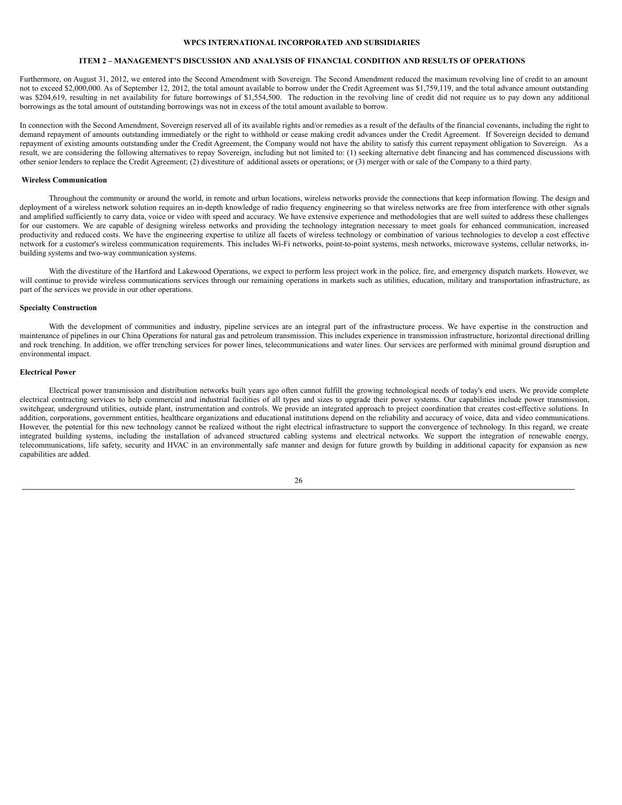## **ITEM 2 – MANAGEMENT'S DISCUSSION AND ANALYSIS OF FINANCIAL CONDITION AND RESULTS OF OPERATIONS**

Furthermore, on August 31, 2012, we entered into the Second Amendment with Sovereign. The Second Amendment reduced the maximum revolving line of credit to an amount not to exceed \$2,000,000. As of September 12, 2012, the total amount available to borrow under the Credit Agreement was \$1,759,119, and the total advance amount outstanding was \$204,619, resulting in net availability for future borrowings of \$1,554,500. The reduction in the revolving line of credit did not require us to pay down any additional borrowings as the total amount of outstanding borrowings was not in excess of the total amount available to borrow.

In connection with the Second Amendment, Sovereign reserved all of its available rights and/or remedies as a result of the defaults of the financial covenants, including the right to demand repayment of amounts outstanding immediately or the right to withhold or cease making credit advances under the Credit Agreement. If Sovereign decided to demand repayment of existing amounts outstanding under the Credit Agreement, the Company would not have the ability to satisfy this current repayment obligation to Sovereign. As a result, we are considering the following alternatives to repay Sovereign, including but not limited to: (1) seeking alternative debt financing and has commenced discussions with other senior lenders to replace the Credit Agreement; (2) divestiture of additional assets or operations; or (3) merger with or sale of the Company to a third party.

#### **Wireless Communication**

Throughout the community or around the world, in remote and urban locations, wireless networks provide the connections that keep information flowing. The design and deployment of a wireless network solution requires an in-depth knowledge of radio frequency engineering so that wireless networks are free from interference with other signals and amplified sufficiently to carry data, voice or video with speed and accuracy. We have extensive experience and methodologies that are well suited to address these challenges for our customers. We are capable of designing wireless networks and providing the technology integration necessary to meet goals for enhanced communication, increased productivity and reduced costs. We have the engineering expertise to utilize all facets of wireless technology or combination of various technologies to develop a cost effective network for a customer's wireless communication requirements. This includes Wi-Fi networks, point-to-point systems, mesh networks, microwave systems, cellular networks, inbuilding systems and two-way communication systems.

With the divestiture of the Hartford and Lakewood Operations, we expect to perform less project work in the police, fire, and emergency dispatch markets. However, we will continue to provide wireless communications services through our remaining operations in markets such as utilities, education, military and transportation infrastructure, as part of the services we provide in our other operations.

## **Specialty Construction**

With the development of communities and industry, pipeline services are an integral part of the infrastructure process. We have expertise in the construction and maintenance of pipelines in our China Operations for natural gas and petroleum transmission. This includes experience in transmission infrastructure, horizontal directional drilling and rock trenching. In addition, we offer trenching services for power lines, telecommunications and water lines. Our services are performed with minimal ground disruption and environmental impact.

#### **Electrical Power**

Electrical power transmission and distribution networks built years ago often cannot fulfill the growing technological needs of today's end users. We provide complete electrical contracting services to help commercial and industrial facilities of all types and sizes to upgrade their power systems. Our capabilities include power transmission, switchgear, underground utilities, outside plant, instrumentation and controls. We provide an integrated approach to project coordination that creates cost-effective solutions. In addition, corporations, government entities, healthcare organizations and educational institutions depend on the reliability and accuracy of voice, data and video communications. However, the potential for this new technology cannot be realized without the right electrical infrastructure to support the convergence of technology. In this regard, we create integrated building systems, including the installation of advanced structured cabling systems and electrical networks. We support the integration of renewable energy, telecommunications, life safety, security and HVAC in an environmentally safe manner and design for future growth by building in additional capacity for expansion as new capabilities are added.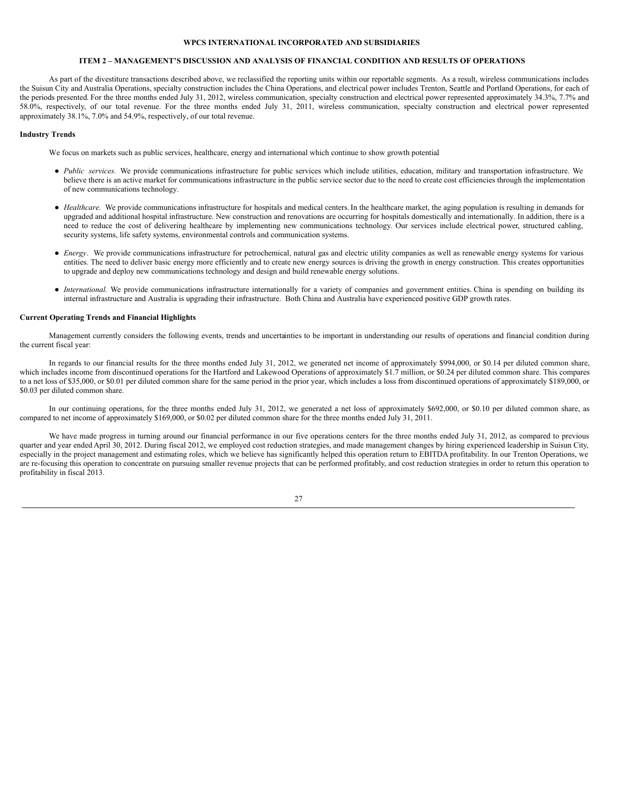## **ITEM 2 – MANAGEMENT'S DISCUSSION AND ANALYSIS OF FINANCIAL CONDITION AND RESULTS OF OPERATIONS**

As part of the divestiture transactions described above, we reclassified the reporting units within our reportable segments. As a result, wireless communications includes the Suisun City and Australia Operations, specialty construction includes the China Operations, and electrical power includes Trenton, Seattle and Portland Operations, for each of the periods presented. For the three months ended July 31, 2012, wireless communication, specialty construction and electrical power represented approximately 34.3%, 7.7% and 58.0%, respectively, of our total revenue. For the three months ended July 31, 2011, wireless communication, specialty construction and electrical power represented approximately 38.1%, 7.0% and 54.9%, respectively, of our total revenue.

## **Industry Trends**

We focus on markets such as public services, healthcare, energy and international which continue to show growth potential.

- *● Public services.* We provide communications infrastructure for public services which include utilities, education, military and transportation infrastructure. We believe there is an active market for communications infrastructure in the public service sector due to the need to create cost efficiencies through the implementation of new communications technology.
- *Healthcare.* We provide communications infrastructure for hospitals and medical centers. In the healthcare market, the aging population is resulting in demands for upgraded and additional hospital infrastructure. New construction and renovations are occurring for hospitals domestically and internationally. In addition, there is a need to reduce the cost of delivering healthcare by implementing new communications technology. Our services include electrical power, structured cabling, security systems, life safety systems, environmental controls and communication systems.
- *Energy*. We provide communications infrastructure for petrochemical, natural gas and electric utility companies as well as renewable energy systems for various entities. The need to deliver basic energy more efficiently and to create new energy sources is driving the growth in energy construction. This creates opportunities to upgrade and deploy new communications technology and design and build renewable energy solutions.
- *International.* We provide communications infrastructure internationally for a variety of companies and government entities. China is spending on building its internal infrastructure and Australia is upgrading their infrastructure. Both China and Australia have experienced positive GDP growth rates.

### **Current Operating Trends and Financial Highlights**

Management currently considers the following events, trends and uncertainties to be important in understanding our results of operations and financial condition during the current fiscal year:

In regards to our financial results for the three months ended July 31, 2012, we generated net income of approximately \$994,000, or \$0.14 per diluted common share, which includes income from discontinued operations for the Hartford and Lakewood Operations of approximately \$1.7 million, or \$0.24 per diluted common share. This compares to a net loss of \$35,000, or \$0.01 per diluted common share for the same period in the prior year, which includes a loss from discontinued operations of approximately \$189,000, or \$0.03 per diluted common share.

In our continuing operations, for the three months ended July 31, 2012, we generated a net loss of approximately \$692,000, or \$0.10 per diluted common share, as compared to net income of approximately \$169,000, or \$0.02 per diluted common share for the three months ended July 31, 2011.

We have made progress in turning around our financial performance in our five operations centers for the three months ended July 31, 2012, as compared to previous quarter and year ended April 30, 2012. During fiscal 2012, we employed cost reduction strategies, and made management changes by hiring experienced leadership in Suisun City, especially in the project management and estimating roles, which we believe has significantly helped this operation return to EBITDA profitability. In our Trenton Operations, we are re-focusing this operation to concentrate on pursuing smaller revenue projects that can be performed profitably, and cost reduction strategies in order to return this operation to profitability in fiscal 2013.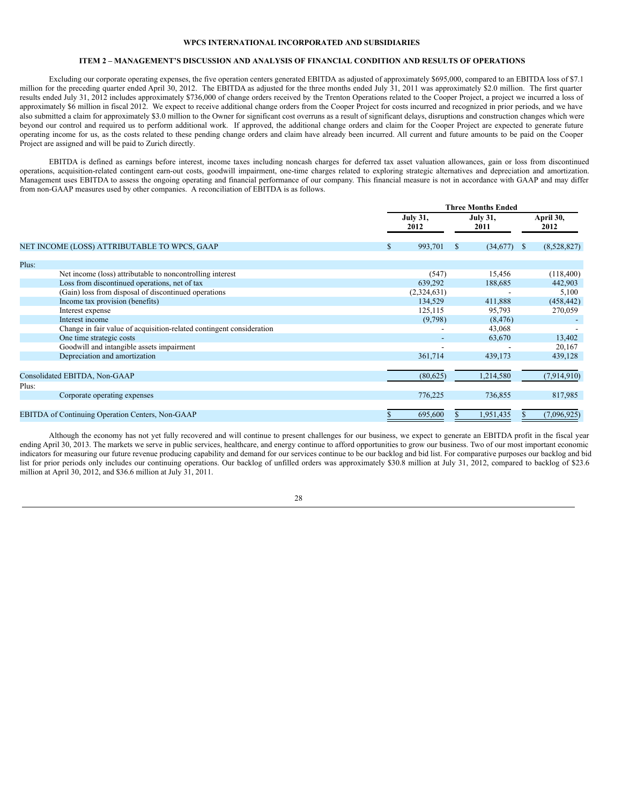## **ITEM 2 – MANAGEMENT'S DISCUSSION AND ANALYSIS OF FINANCIAL CONDITION AND RESULTS OF OPERATIONS**

Excluding our corporate operating expenses, the five operation centers generated EBITDA as adjusted of approximately \$695,000, compared to an EBITDA loss of \$7.1 million for the preceding quarter ended April 30, 2012. The EBITDA as adjusted for the three months ended July 31, 2011 was approximately \$2.0 million. The first quarter results ended July 31, 2012 includes approximately \$736,000 of change orders received by the Trenton Operations related to the Cooper Project, a project we incurred a loss of approximately \$6 million in fiscal 2012. We expect to receive additional change orders from the Cooper Project for costs incurred and recognized in prior periods, and we have also submitted a claim for approximately \$3.0 million to the Owner for significant cost overruns as a result of significant delays, disruptions and construction changes which were beyond our control and required us to perform additional work. If approved, the additional change orders and claim for the Cooper Project are expected to generate future operating income for us, as the costs related to these pending change orders and claim have already been incurred. All current and future amounts to be paid on the Cooper Project are assigned and will be paid to Zurich directly.

EBITDA is defined as earnings before interest, income taxes including noncash charges for deferred tax asset valuation allowances, gain or loss from discontinued operations, acquisition-related contingent earn-out costs, goodwill impairment, one-time charges related to exploring strategic alternatives and depreciation and amortization. Management uses EBITDA to assess the ongoing operating and financial performance of our company. This financial measure is not in accordance with GAAP and may differ from non-GAAP measures used by other companies. A reconciliation of EBITDA is as follows.

|                                                                      | <b>Three Months Ended</b> |             |    |                         |                   |             |
|----------------------------------------------------------------------|---------------------------|-------------|----|-------------------------|-------------------|-------------|
|                                                                      | <b>July 31,</b><br>2012   |             |    | <b>July 31,</b><br>2011 | April 30,<br>2012 |             |
| NET INCOME (LOSS) ATTRIBUTABLE TO WPCS, GAAP                         |                           | 993,701     | \$ | (34,677)                | <sup>S</sup>      | (8,528,827) |
| Plus:                                                                |                           |             |    |                         |                   |             |
| Net income (loss) attributable to noncontrolling interest            |                           | (547)       |    | 15,456                  |                   | (118,400)   |
| Loss from discontinued operations, net of tax                        |                           | 639.292     |    | 188,685                 |                   | 442,903     |
| (Gain) loss from disposal of discontinued operations                 |                           | (2,324,631) |    |                         |                   | 5,100       |
| Income tax provision (benefits)                                      |                           | 134,529     |    | 411,888                 |                   | (458, 442)  |
| Interest expense                                                     |                           | 125,115     |    | 95,793                  |                   | 270,059     |
| Interest income                                                      |                           | (9,798)     |    | (8, 476)                |                   |             |
| Change in fair value of acquisition-related contingent consideration |                           |             |    | 43,068                  |                   |             |
| One time strategic costs                                             |                           |             |    | 63,670                  |                   | 13,402      |
| Goodwill and intangible assets impairment                            |                           |             |    |                         |                   | 20,167      |
| Depreciation and amortization                                        |                           | 361,714     |    | 439,173                 |                   | 439,128     |
| Consolidated EBITDA, Non-GAAP                                        |                           | (80,625)    |    | 1,214,580               |                   | (7,914,910) |
| Plus:                                                                |                           |             |    |                         |                   |             |
| Corporate operating expenses                                         |                           | 776,225     |    | 736,855                 |                   | 817,985     |
| EBITDA of Continuing Operation Centers, Non-GAAP                     |                           | 695,600     |    | 1,951,435               |                   | (7,096,925) |

Although the economy has not yet fully recovered and will continue to present challenges for our business, we expect to generate an EBITDA profit in the fiscal year ending April 30, 2013. The markets we serve in public services, healthcare, and energy continue to afford opportunities to grow our business. Two of our most important economic indicators for measuring our future revenue producing capability and demand for our services continue to be our backlog and bid list. For comparative purposes our backlog and bid list for prior periods only includes our continuing operations. Our backlog of unfilled orders was approximately \$30.8 million at July 31, 2012, compared to backlog of \$23.6 million at April 30, 2012, and \$36.6 million at July 31, 2011.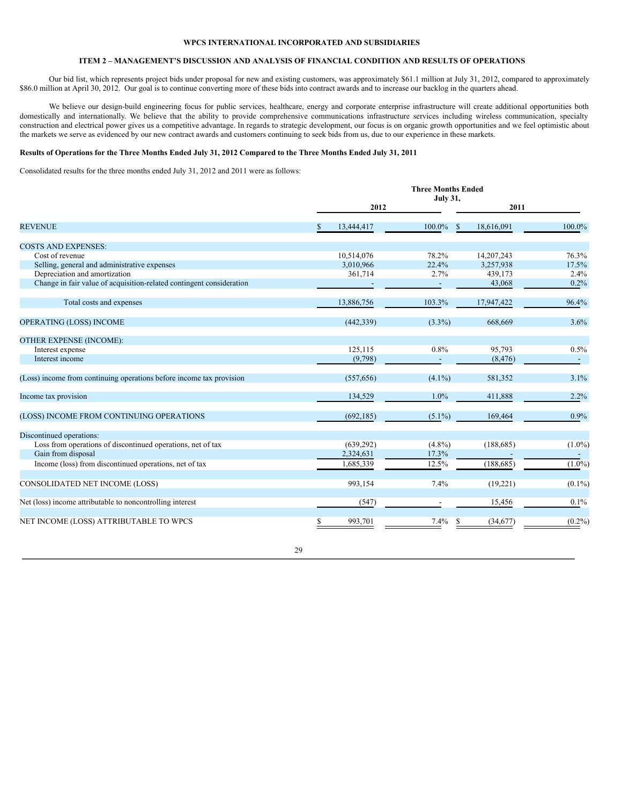## **ITEM 2 – MANAGEMENT'S DISCUSSION AND ANALYSIS OF FINANCIAL CONDITION AND RESULTS OF OPERATIONS**

Our bid list, which represents project bids under proposal for new and existing customers, was approximately \$61.1 million at July 31, 2012, compared to approximately \$86.0 million at April 30, 2012. Our goal is to continue converting more of these bids into contract awards and to increase our backlog in the quarters ahead.

We believe our design-build engineering focus for public services, healthcare, energy and corporate enterprise infrastructure will create additional opportunities both domestically and internationally. We believe that the ability to provide comprehensive communications infrastructure services including wireless communication, specialty construction and electrical power gives us a competitive advantage. In regards to strategic development, our focus is on organic growth opportunities and we feel optimistic about the markets we serve as evidenced by our new contract awards and customers continuing to seek bids from us, due to our experience in these markets.

## Results of Operations for the Three Months Ended July 31, 2012 Compared to the Three Months Ended July 31, 2011

Consolidated results for the three months ended July 31, 2012 and 2011 were as follows:

|                                                                      | <b>Three Months Ended</b> |                 |            |           |  |  |  |
|----------------------------------------------------------------------|---------------------------|-----------------|------------|-----------|--|--|--|
|                                                                      | 2012                      | <b>July 31,</b> |            |           |  |  |  |
| <b>REVENUE</b>                                                       | 13,444,417                | 100.0%<br>-S    | 18,616,091 | 100.0%    |  |  |  |
| <b>COSTS AND EXPENSES:</b>                                           |                           |                 |            |           |  |  |  |
| Cost of revenue                                                      | 10,514,076                | 78.2%           | 14,207,243 | 76.3%     |  |  |  |
| Selling, general and administrative expenses                         | 3,010,966                 | 22.4%           | 3,257,938  | 17.5%     |  |  |  |
| Depreciation and amortization                                        | 361,714                   | 2.7%            | 439,173    | 2.4%      |  |  |  |
| Change in fair value of acquisition-related contingent consideration |                           |                 | 43,068     | 0.2%      |  |  |  |
| Total costs and expenses                                             | 13,886,756                | 103.3%          | 17,947,422 | 96.4%     |  |  |  |
| <b>OPERATING (LOSS) INCOME</b>                                       | (442, 339)                | $(3.3\%)$       | 668,669    | 3.6%      |  |  |  |
| <b>OTHER EXPENSE (INCOME):</b>                                       |                           |                 |            |           |  |  |  |
| Interest expense                                                     | 125.115                   | 0.8%            | 95,793     | 0.5%      |  |  |  |
| Interest income                                                      | (9,798)                   |                 | (8, 476)   | $\sim$    |  |  |  |
| (Loss) income from continuing operations before income tax provision | (557, 656)                | $(4.1\%)$       | 581,352    | 3.1%      |  |  |  |
| Income tax provision                                                 | 134,529                   | 1.0%            | 411,888    | 2.2%      |  |  |  |
| (LOSS) INCOME FROM CONTINUING OPERATIONS                             | (692, 185)                | $(5.1\%)$       | 169,464    | 0.9%      |  |  |  |
| Discontinued operations:                                             |                           |                 |            |           |  |  |  |
| Loss from operations of discontinued operations, net of tax          | (639, 292)                | $(4.8\%)$       | (188, 685) | $(1.0\%)$ |  |  |  |
| Gain from disposal                                                   | 2,324,631                 | 17.3%           |            |           |  |  |  |
| Income (loss) from discontinued operations, net of tax               | 1,685,339                 | 12.5%           | (188, 685) | $(1.0\%)$ |  |  |  |
| CONSOLIDATED NET INCOME (LOSS)                                       | 993,154                   | 7.4%            | (19,221)   | $(0.1\%)$ |  |  |  |
| Net (loss) income attributable to noncontrolling interest            | (547)                     |                 | 15,456     | 0.1%      |  |  |  |
| NET INCOME (LOSS) ATTRIBUTABLE TO WPCS                               | 993,701                   | 7.4%            | (34, 677)  | $(0.2\%)$ |  |  |  |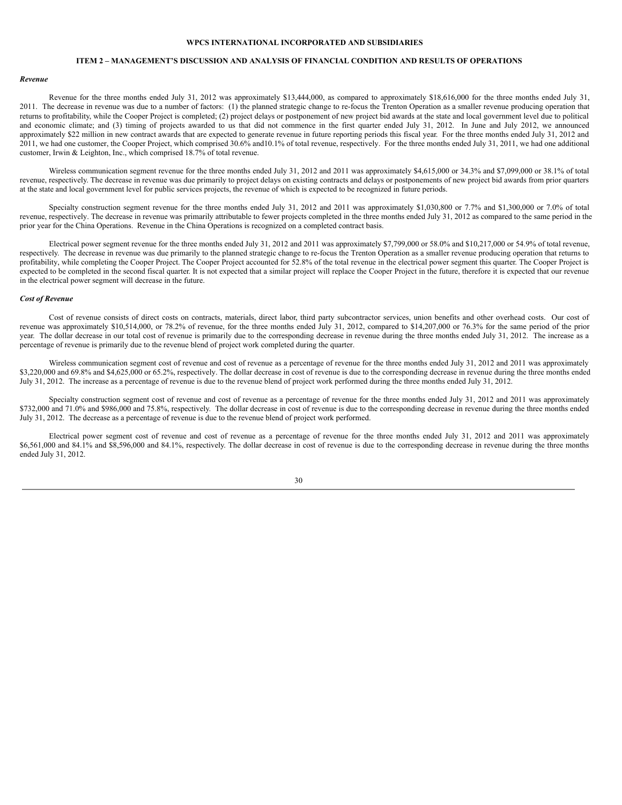## **ITEM 2 – MANAGEMENT'S DISCUSSION AND ANALYSIS OF FINANCIAL CONDITION AND RESULTS OF OPERATIONS**

#### *Revenue*

Revenue for the three months ended July 31, 2012 was approximately \$13,444,000, as compared to approximately \$18,616,000 for the three months ended July 31, 2011. The decrease in revenue was due to a number of factors: (1) the planned strategic change to re-focus the Trenton Operation as a smaller revenue producing operation that returns to profitability, while the Cooper Project is completed; (2) project delays or postponement of new project bid awards at the state and local government level due to political and economic climate; and (3) timing of projects awarded to us that did not commence in the first quarter ended July 31, 2012. In June and July 2012, we announced approximately \$22 million in new contract awards that are expected to generate revenue in future reporting periods this fiscal year. For the three months ended July 31, 2012 and 2011, we had one customer, the Cooper Project, which comprised 30.6% and10.1% of total revenue, respectively. For the three months ended July 31, 2011, we had one additional customer, Irwin & Leighton, Inc., which comprised 18.7% of total revenue.

Wireless communication segment revenue for the three months ended July 31, 2012 and 2011 was approximately \$4,615,000 or 34.3% and \$7,099,000 or 38.1% of total revenue, respectively. The decrease in revenue was due primarily to project delays on existing contracts and delays or postponements of new project bid awards from prior quarters at the state and local government level for public services projects, the revenue of which is expected to be recognized in future periods.

Specialty construction segment revenue for the three months ended July 31, 2012 and 2011 was approximately \$1,030,800 or 7.7% and \$1,300,000 or 7.0% of total revenue, respectively. The decrease in revenue was primarily attributable to fewer projects completed in the three months ended July 31, 2012 as compared to the same period in the prior year for the China Operations. Revenue in the China Operations is recognized on a completed contract basis.

Electrical power segment revenue for the three months ended July 31, 2012 and 2011 was approximately \$7,799,000 or 58.0% and \$10,217,000 or 54.9% of total revenue, respectively. The decrease in revenue was due primarily to the planned strategic change to re-focus the Trenton Operation as a smaller revenue producing operation that returns to profitability, while completing the Cooper Project. The Cooper Project accounted for 52.8% of the total revenue in the electrical power segment this quarter. The Cooper Project is expected to be completed in the second fiscal quarter. It is not expected that a similar project will replace the Cooper Project in the future, therefore it is expected that our revenue in the electrical power segment will decrease in the future.

#### *Cost of Revenue*

Cost of revenue consists of direct costs on contracts, materials, direct labor, third party subcontractor services, union benefits and other overhead costs. Our cost of revenue was approximately \$10,514,000, or 78.2% of revenue, for the three months ended July 31, 2012, compared to \$14,207,000 or 76.3% for the same period of the prior year. The dollar decrease in our total cost of revenue is primarily due to the corresponding decrease in revenue during the three months ended July 31, 2012. The increase as a percentage of revenue is primarily due to the revenue blend of project work completed during the quarter.

Wireless communication segment cost of revenue and cost of revenue as a percentage of revenue for the three months ended July 31, 2012 and 2011 was approximately \$3,220,000 and 69.8% and \$4,625,000 or 65.2%, respectively. The dollar decrease in cost of revenue is due to the corresponding decrease in revenue during the three months ended July 31, 2012. The increase as a percentage of revenue is due to the revenue blend of project work performed during the three months ended July 31, 2012.

Specialty construction segment cost of revenue and cost of revenue as a percentage of revenue for the three months ended July 31, 2012 and 2011 was approximately \$732,000 and 71.0% and \$986,000 and 75.8%, respectively. The dollar decrease in cost of revenue is due to the corresponding decrease in revenue during the three months ended July 31, 2012. The decrease as a percentage of revenue is due to the revenue blend of project work performed.

Electrical power segment cost of revenue and cost of revenue as a percentage of revenue for the three months ended July 31, 2012 and 2011 was approximately \$6,561,000 and 84.1% and \$8,596,000 and 84.1%, respectively. The dollar decrease in cost of revenue is due to the corresponding decrease in revenue during the three months ended July 31, 2012.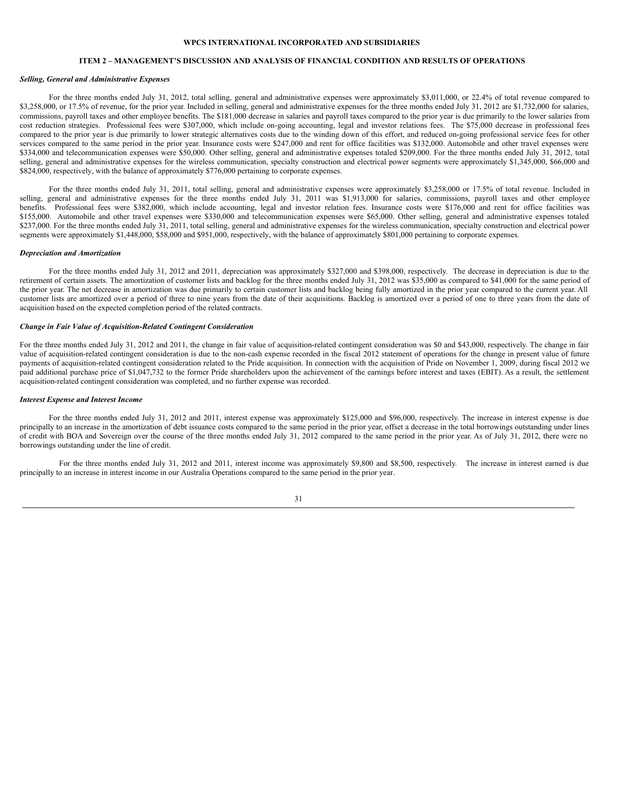## **ITEM 2 – MANAGEMENT'S DISCUSSION AND ANALYSIS OF FINANCIAL CONDITION AND RESULTS OF OPERATIONS**

#### *Selling, General and Administrative Expenses*

For the three months ended July 31, 2012, total selling, general and administrative expenses were approximately \$3,011,000, or 22.4% of total revenue compared to \$3,258,000, or 17.5% of revenue, for the prior year. Included in selling, general and administrative expenses for the three months ended July 31, 2012 are \$1,732,000 for salaries, commissions, payroll taxes and other employee benefits. The \$181,000 decrease in salaries and payroll taxes compared to the prior year is due primarily to the lower salaries from cost reduction strategies. Professional fees were \$307,000, which include on-going accounting, legal and investor relations fees. The \$75,000 decrease in professional fees compared to the prior year is due primarily to lower strategic alternatives costs due to the winding down of this effort, and reduced on-going professional service fees for other services compared to the same period in the prior year. Insurance costs were \$247,000 and rent for office facilities was \$132,000. Automobile and other travel expenses were \$334,000 and telecommunication expenses were \$50,000. Other selling, general and administrative expenses totaled \$209,000. For the three months ended July 31, 2012, total selling, general and administrative expenses for the wireless communication, specialty construction and electrical power segments were approximately \$1,345,000, \$66,000 and \$824,000, respectively, with the balance of approximately \$776,000 pertaining to corporate expenses.

For the three months ended July 31, 2011, total selling, general and administrative expenses were approximately \$3,258,000 or 17.5% of total revenue. Included in selling, general and administrative expenses for the three months ended July 31, 2011 was \$1,913,000 for salaries, commissions, payroll taxes and other employee benefits. Professional fees were \$382,000, which include accounting, legal and investor relation fees. Insurance costs were \$176,000 and rent for office facilities was \$155,000. Automobile and other travel expenses were \$330,000 and telecommunication expenses were \$65,000. Other selling, general and administrative expenses totaled \$237,000. For the three months ended July 31, 2011, total selling, general and administrative expenses for the wireless communication, specialty construction and electrical power segments were approximately \$1,448,000, \$58,000 and \$951,000, respectively, with the balance of approximately \$801,000 pertaining to corporate expenses.

#### *Depreciation and Amortization*

For the three months ended July 31, 2012 and 2011, depreciation was approximately \$327,000 and \$398,000, respectively. The decrease in depreciation is due to the retirement of certain assets. The amortization of customer lists and backlog for the three months ended July 31, 2012 was \$35,000 as compared to \$41,000 for the same period of the prior year. The net decrease in amortization was due primarily to certain customer lists and backlog being fully amortized in the prior year compared to the current year. All customer lists are amortized over a period of three to nine years from the date of their acquisitions. Backlog is amortized over a period of one to three years from the date of acquisition based on the expected completion period of the related contracts.

#### *Change in Fair Value of Acquisition-Related Contingent Consideration*

For the three months ended July 31, 2012 and 2011, the change in fair value of acquisition-related contingent consideration was \$0 and \$43,000, respectively. The change in fair value of acquisition-related contingent consideration is due to the non-cash expense recorded in the fiscal 2012 statement of operations for the change in present value of future payments of acquisition-related contingent consideration related to the Pride acquisition. In connection with the acquisition of Pride on November 1, 2009, during fiscal 2012 we paid additional purchase price of \$1,047,732 to the former Pride shareholders upon the achievement of the earnings before interest and taxes (EBIT). As a result, the settlement acquisition-related contingent consideration was completed, and no further expense was recorded.

#### *Interest Expense and Interest Income*

For the three months ended July 31, 2012 and 2011, interest expense was approximately \$125,000 and \$96,000, respectively. The increase in interest expense is due principally to an increase in the amortization of debt issuance costs compared to the same period in the prior year, offset a decrease in the total borrowings outstanding under lines of credit with BOA and Sovereign over the course of the three months ended July 31, 2012 compared to the same period in the prior year. As of July 31, 2012, there were no borrowings outstanding under the line of credit.

For the three months ended July 31, 2012 and 2011, interest income was approximately \$9,800 and \$8,500, respectively. The increase in interest earned is due principally to an increase in interest income in our Australia Operations compared to the same period in the prior year.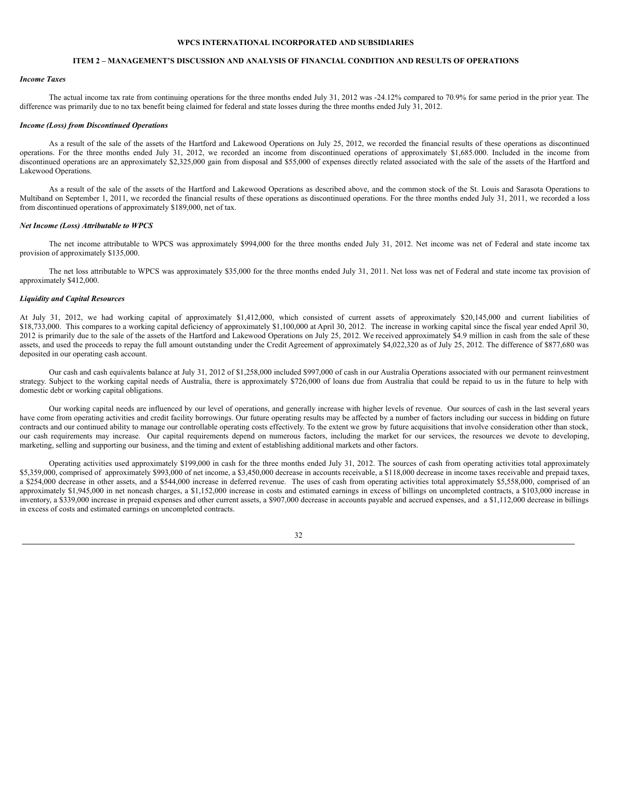## **ITEM 2 – MANAGEMENT'S DISCUSSION AND ANALYSIS OF FINANCIAL CONDITION AND RESULTS OF OPERATIONS**

#### *Income Taxes*

The actual income tax rate from continuing operations for the three months ended July 31, 2012 was -24.12% compared to 70.9% for same period in the prior year. The difference was primarily due to no tax benefit being claimed for federal and state losses during the three months ended July 31, 2012.

#### *Income (Loss) from Discontinued Operations*

As a result of the sale of the assets of the Hartford and Lakewood Operations on July 25, 2012, we recorded the financial results of these operations as discontinued operations. For the three months ended July 31, 2012, we recorded an income from discontinued operations of approximately \$1,685.000. Included in the income from discontinued operations are an approximately \$2,325,000 gain from disposal and \$55,000 of expenses directly related associated with the sale of the assets of the Hartford and Lakewood Operations.

As a result of the sale of the assets of the Hartford and Lakewood Operations as described above, and the common stock of the St. Louis and Sarasota Operations to Multiband on September 1, 2011, we recorded the financial results of these operations as discontinued operations. For the three months ended July 31, 2011, we recorded a loss from discontinued operations of approximately \$189,000, net of tax.

## *Net Income (Loss) Attributable to WPCS*

The net income attributable to WPCS was approximately \$994,000 for the three months ended July 31, 2012. Net income was net of Federal and state income tax provision of approximately \$135,000.

The net loss attributable to WPCS was approximately \$35,000 for the three months ended July 31, 2011. Net loss was net of Federal and state income tax provision of approximately \$412,000.

#### *Liquidity and Capital Resources*

At July 31, 2012, we had working capital of approximately \$1,412,000, which consisted of current assets of approximately \$20,145,000 and current liabilities of \$18,733,000. This compares to a working capital deficiency of approximately \$1,100,000 at April 30, 2012. The increase in working capital since the fiscal year ended April 30, 2012 is primarily due to the sale of the assets of the Hartford and Lakewood Operations on July 25, 2012. We received approximately \$4.9 million in cash from the sale of these assets, and used the proceeds to repay the full amount outstanding under the Credit Agreement of approximately \$4,022,320 as of July 25, 2012. The difference of \$877,680 was deposited in our operating cash account.

Our cash and cash equivalents balance at July 31, 2012 of \$1,258,000 included \$997,000 of cash in our Australia Operations associated with our permanent reinvestment strategy. Subject to the working capital needs of Australia, there is approximately \$726,000 of loans due from Australia that could be repaid to us in the future to help with domestic debt or working capital obligations.

Our working capital needs are influenced by our level of operations, and generally increase with higher levels of revenue. Our sources of cash in the last several years have come from operating activities and credit facility borrowings. Our future operating results may be affected by a number of factors including our success in bidding on future contracts and our continued ability to manage our controllable operating costs effectively. To the extent we grow by future acquisitions that involve consideration other than stock, our cash requirements may increase. Our capital requirements depend on numerous factors, including the market for our services, the resources we devote to developing, marketing, selling and supporting our business, and the timing and extent of establishing additional markets and other factors.

Operating activities used approximately \$199,000 in cash for the three months ended July 31, 2012. The sources of cash from operating activities total approximately \$5,359,000, comprised of approximately \$993,000 of net income, a \$3,450,000 decrease in accounts receivable, a \$118,000 decrease in income taxes receivable and prepaid taxes, a \$254,000 decrease in other assets, and a \$544,000 increase in deferred revenue. The uses of cash from operating activities total approximately \$5,558,000, comprised of an approximately \$1,945,000 in net noncash charges, a \$1,152,000 increase in costs and estimated earnings in excess of billings on uncompleted contracts, a \$103,000 increase in inventory, a \$339,000 increase in prepaid expenses and other current assets, a \$907,000 decrease in accounts payable and accrued expenses, and a \$1,112,000 decrease in billings in excess of costs and estimated earnings on uncompleted contracts.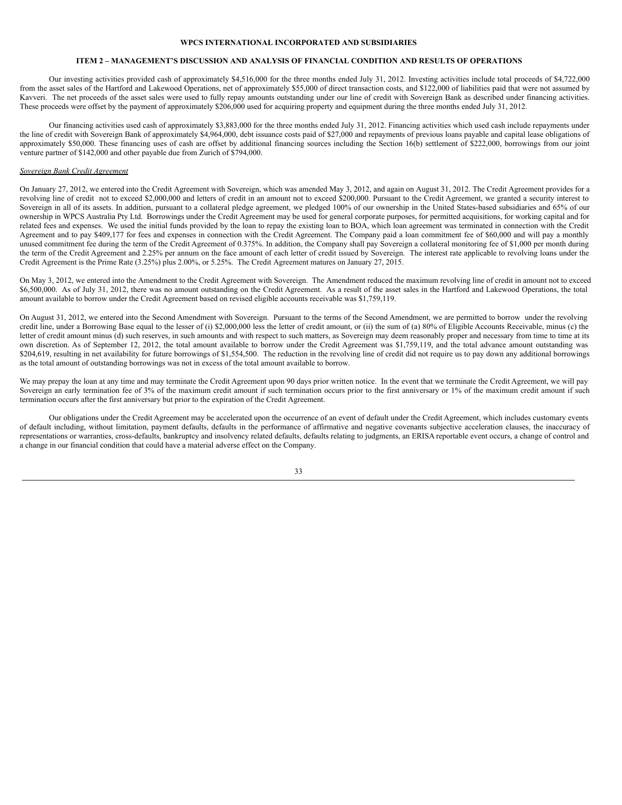## **ITEM 2 – MANAGEMENT'S DISCUSSION AND ANALYSIS OF FINANCIAL CONDITION AND RESULTS OF OPERATIONS**

Our investing activities provided cash of approximately \$4,516,000 for the three months ended July 31, 2012. Investing activities include total proceeds of \$4,722,000 from the asset sales of the Hartford and Lakewood Operations, net of approximately \$55,000 of direct transaction costs, and \$122,000 of liabilities paid that were not assumed by Kavveri. The net proceeds of the asset sales were used to fully repay amounts outstanding under our line of credit with Sovereign Bank as described under financing activities. These proceeds were offset by the payment of approximately \$206,000 used for acquiring property and equipment during the three months ended July 31, 2012.

Our financing activities used cash of approximately \$3,883,000 for the three months ended July 31, 2012. Financing activities which used cash include repayments under the line of credit with Sovereign Bank of approximately \$4,964,000, debt issuance costs paid of \$27,000 and repayments of previous loans payable and capital lease obligations of approximately \$50,000. These financing uses of cash are offset by additional financing sources including the Section 16(b) settlement of \$222,000, borrowings from our joint venture partner of \$142,000 and other payable due from Zurich of \$794,000.

### *Sovereign Bank Credit Agreement*

On January 27, 2012, we entered into the Credit Agreement with Sovereign, which was amended May 3, 2012, and again on August 31, 2012. The Credit Agreement provides for a revolving line of credit not to exceed \$2,000,000 and letters of credit in an amount not to exceed \$200,000. Pursuant to the Credit Agreement, we granted a security interest to Sovereign in all of its assets. In addition, pursuant to a collateral pledge agreement, we pledged 100% of our ownership in the United States-based subsidiaries and 65% of our ownership in WPCS Australia Pty Ltd. Borrowings under the Credit Agreement may be used for general corporate purposes, for permitted acquisitions, for working capital and for related fees and expenses. We used the initial funds provided by the loan to repay the existing loan to BOA, which loan agreement was terminated in connection with the Credit Agreement and to pay \$409,177 for fees and expenses in connection with the Credit Agreement. The Company paid a loan commitment fee of \$60,000 and will pay a monthly unused commitment fee during the term of the Credit Agreement of 0.375%. In addition, the Company shall pay Sovereign a collateral monitoring fee of \$1,000 per month during the term of the Credit Agreement and 2.25% per annum on the face amount of each letter of credit issued by Sovereign. The interest rate applicable to revolving loans under the Credit Agreement is the Prime Rate (3.25%) plus 2.00%, or 5.25%. The Credit Agreement matures on January 27, 2015.

On May 3, 2012, we entered into the Amendment to the Credit Agreement with Sovereign. The Amendment reduced the maximum revolving line of credit in amount not to exceed \$6,500,000. As of July 31, 2012, there was no amount outstanding on the Credit Agreement. As a result of the asset sales in the Hartford and Lakewood Operations, the total amount available to borrow under the Credit Agreement based on revised eligible accounts receivable was \$1,759,119.

On August 31, 2012, we entered into the Second Amendment with Sovereign. Pursuant to the terms of the Second Amendment, we are permitted to borrow under the revolving credit line, under a Borrowing Base equal to the lesser of (i) \$2,000,000 less the letter of credit amount, or (ii) the sum of (a) 80% of Eligible Accounts Receivable, minus (c) the letter of credit amount minus (d) such reserves, in such amounts and with respect to such matters, as Sovereign may deem reasonably proper and necessary from time to time at its own discretion. As of September 12, 2012, the total amount available to borrow under the Credit Agreement was \$1,759,119, and the total advance amount outstanding was \$204,619, resulting in net availability for future borrowings of \$1,554,500. The reduction in the revolving line of credit did not require us to pay down any additional borrowings as the total amount of outstanding borrowings was not in excess of the total amount available to borrow.

We may prepay the loan at any time and may terminate the Credit Agreement upon 90 days prior written notice. In the event that we terminate the Credit Agreement, we will pay Sovereign an early termination fee of 3% of the maximum credit amount if such termination occurs prior to the first anniversary or 1% of the maximum credit amount if such termination occurs after the first anniversary but prior to the expiration of the Credit Agreement.

Our obligations under the Credit Agreement may be accelerated upon the occurrence of an event of default under the Credit Agreement, which includes customary events of default including, without limitation, payment defaults, defaults in the performance of affirmative and negative covenants subjective acceleration clauses, the inaccuracy of representations or warranties, cross-defaults, bankruptcy and insolvency related defaults, defaults relating to judgments, an ERISA reportable event occurs, a change of control and a change in our financial condition that could have a material adverse effect on the Company.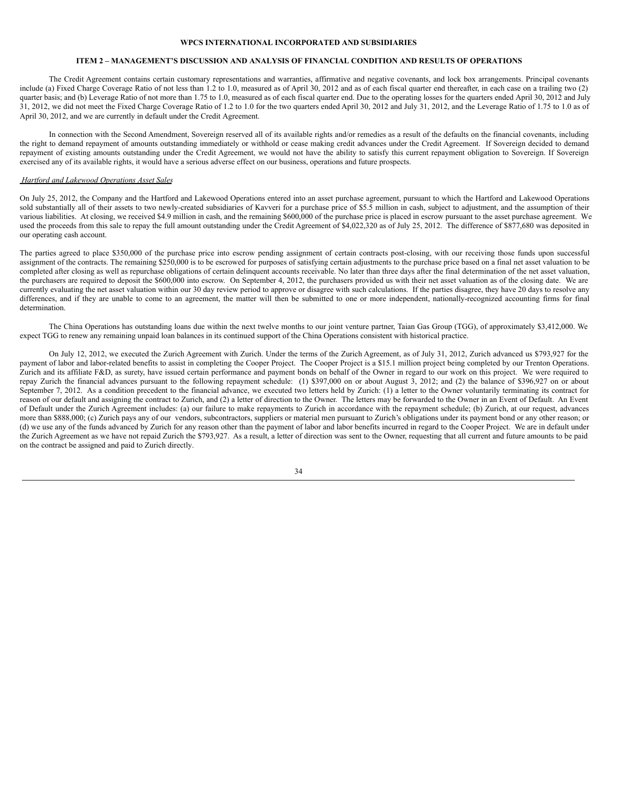## **ITEM 2 – MANAGEMENT'S DISCUSSION AND ANALYSIS OF FINANCIAL CONDITION AND RESULTS OF OPERATIONS**

The Credit Agreement contains certain customary representations and warranties, affirmative and negative covenants, and lock box arrangements. Principal covenants include (a) Fixed Charge Coverage Ratio of not less than 1.2 to 1.0, measured as of April 30, 2012 and as of each fiscal quarter end thereafter, in each case on a trailing two (2) quarter basis; and (b) Leverage Ratio of not more than 1.75 to 1.0, measured as of each fiscal quarter end. Due to the operating losses for the quarters ended April 30, 2012 and July 31, 2012, we did not meet the Fixed Charge Coverage Ratio of 1.2 to 1.0 for the two quarters ended April 30, 2012 and July 31, 2012, and the Leverage Ratio of 1.75 to 1.0 as of April 30, 2012, and we are currently in default under the Credit Agreement.

In connection with the Second Amendment, Sovereign reserved all of its available rights and/or remedies as a result of the defaults on the financial covenants, including the right to demand repayment of amounts outstanding immediately or withhold or cease making credit advances under the Credit Agreement. If Sovereign decided to demand repayment of existing amounts outstanding under the Credit Agreement, we would not have the ability to satisfy this current repayment obligation to Sovereign. If Sovereign exercised any of its available rights, it would have a serious adverse effect on our business, operations and future prospects.

## *Hartford and Lakewood Operations Asset Sales*

On July 25, 2012, the Company and the Hartford and Lakewood Operations entered into an asset purchase agreement, pursuant to which the Hartford and Lakewood Operations sold substantially all of their assets to two newly-created subsidiaries of Kavveri for a purchase price of \$5.5 million in cash, subject to adjustment, and the assumption of their various liabilities. At closing, we received \$4.9 million in cash, and the remaining \$600,000 of the purchase price is placed in escrow pursuant to the asset purchase agreement. We used the proceeds from this sale to repay the full amount outstanding under the Credit Agreement of \$4,022,320 as of July 25, 2012. The difference of \$877,680 was deposited in our operating cash account.

The parties agreed to place \$350,000 of the purchase price into escrow pending assignment of certain contracts post-closing, with our receiving those funds upon successful assignment of the contracts. The remaining \$250,000 is to be escrowed for purposes of satisfying certain adjustments to the purchase price based on a final net asset valuation to be completed after closing as well as repurchase obligations of certain delinquent accounts receivable. No later than three days after the final determination of the net asset valuation, the purchasers are required to deposit the \$600,000 into escrow. On September 4, 2012, the purchasers provided us with their net asset valuation as of the closing date. We are currently evaluating the net asset valuation within our 30 day review period to approve or disagree with such calculations. If the parties disagree, they have 20 days to resolve any differences, and if they are unable to come to an agreement, the matter will then be submitted to one or more independent, nationally-recognized accounting firms for final determination.

The China Operations has outstanding loans due within the next twelve months to our joint venture partner, Taian Gas Group (TGG), of approximately \$3,412,000. We expect TGG to renew any remaining unpaid loan balances in its continued support of the China Operations consistent with historical practice.

On July 12, 2012, we executed the Zurich Agreement with Zurich. Under the terms of the Zurich Agreement, as of July 31, 2012, Zurich advanced us \$793,927 for the payment of labor and labor-related benefits to assist in completing the Cooper Project. The Cooper Project is a \$15.1 million project being completed by our Trenton Operations. Zurich and its affiliate F&D, as surety, have issued certain performance and payment bonds on behalf of the Owner in regard to our work on this project. We were required to repay Zurich the financial advances pursuant to the following repayment schedule: (1) \$397,000 on or about August 3, 2012; and (2) the balance of \$396,927 on or about September 7, 2012. As a condition precedent to the financial advance, we executed two letters held by Zurich: (1) a letter to the Owner voluntarily terminating its contract for reason of our default and assigning the contract to Zurich, and (2) a letter of direction to the Owner. The letters may be forwarded to the Owner in an Event of Default. An Event of Default under the Zurich Agreement includes: (a) our failure to make repayments to Zurich in accordance with the repayment schedule; (b) Zurich, at our request, advances more than \$888,000; (c) Zurich pays any of our vendors, subcontractors, suppliers or material men pursuant to Zurich's obligations under its payment bond or any other reason; or (d) we use any of the funds advanced by Zurich for any reason other than the payment of labor and labor benefits incurred in regard to the Cooper Project. We are in default under the Zurich Agreement as we have not repaid Zurich the \$793,927. As a result, a letter of direction was sent to the Owner, requesting that all current and future amounts to be paid on the contract be assigned and paid to Zurich directly.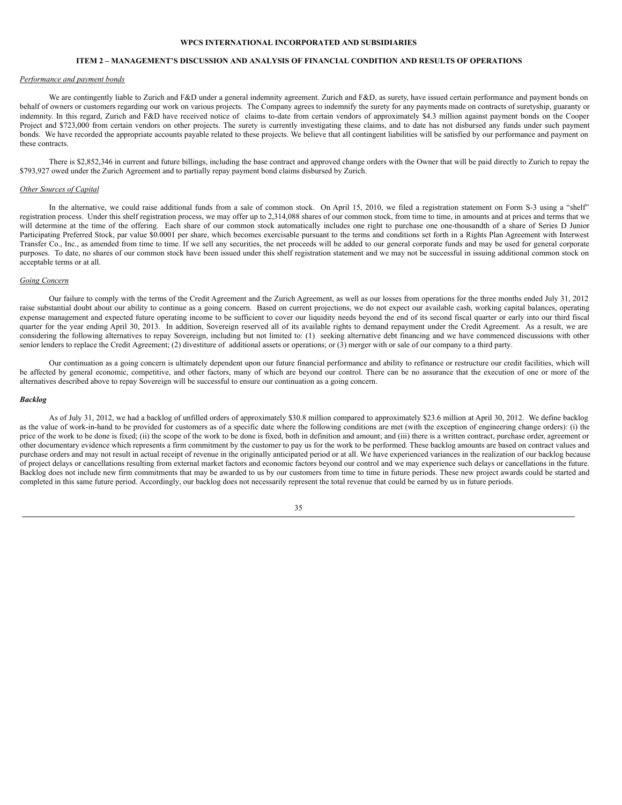## **ITEM 2 – MANAGEMENT'S DISCUSSION AND ANALYSIS OF FINANCIAL CONDITION AND RESULTS OF OPERATIONS**

#### *Performance and payment bonds*

We are contingently liable to Zurich and F&D under a general indemnity agreement. Zurich and F&D, as surety, have issued certain performance and payment bonds on behalf of owners or customers regarding our work on various projects. The Company agrees to indemnify the surety for any payments made on contracts of suretyship, guaranty or indemnity. In this regard, Zurich and F&D have received notice of claims to-date from certain vendors of approximately \$4.3 million against payment bonds on the Cooper Project and \$723,000 from certain vendors on other projects. The surety is currently investigating these claims, and to date has not disbursed any funds under such payment bonds. We have recorded the appropriate accounts payable related to these projects. We believe that all contingent liabilities will be satisfied by our performance and payment on these contracts.

There is \$2,852,346 in current and future billings, including the base contract and approved change orders with the Owner that will be paid directly to Zurich to repay the \$793,927 owed under the Zurich Agreement and to partially repay payment bond claims disbursed by Zurich.

### *Other Sources of Capital*

In the alternative, we could raise additional funds from a sale of common stock. On April 15, 2010, we filed a registration statement on Form S-3 using a "shelf" registration process. Under this shelf registration process, we may offer up to 2,314,088 shares of our common stock, from time to time, in amounts and at prices and terms that we will determine at the time of the offering. Each share of our common stock automatically includes one right to purchase one one-thousandth of a share of Series D Junior Participating Preferred Stock, par value \$0.0001 per share, which becomes exercisable pursuant to the terms and conditions set forth in a Rights Plan Agreement with Interwest Transfer Co., Inc., as amended from time to time. If we sell any securities, the net proceeds will be added to our general corporate funds and may be used for general corporate purposes. To date, no shares of our common stock have been issued under this shelf registration statement and we may not be successful in issuing additional common stock on acceptable terms or at all.

## *Going Concern*

Our failure to comply with the terms of the Credit Agreement and the Zurich Agreement, as well as our losses from operations for the three months ended July 31, 2012 raise substantial doubt about our ability to continue as a going concern. Based on current projections, we do not expect our available cash, working capital balances, operating expense management and expected future operating income to be sufficient to cover our liquidity needs beyond the end of its second fiscal quarter or early into our third fiscal quarter for the year ending April 30, 2013. In addition, Sovereign reserved all of its available rights to demand repayment under the Credit Agreement. As a result, we are considering the following alternatives to repay Sovereign, including but not limited to: (1) seeking alternative debt financing and we have commenced discussions with other senior lenders to replace the Credit Agreement; (2) divestiture of additional assets or operations; or (3) merger with or sale of our company to a third party.

Our continuation as a going concern is ultimately dependent upon our future financial performance and ability to refinance or restructure our credit facilities, which will be affected by general economic, competitive, and other factors, many of which are beyond our control. There can be no assurance that the execution of one or more of the alternatives described above to repay Sovereign will be successful to ensure our continuation as a going concern.

#### *Backlog*

As of July 31, 2012, we had a backlog of unfilled orders of approximately \$30.8 million compared to approximately \$23.6 million at April 30, 2012. We define backlog as the value of work-in-hand to be provided for customers as of a specific date where the following conditions are met (with the exception of engineering change orders): (i) the price of the work to be done is fixed; (ii) the scope of the work to be done is fixed, both in definition and amount; and (iii) there is a written contract, purchase order, agreement or other documentary evidence which represents a firm commitment by the customer to pay us for the work to be performed. These backlog amounts are based on contract values and purchase orders and may not result in actual receipt of revenue in the originally anticipated period or at all. We have experienced variances in the realization of our backlog because of project delays or cancellations resulting from external market factors and economic factors beyond our control and we may experience such delays or cancellations in the future. Backlog does not include new firm commitments that may be awarded to us by our customers from time to time in future periods. These new project awards could be started and completed in this same future period. Accordingly, our backlog does not necessarily represent the total revenue that could be earned by us in future periods.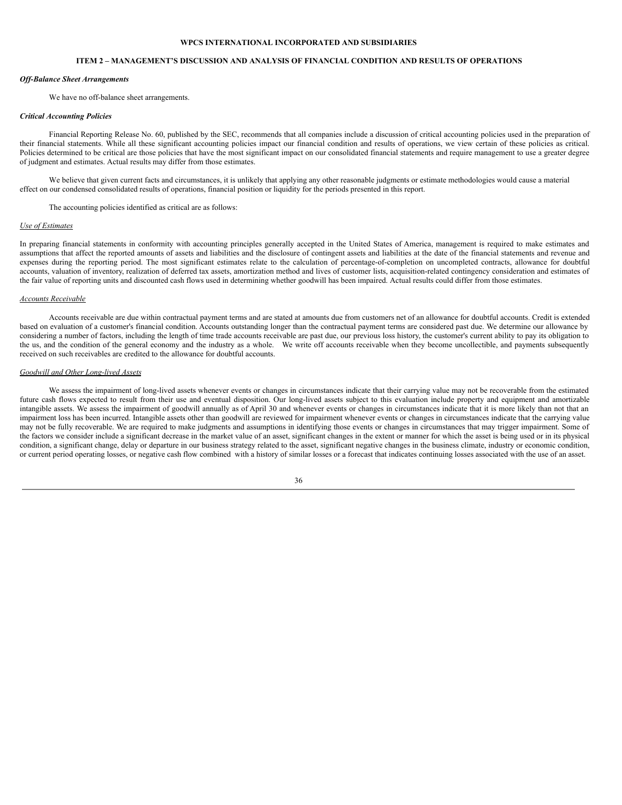## **ITEM 2 – MANAGEMENT'S DISCUSSION AND ANALYSIS OF FINANCIAL CONDITION AND RESULTS OF OPERATIONS**

#### *Of -Balance Sheet Arrangements*

We have no off-balance sheet arrangements.

## *Critical Accounting Policies*

Financial Reporting Release No. 60, published by the SEC, recommends that all companies include a discussion of critical accounting policies used in the preparation of their financial statements. While all these significant accounting policies impact our financial condition and results of operations, we view certain of these policies as critical. Policies determined to be critical are those policies that have the most significant impact on our consolidated financial statements and require management to use a greater degree of judgment and estimates. Actual results may differ from those estimates.

We believe that given current facts and circumstances, it is unlikely that applying any other reasonable judgments or estimate methodologies would cause a material effect on our condensed consolidated results of operations, financial position or liquidity for the periods presented in this report.

The accounting policies identified as critical are as follows:

## *Use of Estimates*

In preparing financial statements in conformity with accounting principles generally accepted in the United States of America, management is required to make estimates and assumptions that affect the reported amounts of assets and liabilities and the disclosure of contingent assets and liabilities at the date of the financial statements and revenue and expenses during the reporting period. The most significant estimates relate to the calculation of percentage-of-completion on uncompleted contracts, allowance for doubtful accounts, valuation of inventory, realization of deferred tax assets, amortization method and lives of customer lists, acquisition-related contingency consideration and estimates of the fair value of reporting units and discounted cash flows used in determining whether goodwill has been impaired. Actual results could differ from those estimates.

#### *Accounts Receivable*

Accounts receivable are due within contractual payment terms and are stated at amounts due from customers net of an allowance for doubtful accounts. Credit is extended based on evaluation of a customer's financial condition. Accounts outstanding longer than the contractual payment terms are considered past due. We determine our allowance by considering a number of factors, including the length of time trade accounts receivable are past due, our previous loss history, the customer's current ability to pay its obligation to the us, and the condition of the general economy and the industry as a whole. We write off accounts receivable when they become uncollectible, and payments subsequently received on such receivables are credited to the allowance for doubtful accounts.

#### *Goodwill and Other Long-lived Assets*

We assess the impairment of long-lived assets whenever events or changes in circumstances indicate that their carrying value may not be recoverable from the estimated future cash flows expected to result from their use and eventual disposition. Our long-lived assets subject to this evaluation include property and equipment and amortizable intangible assets. We assess the impairment of goodwill annually as of April 30 and whenever events or changes in circumstances indicate that it is more likely than not that an impairment loss has been incurred. Intangible assets other than goodwill are reviewed for impairment whenever events or changes in circumstances indicate that the carrying value may not be fully recoverable. We are required to make judgments and assumptions in identifying those events or changes in circumstances that may trigger impairment. Some of the factors we consider include a significant decrease in the market value of an asset, significant changes in the extent or manner for which the asset is being used or in its physical condition, a significant change, delay or departure in our business strategy related to the asset, significant negative changes in the business climate, industry or economic condition, or current period operating losses, or negative cash flow combined with a history of similar losses or a forecast that indicates continuing losses associated with the use of an asset.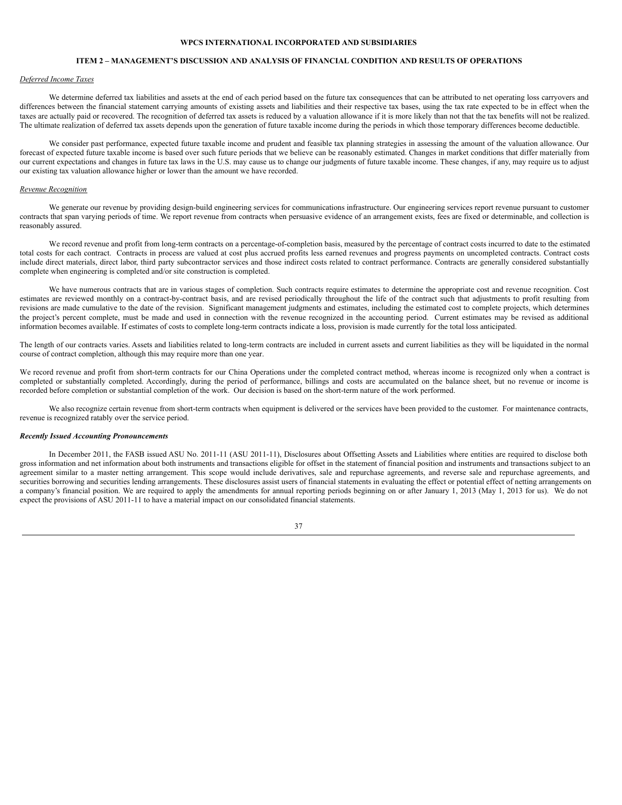## **ITEM 2 – MANAGEMENT'S DISCUSSION AND ANALYSIS OF FINANCIAL CONDITION AND RESULTS OF OPERATIONS**

#### *Deferred Income Taxes*

We determine deferred tax liabilities and assets at the end of each period based on the future tax consequences that can be attributed to net operating loss carryovers and differences between the financial statement carrying amounts of existing assets and liabilities and their respective tax bases, using the tax rate expected to be in effect when the taxes are actually paid or recovered. The recognition of deferred tax assets is reduced by a valuation allowance if it is more likely than not that the tax benefits will not be realized. The ultimate realization of deferred tax assets depends upon the generation of future taxable income during the periods in which those temporary differences become deductible.

We consider past performance, expected future taxable income and prudent and feasible tax planning strategies in assessing the amount of the valuation allowance. Our forecast of expected future taxable income is based over such future periods that we believe can be reasonably estimated. Changes in market conditions that differ materially from our current expectations and changes in future tax laws in the U.S. may cause us to change our judgments of future taxable income. These changes, if any, may require us to adjust our existing tax valuation allowance higher or lower than the amount we have recorded.

### *Revenue Recognition*

We generate our revenue by providing design-build engineering services for communications infrastructure. Our engineering services report revenue pursuant to customer contracts that span varying periods of time. We report revenue from contracts when persuasive evidence of an arrangement exists, fees are fixed or determinable, and collection is reasonably assured.

We record revenue and profit from long-term contracts on a percentage-of-completion basis, measured by the percentage of contract costs incurred to date to the estimated total costs for each contract. Contracts in process are valued at cost plus accrued profits less earned revenues and progress payments on uncompleted contracts. Contract costs include direct materials, direct labor, third party subcontractor services and those indirect costs related to contract performance. Contracts are generally considered substantially complete when engineering is completed and/or site construction is completed.

We have numerous contracts that are in various stages of completion. Such contracts require estimates to determine the appropriate cost and revenue recognition. Cost estimates are reviewed monthly on a contract-by-contract basis, and are revised periodically throughout the life of the contract such that adjustments to profit resulting from revisions are made cumulative to the date of the revision. Significant management judgments and estimates, including the estimated cost to complete projects, which determines the project's percent complete, must be made and used in connection with the revenue recognized in the accounting period. Current estimates may be revised as additional information becomes available. If estimates of costs to complete long-term contracts indicate a loss, provision is made currently for the total loss anticipated.

The length of our contracts varies. Assets and liabilities related to long-term contracts are included in current assets and current liabilities as they will be liquidated in the normal course of contract completion, although this may require more than one year.

We record revenue and profit from short-term contracts for our China Operations under the completed contract method, whereas income is recognized only when a contract is completed or substantially completed. Accordingly, during the period of performance, billings and costs are accumulated on the balance sheet, but no revenue or income is recorded before completion or substantial completion of the work. Our decision is based on the short-term nature of the work performed.

We also recognize certain revenue from short-term contracts when equipment is delivered or the services have been provided to the customer. For maintenance contracts, revenue is recognized ratably over the service period.

## *Recently Issued Accounting Pronouncements*

In December 2011, the FASB issued ASU No. 2011-11 (ASU 2011-11), Disclosures about Offsetting Assets and Liabilities where entities are required to disclose both gross information and net information about both instruments and transactions eligible for offset in the statement of financial position and instruments and transactions subject to an agreement similar to a master netting arrangement. This scope would include derivatives, sale and repurchase agreements, and reverse sale and repurchase agreements, and securities borrowing and securities lending arrangements. These disclosures assist users of financial statements in evaluating the effect or potential effect of netting arrangements on a company's financial position. We are required to apply the amendments for annual reporting periods beginning on or after January 1, 2013 (May 1, 2013 for us). We do not expect the provisions of ASU 2011-11 to have a material impact on our consolidated financial statements.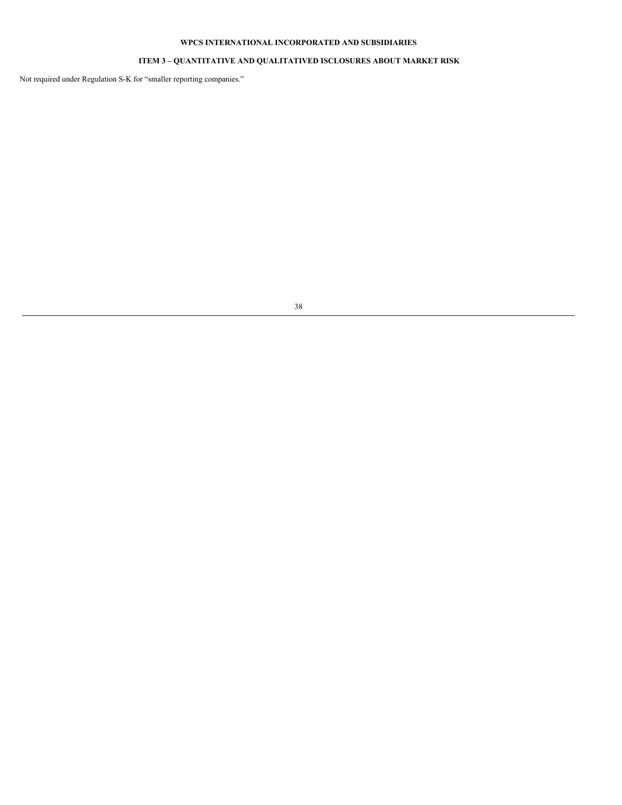# **ITEM 3 – QUANTITATIVE AND QUALITATIVED ISCLOSURES ABOUT MARKET RISK**

Not required under Regulation S-K for "smaller reporting companies."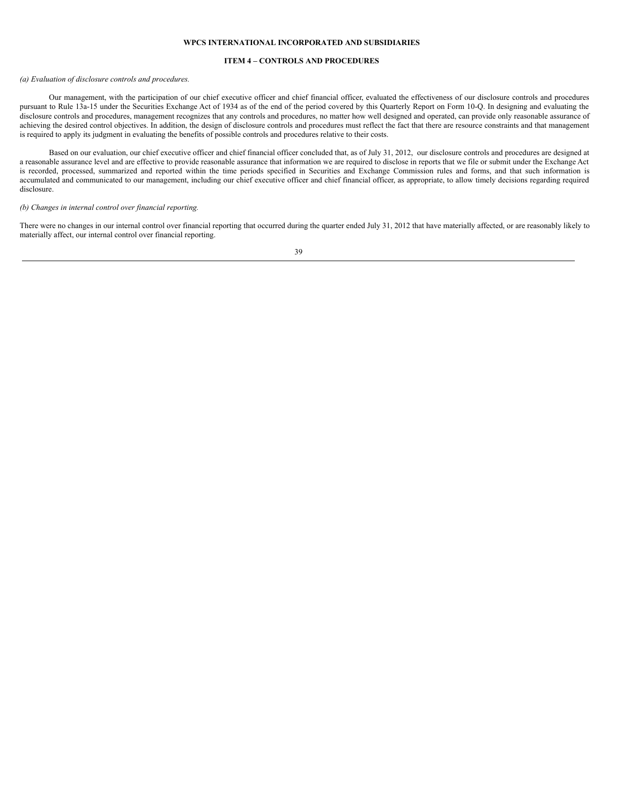## **ITEM 4 – CONTROLS AND PROCEDURES**

#### *(a) Evaluation of disclosure controls and procedures.*

Our management, with the participation of our chief executive officer and chief financial officer, evaluated the effectiveness of our disclosure controls and procedures pursuant to Rule 13a-15 under the Securities Exchange Act of 1934 as of the end of the period covered by this Quarterly Report on Form 10-Q. In designing and evaluating the disclosure controls and procedures, management recognizes that any controls and procedures, no matter how well designed and operated, can provide only reasonable assurance of achieving the desired control objectives. In addition, the design of disclosure controls and procedures must reflect the fact that there are resource constraints and that management is required to apply its judgment in evaluating the benefits of possible controls and procedures relative to their costs.

Based on our evaluation, our chief executive officer and chief financial officer concluded that, as of July 31, 2012, our disclosure controls and procedures are designed at a reasonable assurance level and are effective to provide reasonable assurance that information we are required to disclose in reports that we file or submit under the Exchange Act is recorded, processed, summarized and reported within the time periods specified in Securities and Exchange Commission rules and forms, and that such information is accumulated and communicated to our management, including our chief executive officer and chief financial officer, as appropriate, to allow timely decisions regarding required disclosure.

## *(b) Changes in internal control over financial reporting.*

There were no changes in our internal control over financial reporting that occurred during the quarter ended July 31, 2012 that have materially affected, or are reasonably likely to materially affect, our internal control over financial reporting.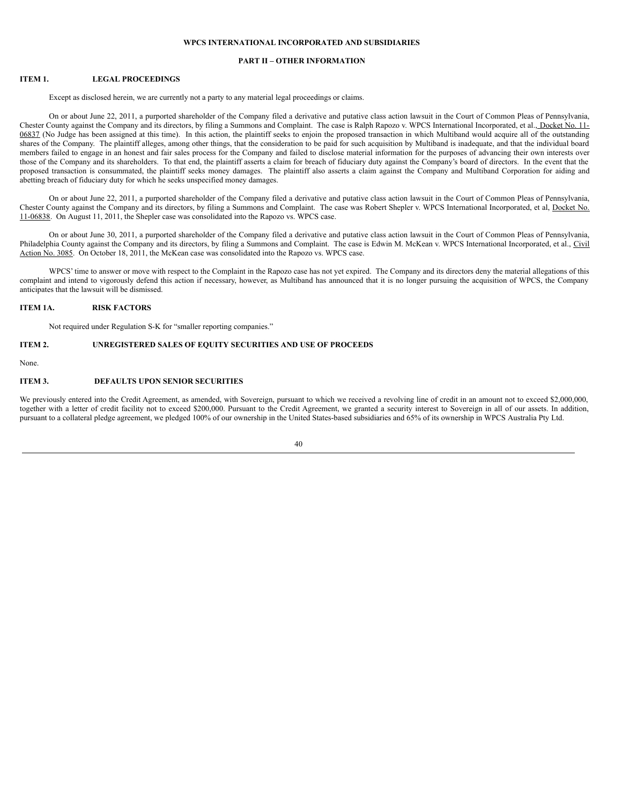## **PART II – OTHER INFORMATION**

#### **ITEM 1. LEGAL PROCEEDINGS**

Except as disclosed herein, we are currently not a party to any material legal proceedings or claims.

On or about June 22, 2011, a purported shareholder of the Company filed a derivative and putative class action lawsuit in the Court of Common Pleas of Pennsylvania, Chester County against the Company and its directors, by filing a Summons and Complaint. The case is Ralph Rapozo v. WPCS International Incorporated, et al., Docket No. 11- 06837 (No Judge has been assigned at this time). In this action, the plaintiff seeks to enjoin the proposed transaction in which Multiband would acquire all of the outstanding shares of the Company. The plaintiff alleges, among other things, that the consideration to be paid for such acquisition by Multiband is inadequate, and that the individual board members failed to engage in an honest and fair sales process for the Company and failed to disclose material information for the purposes of advancing their own interests over those of the Company and its shareholders. To that end, the plaintiff asserts a claim for breach of fiduciary duty against the Company's board of directors. In the event that the proposed transaction is consummated, the plaintiff seeks money damages. The plaintiff also asserts a claim against the Company and Multiband Corporation for aiding and abetting breach of fiduciary duty for which he seeks unspecified money damages.

On or about June 22, 2011, a purported shareholder of the Company filed a derivative and putative class action lawsuit in the Court of Common Pleas of Pennsylvania, Chester County against the Company and its directors, by filing a Summons and Complaint. The case was Robert Shepler v. WPCS International Incorporated, et al, Docket No. 11-06838. On August 11, 2011, the Shepler case was consolidated into the Rapozo vs. WPCS case.

On or about June 30, 2011, a purported shareholder of the Company filed a derivative and putative class action lawsuit in the Court of Common Pleas of Pennsylvania, Philadelphia County against the Company and its directors, by filing a Summons and Complaint. The case is Edwin M. McKean v. WPCS International Incorporated, et al., Civil Action No. 3085. On October 18, 2011, the McKean case was consolidated into the Rapozo vs. WPCS case.

WPCS' time to answer or move with respect to the Complaint in the Rapozo case has not yet expired. The Company and its directors deny the material allegations of this complaint and intend to vigorously defend this action if necessary, however, as Multiband has announced that it is no longer pursuing the acquisition of WPCS, the Company anticipates that the lawsuit will be dismissed.

## **ITEM 1A. RISK FACTORS**

Not required under Regulation S-K for "smaller reporting companies."

## **ITEM 2. UNREGISTERED SALES OF EQUITY SECURITIES AND USE OF PROCEEDS**

None.

## **ITEM 3. DEFAULTS UPON SENIOR SECURITIES**

We previously entered into the Credit Agreement, as amended, with Sovereign, pursuant to which we received a revolving line of credit in an amount not to exceed \$2,000,000, together with a letter of credit facility not to exceed \$200,000. Pursuant to the Credit Agreement, we granted a security interest to Sovereign in all of our assets. In addition, pursuant to a collateral pledge agreement, we pledged 100% of our ownership in the United States-based subsidiaries and 65% of its ownership in WPCS Australia Pty Ltd.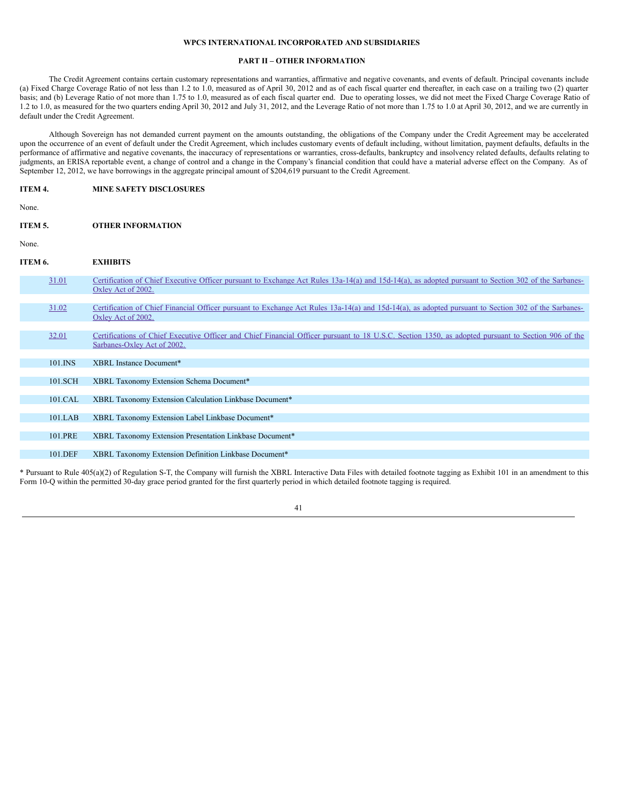## **PART II – OTHER INFORMATION**

The Credit Agreement contains certain customary representations and warranties, affirmative and negative covenants, and events of default. Principal covenants include (a) Fixed Charge Coverage Ratio of not less than 1.2 to 1.0, measured as of April 30, 2012 and as of each fiscal quarter end thereafter, in each case on a trailing two (2) quarter basis; and (b) Leverage Ratio of not more than 1.75 to 1.0, measured as of each fiscal quarter end. Due to operating losses, we did not meet the Fixed Charge Coverage Ratio of 1.2 to 1.0, as measured for the two quarters ending April 30, 2012 and July 31, 2012, and the Leverage Ratio of not more than 1.75 to 1.0 at April 30, 2012, and we are currently in default under the Credit Agreement.

Although Sovereign has not demanded current payment on the amounts outstanding, the obligations of the Company under the Credit Agreement may be accelerated upon the occurrence of an event of default under the Credit Agreement, which includes customary events of default including, without limitation, payment defaults, defaults in the performance of affirmative and negative covenants, the inaccuracy of representations or warranties, cross-defaults, bankruptcy and insolvency related defaults, defaults relating to judgments, an ERISA reportable event, a change of control and a change in the Company's financial condition that could have a material adverse effect on the Company. As of September 12, 2012, we have borrowings in the aggregate principal amount of \$204,619 pursuant to the Credit Agreement.

## **ITEM 4. MINE SAFETY DISCLOSURES**

None.

**ITEM 5. OTHER INFORMATION**

None.

# **ITEM 6. EXHIBITS**

| . |         | ---------                                                                                                                                                                          |
|---|---------|------------------------------------------------------------------------------------------------------------------------------------------------------------------------------------|
|   | 31.01   | Certification of Chief Executive Officer pursuant to Exchange Act Rules 13a-14(a) and 15d-14(a), as adopted pursuant to Section 302 of the Sarbanes-<br>Oxley Act of 2002.         |
|   |         |                                                                                                                                                                                    |
|   | 31.02   | Certification of Chief Financial Officer pursuant to Exchange Act Rules 13a-14(a) and 15d-14(a), as adopted pursuant to Section 302 of the Sarbanes-<br>Oxley Act of 2002.         |
|   |         |                                                                                                                                                                                    |
|   | 32.01   | Certifications of Chief Executive Officer and Chief Financial Officer pursuant to 18 U.S.C. Section 1350, as adopted pursuant to Section 906 of the<br>Sarbanes-Oxley Act of 2002. |
|   |         |                                                                                                                                                                                    |
|   | 101.INS | <b>XBRL</b> Instance Document*                                                                                                                                                     |
|   |         |                                                                                                                                                                                    |
|   | 101.SCH | XBRL Taxonomy Extension Schema Document*                                                                                                                                           |
|   |         |                                                                                                                                                                                    |
|   | 101.CAL | XBRL Taxonomy Extension Calculation Linkbase Document*                                                                                                                             |
|   |         |                                                                                                                                                                                    |
|   | 101.LAB | XBRL Taxonomy Extension Label Linkbase Document*                                                                                                                                   |
|   |         |                                                                                                                                                                                    |
|   | 101.PRE | XBRL Taxonomy Extension Presentation Linkbase Document*                                                                                                                            |
|   |         |                                                                                                                                                                                    |
|   | 101.DEF | XBRL Taxonomy Extension Definition Linkbase Document*                                                                                                                              |
|   |         |                                                                                                                                                                                    |

\* Pursuant to Rule 405(a)(2) of Regulation S-T, the Company will furnish the XBRL Interactive Data Files with detailed footnote tagging as Exhibit 101 in an amendment to this Form 10-Q within the permitted 30-day grace period granted for the first quarterly period in which detailed footnote tagging is required.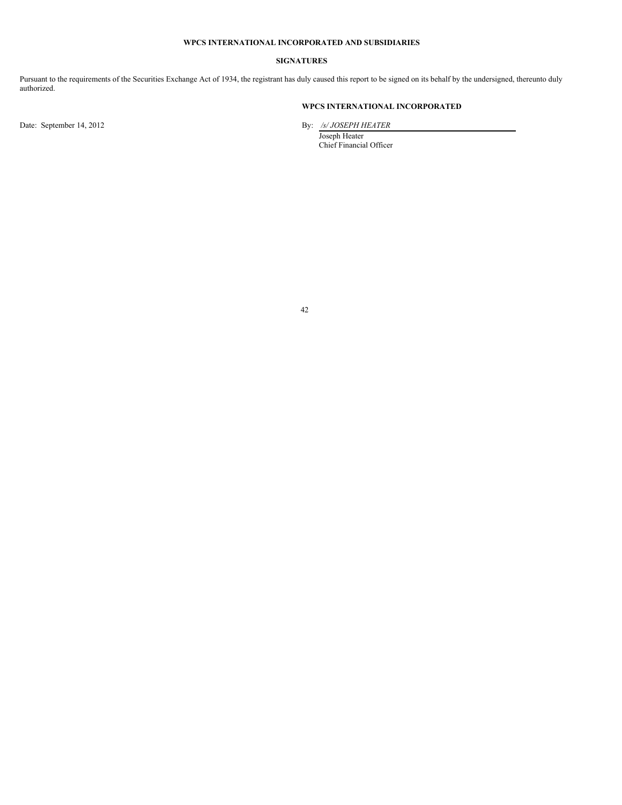## **SIGNATURES**

Pursuant to the requirements of the Securities Exchange Act of 1934, the registrant has duly caused this report to be signed on its behalf by the undersigned, thereunto duly authorized.

## **WPCS INTERNATIONAL INCORPORATED**

Date: September 14, 2012 **By:** /s/ *JOSEPH HEATER* 

Joseph Heater Chief Financial Officer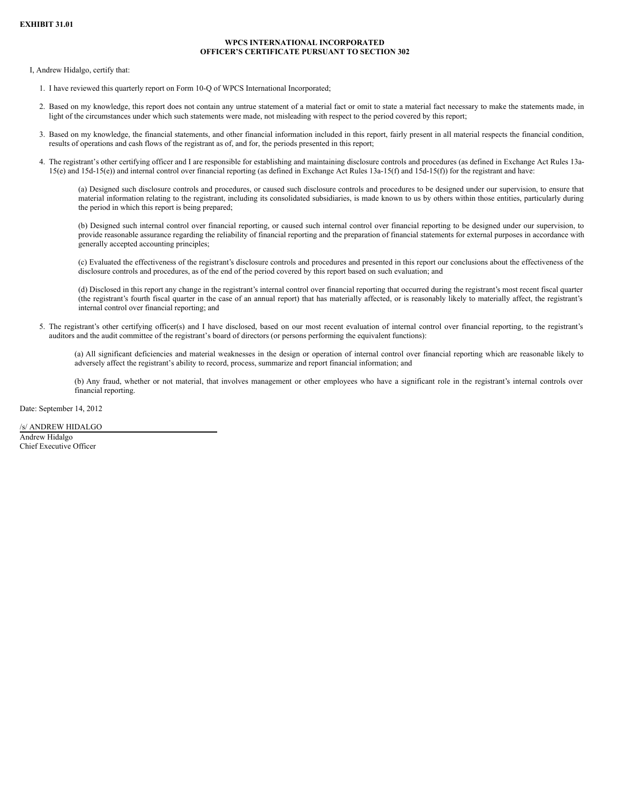## **WPCS INTERNATIONAL INCORPORATED OFFICER'S CERTIFICATE PURSUANT TO SECTION 302**

I, Andrew Hidalgo, certify that:

- 1. I have reviewed this quarterly report on Form 10-Q of WPCS International Incorporated;
- 2. Based on my knowledge, this report does not contain any untrue statement of a material fact or omit to state a material fact necessary to make the statements made, in light of the circumstances under which such statements were made, not misleading with respect to the period covered by this report;
- 3. Based on my knowledge, the financial statements, and other financial information included in this report, fairly present in all material respects the financial condition, results of operations and cash flows of the registrant as of, and for, the periods presented in this report;
- 4. The registrant's other certifying officer and I are responsible for establishing and maintaining disclosure controls and procedures (as defined in Exchange Act Rules 13a-15(e) and 15d-15(e)) and internal control over financial reporting (as defined in Exchange Act Rules 13a-15(f) and 15d-15(f)) for the registrant and have:

(a) Designed such disclosure controls and procedures, or caused such disclosure controls and procedures to be designed under our supervision, to ensure that material information relating to the registrant, including its consolidated subsidiaries, is made known to us by others within those entities, particularly during the period in which this report is being prepared;

(b) Designed such internal control over financial reporting, or caused such internal control over financial reporting to be designed under our supervision, to provide reasonable assurance regarding the reliability of financial reporting and the preparation of financial statements for external purposes in accordance with generally accepted accounting principles;

(c) Evaluated the effectiveness of the registrant's disclosure controls and procedures and presented in this report our conclusions about the effectiveness of the disclosure controls and procedures, as of the end of the period covered by this report based on such evaluation; and

(d) Disclosed in this report any change in the registrant's internal control over financial reporting that occurred during the registrant's most recent fiscal quarter (the registrant's fourth fiscal quarter in the case of an annual report) that has materially affected, or is reasonably likely to materially affect, the registrant's internal control over financial reporting; and

5. The registrant's other certifying officer(s) and I have disclosed, based on our most recent evaluation of internal control over financial reporting, to the registrant's auditors and the audit committee of the registrant's board of directors (or persons performing the equivalent functions):

(a) All significant deficiencies and material weaknesses in the design or operation of internal control over financial reporting which are reasonable likely to adversely affect the registrant's ability to record, process, summarize and report financial information; and

(b) Any fraud, whether or not material, that involves management or other employees who have a significant role in the registrant's internal controls over financial reporting.

Date: September 14, 2012

/s/ ANDREW HIDALGO

<span id="page-42-0"></span>Andrew Hidalgo Chief Executive Officer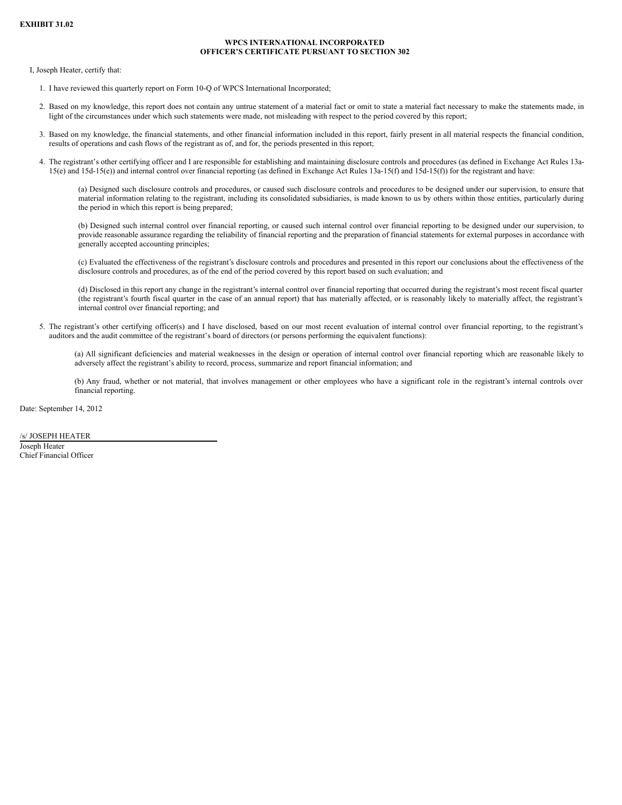## **WPCS INTERNATIONAL INCORPORATED OFFICER'S CERTIFICATE PURSUANT TO SECTION 302**

I, Joseph Heater, certify that:

- 1. I have reviewed this quarterly report on Form 10-Q of WPCS International Incorporated;
- 2. Based on my knowledge, this report does not contain any untrue statement of a material fact or omit to state a material fact necessary to make the statements made, in light of the circumstances under which such statements were made, not misleading with respect to the period covered by this report;
- 3. Based on my knowledge, the financial statements, and other financial information included in this report, fairly present in all material respects the financial condition, results of operations and cash flows of the registrant as of, and for, the periods presented in this report;
- 4. The registrant's other certifying officer and I are responsible for establishing and maintaining disclosure controls and procedures (as defined in Exchange Act Rules 13a-15(e) and 15d-15(e)) and internal control over financial reporting (as defined in Exchange Act Rules 13a-15(f) and 15d-15(f)) for the registrant and have:

(a) Designed such disclosure controls and procedures, or caused such disclosure controls and procedures to be designed under our supervision, to ensure that material information relating to the registrant, including its consolidated subsidiaries, is made known to us by others within those entities, particularly during the period in which this report is being prepared;

(b) Designed such internal control over financial reporting, or caused such internal control over financial reporting to be designed under our supervision, to provide reasonable assurance regarding the reliability of financial reporting and the preparation of financial statements for external purposes in accordance with generally accepted accounting principles;

(c) Evaluated the effectiveness of the registrant's disclosure controls and procedures and presented in this report our conclusions about the effectiveness of the disclosure controls and procedures, as of the end of the period covered by this report based on such evaluation; and

(d) Disclosed in this report any change in the registrant's internal control over financial reporting that occurred during the registrant's most recent fiscal quarter (the registrant's fourth fiscal quarter in the case of an annual report) that has materially affected, or is reasonably likely to materially affect, the registrant's internal control over financial reporting; and

5. The registrant's other certifying officer(s) and I have disclosed, based on our most recent evaluation of internal control over financial reporting, to the registrant's auditors and the audit committee of the registrant's board of directors (or persons performing the equivalent functions):

(a) All significant deficiencies and material weaknesses in the design or operation of internal control over financial reporting which are reasonable likely to adversely affect the registrant's ability to record, process, summarize and report financial information; and

(b) Any fraud, whether or not material, that involves management or other employees who have a significant role in the registrant's internal controls over financial reporting.

Date: September 14, 2012

/s/ JOSEPH HEATER Joseph Heater

<span id="page-43-0"></span>Chief Financial Officer